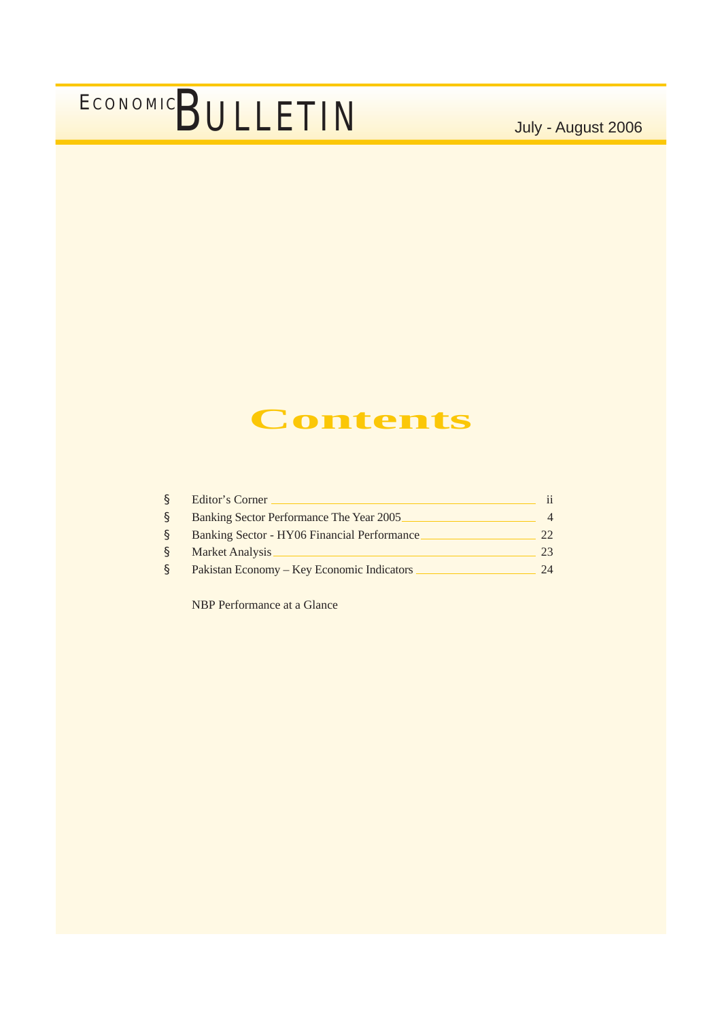### **Contents**

| <b>Editor's Corner</b>                      |     |
|---------------------------------------------|-----|
| Banking Sector Performance The Year 2005    |     |
| Banking Sector - HY06 Financial Performance | 22. |
| Market Analysis.                            | 23  |
| Pakistan Economy – Key Economic Indicators  | 24  |
|                                             |     |

NBP Performance at a Glance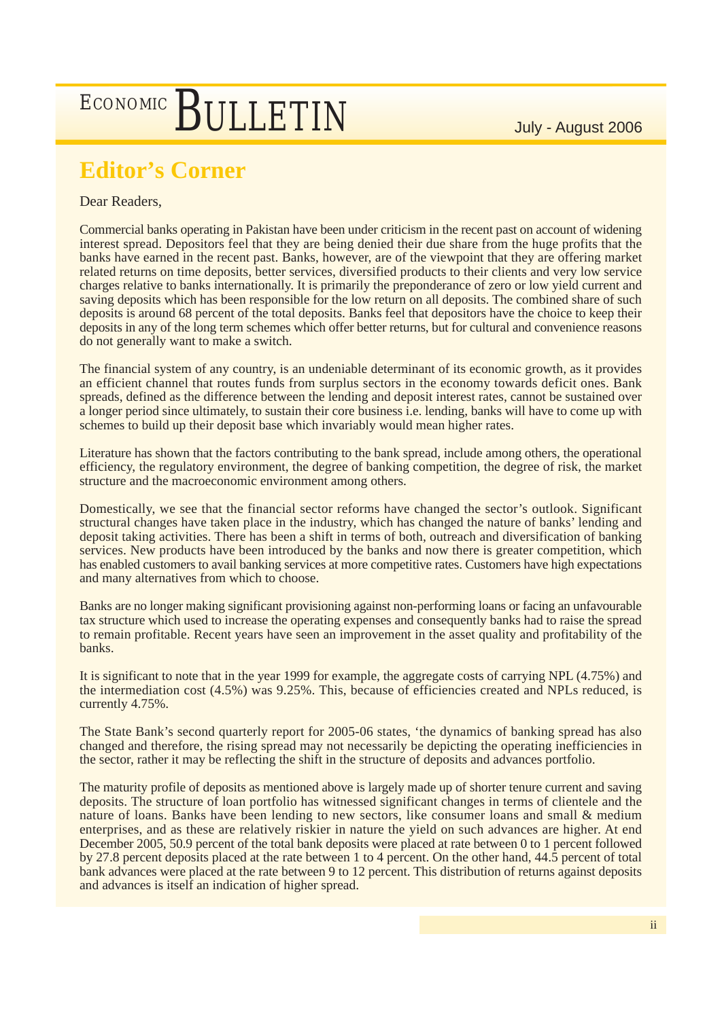### BULLETIN July - August 2006 **ECONOMIC**

### **Editor's Corner**

#### Dear Readers,

Commercial banks operating in Pakistan have been under criticism in the recent past on account of widening interest spread. Depositors feel that they are being denied their due share from the huge profits that the banks have earned in the recent past. Banks, however, are of the viewpoint that they are offering market related returns on time deposits, better services, diversified products to their clients and very low service charges relative to banks internationally. It is primarily the preponderance of zero or low yield current and saving deposits which has been responsible for the low return on all deposits. The combined share of such deposits is around 68 percent of the total deposits. Banks feel that depositors have the choice to keep their deposits in any of the long term schemes which offer better returns, but for cultural and convenience reasons do not generally want to make a switch.

The financial system of any country, is an undeniable determinant of its economic growth, as it provides an efficient channel that routes funds from surplus sectors in the economy towards deficit ones. Bank spreads, defined as the difference between the lending and deposit interest rates, cannot be sustained over a longer period since ultimately, to sustain their core business i.e. lending, banks will have to come up with schemes to build up their deposit base which invariably would mean higher rates.

Literature has shown that the factors contributing to the bank spread, include among others, the operational efficiency, the regulatory environment, the degree of banking competition, the degree of risk, the market structure and the macroeconomic environment among others.

Domestically, we see that the financial sector reforms have changed the sector's outlook. Significant structural changes have taken place in the industry, which has changed the nature of banks' lending and deposit taking activities. There has been a shift in terms of both, outreach and diversification of banking services. New products have been introduced by the banks and now there is greater competition, which has enabled customers to avail banking services at more competitive rates. Customers have high expectations and many alternatives from which to choose.

Banks are no longer making significant provisioning against non-performing loans or facing an unfavourable tax structure which used to increase the operating expenses and consequently banks had to raise the spread to remain profitable. Recent years have seen an improvement in the asset quality and profitability of the banks.

It is significant to note that in the year 1999 for example, the aggregate costs of carrying NPL (4.75%) and the intermediation cost (4.5%) was 9.25%. This, because of efficiencies created and NPLs reduced, is currently 4.75%.

The State Bank's second quarterly report for 2005-06 states, 'the dynamics of banking spread has also changed and therefore, the rising spread may not necessarily be depicting the operating inefficiencies in the sector, rather it may be reflecting the shift in the structure of deposits and advances portfolio.

The maturity profile of deposits as mentioned above is largely made up of shorter tenure current and saving deposits. The structure of loan portfolio has witnessed significant changes in terms of clientele and the nature of loans. Banks have been lending to new sectors, like consumer loans and small & medium enterprises, and as these are relatively riskier in nature the yield on such advances are higher. At end December 2005, 50.9 percent of the total bank deposits were placed at rate between 0 to 1 percent followed by 27.8 percent deposits placed at the rate between 1 to 4 percent. On the other hand, 44.5 percent of total bank advances were placed at the rate between 9 to 12 percent. This distribution of returns against deposits and advances is itself an indication of higher spread.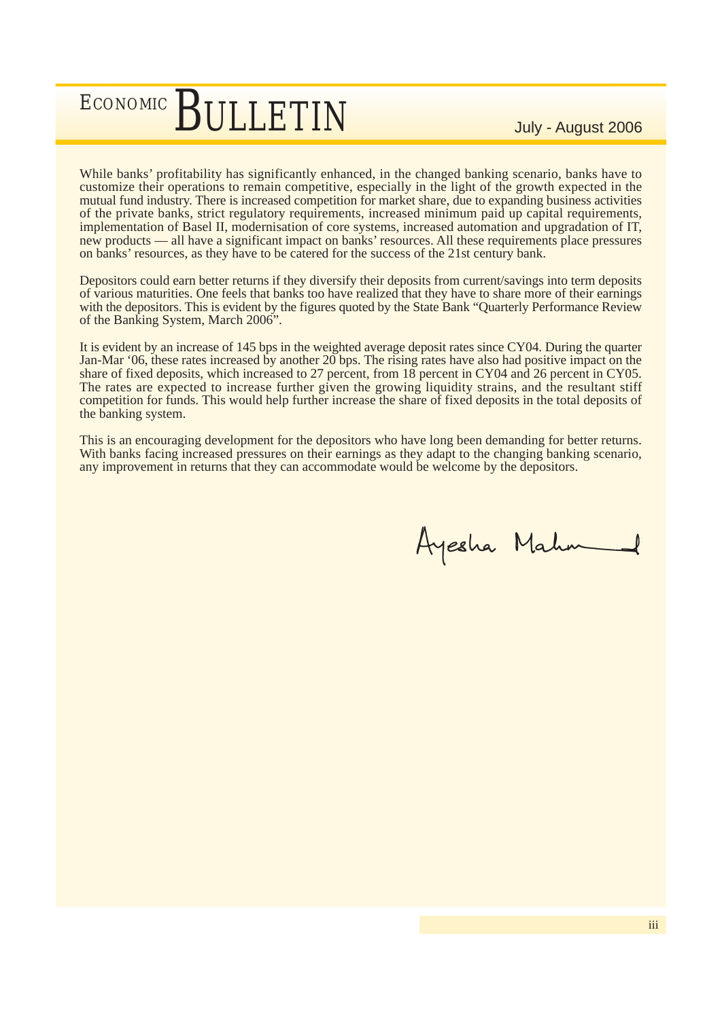While banks' profitability has significantly enhanced, in the changed banking scenario, banks have to customize their operations to remain competitive, especially in the light of the growth expected in the mutual fund industry. There is increased competition for market share, due to expanding business activities of the private banks, strict regulatory requirements, increased minimum paid up capital requirements, implementation of Basel II, modernisation of core systems, increased automation and upgradation of IT, new products –– all have a significant impact on banks' resources. All these requirements place pressures on banks' resources, as they have to be catered for the success of the 21st century bank.

Depositors could earn better returns if they diversify their deposits from current/savings into term deposits of various maturities. One feels that banks too have realized that they have to share more of their earnings with the depositors. This is evident by the figures quoted by the State Bank "Quarterly Performance Review of the Banking System, March 2006".

It is evident by an increase of 145 bps in the weighted average deposit rates since CY04. During the quarter Jan-Mar '06, these rates increased by another 20 bps. The rising rates have also had positive impact on the share of fixed deposits, which increased to 27 percent, from 18 percent in CY04 and 26 percent in CY05. The rates are expected to increase further given the growing liquidity strains, and the resultant stiff competition for funds. This would help further increase the share of fixed deposits in the total deposits of the banking system.

This is an encouraging development for the depositors who have long been demanding for better returns. With banks facing increased pressures on their earnings as they adapt to the changing banking scenario, any improvement in returns that they can accommodate would be welcome by the depositors.

Ayesha Mahn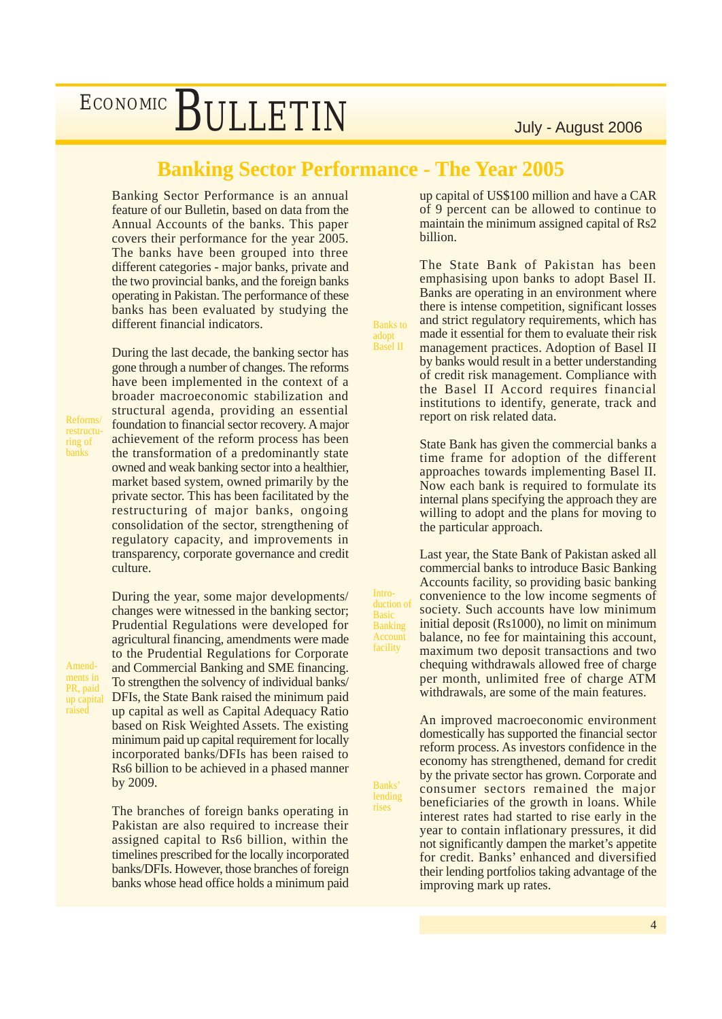### **Banking Sector Performance - The Year 2005**

Banks to adopt Basel II

Introduction o Basic Banking **Account** facility

Banks' lending rises

Banking Sector Performance is an annual feature of our Bulletin, based on data from the Annual Accounts of the banks. This paper covers their performance for the year 2005. The banks have been grouped into three different categories - major banks, private and the two provincial banks, and the foreign banks operating in Pakistan. The performance of these banks has been evaluated by studying the different financial indicators.

Reforms/ restructuring of banks

During the last decade, the banking sector has gone through a number of changes. The reforms have been implemented in the context of a broader macroeconomic stabilization and structural agenda, providing an essential foundation to financial sector recovery. A major achievement of the reform process has been the transformation of a predominantly state owned and weak banking sector into a healthier, market based system, owned primarily by the private sector. This has been facilitated by the restructuring of major banks, ongoing consolidation of the sector, strengthening of regulatory capacity, and improvements in transparency, corporate governance and credit culture.

Amendments in PR, paid up capital raised

changes were witnessed in the banking sector; Prudential Regulations were developed for agricultural financing, amendments were made to the Prudential Regulations for Corporate and Commercial Banking and SME financing. To strengthen the solvency of individual banks/ DFIs, the State Bank raised the minimum paid up capital as well as Capital Adequacy Ratio based on Risk Weighted Assets. The existing minimum paid up capital requirement for locally incorporated banks/DFIs has been raised to Rs6 billion to be achieved in a phased manner by 2009.

During the year, some major developments/

The branches of foreign banks operating in Pakistan are also required to increase their assigned capital to Rs6 billion, within the timelines prescribed for the locally incorporated banks/DFIs. However, those branches of foreign banks whose head office holds a minimum paid

up capital of US\$100 million and have a CAR of 9 percent can be allowed to continue to maintain the minimum assigned capital of Rs2 billion.

The State Bank of Pakistan has been emphasising upon banks to adopt Basel II. Banks are operating in an environment where there is intense competition, significant losses and strict regulatory requirements, which has made it essential for them to evaluate their risk management practices. Adoption of Basel II by banks would result in a better understanding of credit risk management. Compliance with the Basel II Accord requires financial institutions to identify, generate, track and report on risk related data.

State Bank has given the commercial banks a time frame for adoption of the different approaches towards implementing Basel II. Now each bank is required to formulate its internal plans specifying the approach they are willing to adopt and the plans for moving to the particular approach.

Last year, the State Bank of Pakistan asked all commercial banks to introduce Basic Banking Accounts facility, so providing basic banking convenience to the low income segments of society. Such accounts have low minimum initial deposit (Rs1000), no limit on minimum balance, no fee for maintaining this account, maximum two deposit transactions and two chequing withdrawals allowed free of charge per month, unlimited free of charge ATM withdrawals, are some of the main features.

An improved macroeconomic environment domestically has supported the financial sector reform process. As investors confidence in the economy has strengthened, demand for credit by the private sector has grown. Corporate and consumer sectors remained the major beneficiaries of the growth in loans. While interest rates had started to rise early in the year to contain inflationary pressures, it did not significantly dampen the market's appetite for credit. Banks' enhanced and diversified their lending portfolios taking advantage of the improving mark up rates.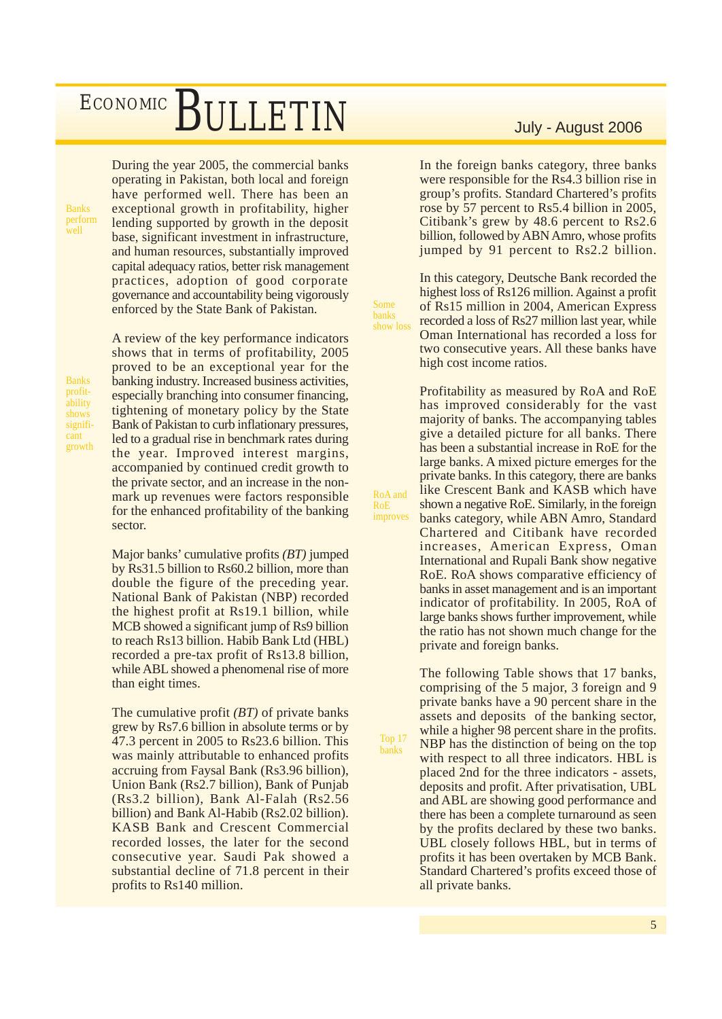Banks perform have performed well. There has been an exceptional growth in profitability, higher lending supported by growth in the deposit base, significant investment in infrastructure, and human resources, substantially improved capital adequacy ratios, better risk management practices, adoption of good corporate governance and accountability being vigorously enforced by the State Bank of Pakistan.

During the year 2005, the commercial banks operating in Pakistan, both local and foreign

Banks profitability shows significant growth A review of the key performance indicators shows that in terms of profitability, 2005 proved to be an exceptional year for the banking industry. Increased business activities, especially branching into consumer financing, tightening of monetary policy by the State Bank of Pakistan to curb inflationary pressures, led to a gradual rise in benchmark rates during the year. Improved interest margins, accompanied by continued credit growth to the private sector, and an increase in the nonmark up revenues were factors responsible for the enhanced profitability of the banking sector.

Major banks' cumulative profits *(BT)* jumped by Rs31.5 billion to Rs60.2 billion, more than double the figure of the preceding year. National Bank of Pakistan (NBP) recorded the highest profit at Rs19.1 billion, while MCB showed a significant jump of Rs9 billion to reach Rs13 billion. Habib Bank Ltd (HBL) recorded a pre-tax profit of Rs13.8 billion, while ABL showed a phenomenal rise of more than eight times.

The cumulative profit *(BT)* of private banks grew by Rs7.6 billion in absolute terms or by 47.3 percent in 2005 to Rs23.6 billion. This was mainly attributable to enhanced profits accruing from Faysal Bank (Rs3.96 billion), Union Bank (Rs2.7 billion), Bank of Punjab (Rs3.2 billion), Bank Al-Falah (Rs2.56 billion) and Bank Al-Habib (Rs2.02 billion). KASB Bank and Crescent Commercial recorded losses, the later for the second consecutive year. Saudi Pak showed a substantial decline of 71.8 percent in their profits to Rs140 million.

In the foreign banks category, three banks were responsible for the Rs4.3 billion rise in group's profits. Standard Chartered's profits rose by 57 percent to Rs5.4 billion in 2005, Citibank's grew by 48.6 percent to Rs2.6 billion, followed by ABN Amro, whose profits jumped by 91 percent to Rs2.2 billion.

In this category, Deutsche Bank recorded the highest loss of Rs126 million. Against a profit of Rs15 million in 2004, American Express recorded a loss of Rs27 million last year, while Oman International has recorded a loss for two consecutive years. All these banks have high cost income ratios.

Some banks show loss

RoA and RoE improves

> Top 17 banks

Profitability as measured by RoA and RoE has improved considerably for the vast majority of banks. The accompanying tables give a detailed picture for all banks. There has been a substantial increase in RoE for the large banks. A mixed picture emerges for the private banks. In this category, there are banks like Crescent Bank and KASB which have shown a negative RoE. Similarly, in the foreign banks category, while ABN Amro, Standard Chartered and Citibank have recorded increases, American Express, Oman International and Rupali Bank show negative RoE. RoA shows comparative efficiency of banks in asset management and is an important indicator of profitability. In 2005, RoA of large banks shows further improvement, while the ratio has not shown much change for the private and foreign banks.

The following Table shows that 17 banks, comprising of the 5 major, 3 foreign and 9 private banks have a 90 percent share in the assets and deposits of the banking sector, while a higher 98 percent share in the profits. NBP has the distinction of being on the top with respect to all three indicators. HBL is placed 2nd for the three indicators - assets, deposits and profit. After privatisation, UBL and ABL are showing good performance and there has been a complete turnaround as seen by the profits declared by these two banks. UBL closely follows HBL, but in terms of profits it has been overtaken by MCB Bank. Standard Chartered's profits exceed those of all private banks.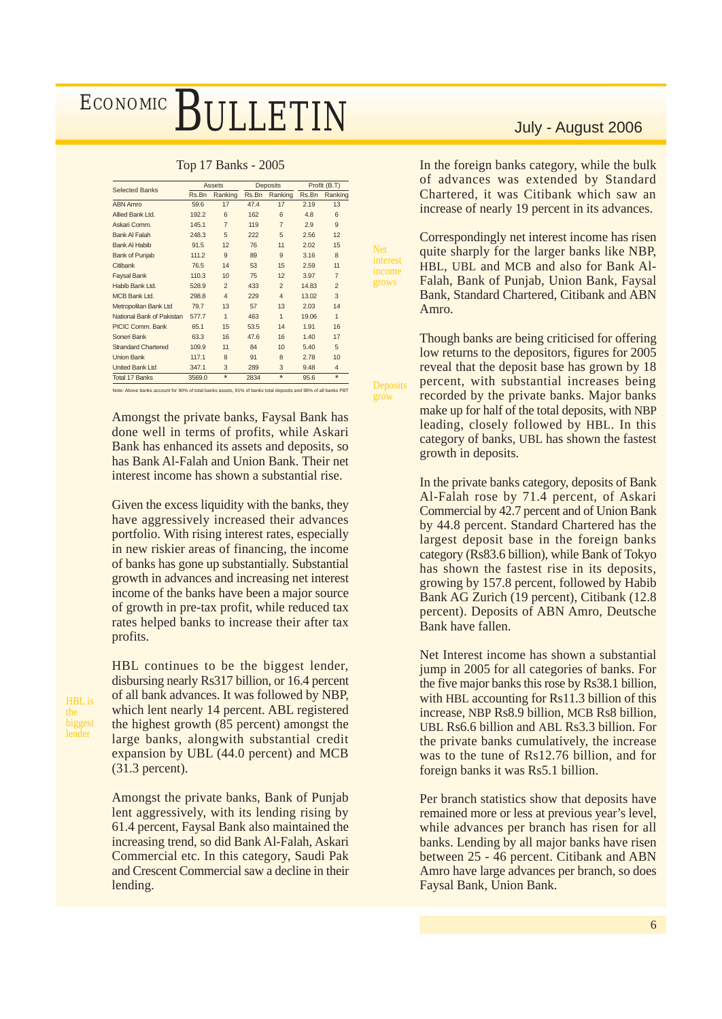| <b>Selected Banks</b>                                                                                         |        | Assets         |       | <b>Deposits</b> |       | Profit (B.T)   |
|---------------------------------------------------------------------------------------------------------------|--------|----------------|-------|-----------------|-------|----------------|
|                                                                                                               | Rs.Bn  | Ranking        | Rs.Bn | Ranking         | Rs.Bn | Ranking        |
| <b>ABN Amro</b>                                                                                               | 59.6   | 17             | 47.4  | 17              | 2.19  | 13             |
| Allied Bank Ltd.                                                                                              | 192.2  | 6              | 162   | 6               | 4.8   | 6              |
| Askari Comm.                                                                                                  | 145.1  | $\overline{7}$ | 119   | $\overline{7}$  | 2.9   | 9              |
| Bank Al Falah                                                                                                 | 248.3  | 5              | 222   | 5               | 2.56  | 12             |
| <b>Bank Al Habib</b>                                                                                          | 91.5   | 12             | 76    | 11              | 2.02  | 15             |
| Bank of Punjab                                                                                                | 111.2  | 9              | 89    | 9               | 3.16  | 8              |
| Citibank                                                                                                      | 76.5   | 14             | 53    | 15              | 2.59  | 11             |
| <b>Faysal Bank</b>                                                                                            | 110.3  | 10             | 75    | 12              | 3.97  | $\overline{7}$ |
| Habib Bank Ltd.                                                                                               | 528.9  | $\overline{2}$ | 433   | $\overline{2}$  | 14.83 | $\overline{2}$ |
| MCB Bank Ltd.                                                                                                 | 298.8  | $\overline{4}$ | 229   | $\overline{4}$  | 13.02 | 3              |
| Metropolitan Bank Ltd                                                                                         | 79.7   | 13             | 57    | 13              | 2.03  | 14             |
| National Bank of Pakistan                                                                                     | 577.7  | $\mathbf{1}$   | 463   | $\overline{1}$  | 19.06 | 1              |
| PICIC Comm. Bank                                                                                              | 65.1   | 15             | 53.5  | 14              | 1.91  | 16             |
| Soneri Bank                                                                                                   | 63.3   | 16             | 47.6  | 16              | 1.40  | 17             |
| <b>Strandard Chartered</b>                                                                                    | 109.9  | 11             | 84    | 10              | 5.40  | 5              |
| <b>Union Bank</b>                                                                                             | 117.1  | 8              | 91    | 8               | 2.78  | 10             |
| <b>United Bank Ltd</b>                                                                                        | 347.1  | 3              | 289   | 3               | 9.48  | $\overline{4}$ |
| <b>Total 17 Banks</b>                                                                                         | 3569.0 | $\star$        | 2834  | $\star$         | 95.6  | $\star$        |
| Note: Above banks account for 90% of total banks assets, 91% of banks total deposits and 98% of all banks PRT |        |                |       |                 |       |                |

Net interest income grows

Deposits grow

Top 17 Banks - 2005

Note: Above banks account for 90% of total banks assets, 91% of banks total deposits and 98% of all banks PBT

Amongst the private banks, Faysal Bank has done well in terms of profits, while Askari Bank has enhanced its assets and deposits, so has Bank Al-Falah and Union Bank. Their net interest income has shown a substantial rise.

Given the excess liquidity with the banks, they have aggressively increased their advances portfolio. With rising interest rates, especially in new riskier areas of financing, the income of banks has gone up substantially. Substantial growth in advances and increasing net interest income of the banks have been a major source of growth in pre-tax profit, while reduced tax rates helped banks to increase their after tax profits.

HBL continues to be the biggest lender, disbursing nearly Rs317 billion, or 16.4 percent of all bank advances. It was followed by NBP, which lent nearly 14 percent. ABL registered the highest growth (85 percent) amongst the large banks, alongwith substantial credit expansion by UBL (44.0 percent) and MCB (31.3 percent).

Amongst the private banks, Bank of Punjab lent aggressively, with its lending rising by 61.4 percent, Faysal Bank also maintained the increasing trend, so did Bank Al-Falah, Askari Commercial etc. In this category, Saudi Pak and Crescent Commercial saw a decline in their lending.

In the foreign banks category, while the bulk of advances was extended by Standard Chartered, it was Citibank which saw an increase of nearly 19 percent in its advances.

Correspondingly net interest income has risen quite sharply for the larger banks like NBP, HBL, UBL and MCB and also for Bank Al-Falah, Bank of Punjab, Union Bank, Faysal Bank, Standard Chartered, Citibank and ABN Amro.

Though banks are being criticised for offering low returns to the depositors, figures for 2005 reveal that the deposit base has grown by 18 percent, with substantial increases being recorded by the private banks. Major banks make up for half of the total deposits, with NBP leading, closely followed by HBL. In this category of banks, UBL has shown the fastest growth in deposits.

In the private banks category, deposits of Bank Al-Falah rose by 71.4 percent, of Askari Commercial by 42.7 percent and of Union Bank by 44.8 percent. Standard Chartered has the largest deposit base in the foreign banks category (Rs83.6 billion), while Bank of Tokyo has shown the fastest rise in its deposits, growing by 157.8 percent, followed by Habib Bank AG Zurich (19 percent), Citibank (12.8 percent). Deposits of ABN Amro, Deutsche Bank have fallen.

Net Interest income has shown a substantial jump in 2005 for all categories of banks. For the five major banks this rose by Rs38.1 billion, with HBL accounting for Rs11.3 billion of this increase, NBP Rs8.9 billion, MCB Rs8 billion, UBL Rs6.6 billion and ABL Rs3.3 billion. For the private banks cumulatively, the increase was to the tune of Rs12.76 billion, and for foreign banks it was Rs5.1 billion.

Per branch statistics show that deposits have remained more or less at previous year's level, while advances per branch has risen for all banks. Lending by all major banks have risen between 25 - 46 percent. Citibank and ABN Amro have large advances per branch, so does Faysal Bank, Union Bank.

HBL is the biggest lender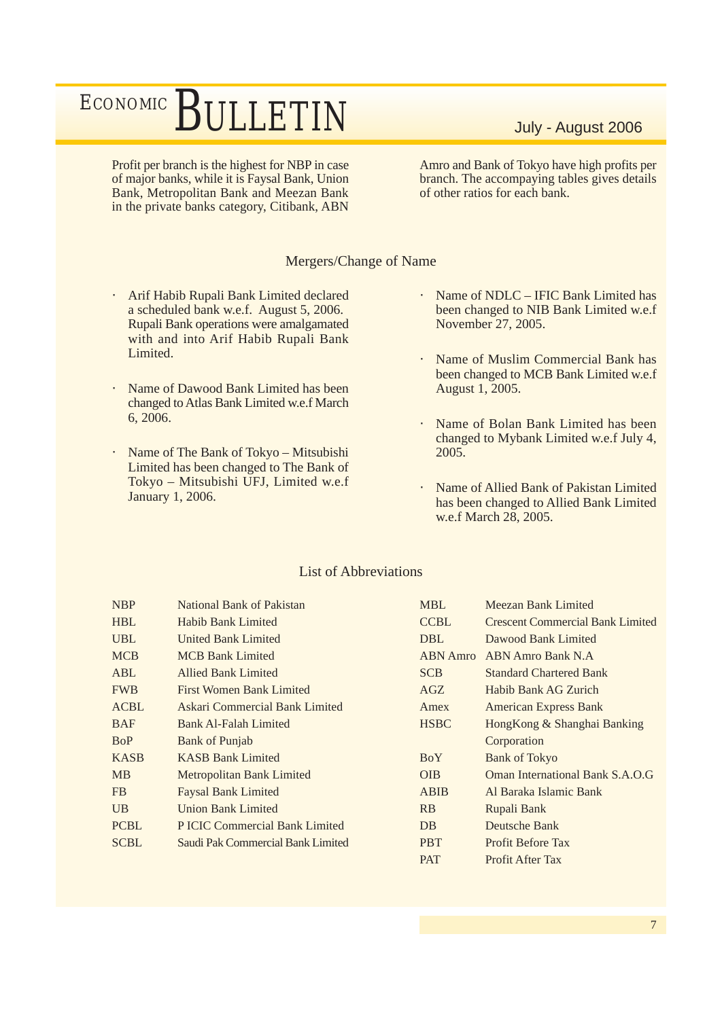Profit per branch is the highest for NBP in case of major banks, while it is Faysal Bank, Union Bank, Metropolitan Bank and Meezan Bank in the private banks category, Citibank, ABN

Amro and Bank of Tokyo have high profits per branch. The accompaying tables gives details of other ratios for each bank.

#### Mergers/Change of Name

- Arif Habib Rupali Bank Limited declared a scheduled bank w.e.f. August 5, 2006. Rupali Bank operations were amalgamated with and into Arif Habib Rupali Bank Limited.
- Name of Dawood Bank Limited has been changed to Atlas Bank Limited w.e.f March 6, 2006.
- Name of The Bank of Tokyo Mitsubishi Limited has been changed to The Bank of Tokyo – Mitsubishi UFJ, Limited w.e.f January 1, 2006.
- Name of NDLC IFIC Bank Limited has been changed to NIB Bank Limited w.e.f November 27, 2005.
- Name of Muslim Commercial Bank has been changed to MCB Bank Limited w.e.f August 1, 2005.
- Name of Bolan Bank Limited has been changed to Mybank Limited w.e.f July 4, 2005.
- Name of Allied Bank of Pakistan Limited has been changed to Allied Bank Limited w.e.f March 28, 2005.

#### List of Abbreviations

| <b>NBP</b>  | National Bank of Pakistan         | <b>MBL</b>  | Meezan Bank Limited                     |
|-------------|-----------------------------------|-------------|-----------------------------------------|
| <b>HBL</b>  | <b>Habib Bank Limited</b>         | <b>CCBL</b> | <b>Crescent Commercial Bank Limited</b> |
| <b>UBL</b>  | <b>United Bank Limited</b>        | <b>DBL</b>  | Dawood Bank Limited                     |
| <b>MCB</b>  | <b>MCB Bank Limited</b>           | ABN Amro    | ABN Amro Bank N.A.                      |
| <b>ABL</b>  | <b>Allied Bank Limited</b>        | <b>SCB</b>  | <b>Standard Chartered Bank</b>          |
| <b>FWB</b>  | <b>First Women Bank Limited</b>   | AGZ         | Habib Bank AG Zurich                    |
| <b>ACBL</b> | Askari Commercial Bank Limited    | Amex        | <b>American Express Bank</b>            |
| <b>BAF</b>  | <b>Bank Al-Falah Limited</b>      | <b>HSBC</b> | HongKong & Shanghai Banking             |
| BoP         | <b>Bank of Punjab</b>             |             | Corporation                             |
| <b>KASB</b> | <b>KASB Bank Limited</b>          | <b>BoY</b>  | <b>Bank of Tokyo</b>                    |
| <b>MB</b>   | Metropolitan Bank Limited         | <b>OIB</b>  | Oman International Bank S.A.O.G         |
| <b>FB</b>   | <b>Faysal Bank Limited</b>        | <b>ABIB</b> | Al Baraka Islamic Bank                  |
| <b>UB</b>   | <b>Union Bank Limited</b>         | RB          | Rupali Bank                             |
| <b>PCBL</b> | PICIC Commercial Bank Limited     | DB          | Deutsche Bank                           |
| <b>SCBL</b> | Saudi Pak Commercial Bank Limited | <b>PBT</b>  | <b>Profit Before Tax</b>                |
|             |                                   | <b>PAT</b>  | <b>Profit After Tax</b>                 |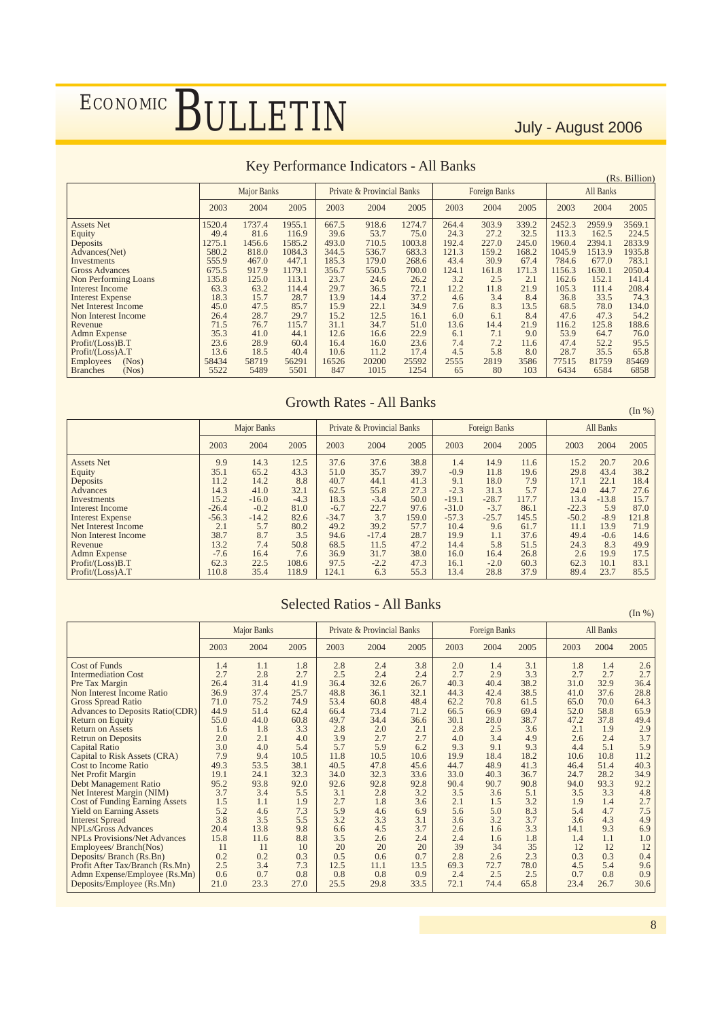|                             |        | –– – <i>J</i>      |        |       |                            |        |       |                      |       |        |           | (Rs. Billion) |
|-----------------------------|--------|--------------------|--------|-------|----------------------------|--------|-------|----------------------|-------|--------|-----------|---------------|
|                             |        | <b>Major Banks</b> |        |       | Private & Provincial Banks |        |       | <b>Foreign Banks</b> |       |        | All Banks |               |
|                             | 2003   | 2004               | 2005   | 2003  | 2004                       | 2005   | 2003  | 2004                 | 2005  | 2003   | 2004      | 2005          |
| <b>Assets Net</b>           | 1520.4 | 1737.4             | 1955.1 | 667.5 | 918.6                      | 1274.7 | 264.4 | 303.9                | 339.2 | 2452.3 | 2959.9    | 3569.1        |
| Equity                      | 49.4   | 81.6               | 116.9  | 39.6  | 53.7                       | 75.0   | 24.3  | 27.2                 | 32.5  | 113.3  | 162.5     | 224.5         |
| Deposits                    | 1275.1 | 1456.6             | 1585.2 | 493.0 | 710.5                      | 1003.8 | 192.4 | 227.0                | 245.0 | 1960.4 | 2394.1    | 2833.9        |
| Advances(Net)               | 580.2  | 818.0              | 1084.3 | 344.5 | 536.7                      | 683.3  | 121.3 | 159.2                | 168.2 | 1045.9 | 1513.9    | 1935.8        |
| Investments                 | 555.9  | 467.0              | 447.1  | 185.3 | 179.0                      | 268.6  | 43.4  | 30.9                 | 67.4  | 784.6  | 677.0     | 783.1         |
| <b>Gross Advances</b>       | 675.5  | 917.9              | 1179.1 | 356.7 | 550.5                      | 700.0  | 124.1 | 161.8                | 171.3 | 1156.3 | 1630.1    | 2050.4        |
| <b>Non Performing Loans</b> | 135.8  | 125.0              | 113.1  | 23.7  | 24.6                       | 26.2   | 3.2   | 2.5                  | 2.1   | 162.6  | 152.1     | 141.4         |
| <b>Interest Income</b>      | 63.3   | 63.2               | 114.4  | 29.7  | 36.5                       | 72.1   | 12.2  | 11.8                 | 21.9  | 105.3  | 111.4     | 208.4         |
| <b>Interest Expense</b>     | 18.3   | 15.7               | 28.7   | 13.9  | 14.4                       | 37.2   | 4.6   | 3.4                  | 8.4   | 36.8   | 33.5      | 74.3          |
| Net Interest Income         | 45.0   | 47.5               | 85.7   | 15.9  | 22.1                       | 34.9   | 7.6   | 8.3                  | 13.5  | 68.5   | 78.0      | 134.0         |
| Non Interest Income         | 26.4   | 28.7               | 29.7   | 15.2  | 12.5                       | 16.1   | 6.0   | 6.1                  | 8.4   | 47.6   | 47.3      | 54.2          |
| Revenue                     | 71.5   | 76.7               | 115.7  | 31.1  | 34.7                       | 51.0   | 13.6  | 14.4                 | 21.9  | 116.2  | 125.8     | 188.6         |
| <b>Admn</b> Expense         | 35.3   | 41.0               | 44.1   | 12.6  | 16.6                       | 22.9   | 6.1   | 7.1                  | 9.0   | 53.9   | 64.7      | 76.0          |
| Profit/(Loss)B.T            | 23.6   | 28.9               | 60.4   | 16.4  | 16.0                       | 23.6   | 7.4   | 7.2                  | 11.6  | 47.4   | 52.2      | 95.5          |
| Profit/(Loss)A.T            | 13.6   | 18.5               | 40.4   | 10.6  | 11.2                       | 17.4   | 4.5   | 5.8                  | 8.0   | 28.7   | 35.5      | 65.8          |
| Employees<br>(Nos)          | 58434  | 58719              | 56291  | 16526 | 20200                      | 25592  | 2555  | 2819                 | 3586  | 77515  | 81759     | 85469         |
| (Nos)<br><b>Branches</b>    | 5522   | 5489               | 5501   | 847   | 1015                       | 1254   | 65    | 80                   | 103   | 6434   | 6584      | 6858          |

### Key Performance Indicators - All Banks

#### Growth Rates - All Banks

(In %)

(In %)

|                         |         | Major Banks |        |         | Private & Provincial Banks |       |         | <b>Foreign Banks</b> |       |         | All Banks |       |
|-------------------------|---------|-------------|--------|---------|----------------------------|-------|---------|----------------------|-------|---------|-----------|-------|
|                         | 2003    | 2004        | 2005   | 2003    | 2004                       | 2005  | 2003    | 2004                 | 2005  | 2003    | 2004      | 2005  |
| <b>Assets Net</b>       | 9.9     | 14.3        | 12.5   | 37.6    | 37.6                       | 38.8  | 1.4     | 14.9                 | 11.6  | 15.2    | 20.7      | 20.6  |
| Equity                  | 35.1    | 65.2        | 43.3   | 51.0    | 35.7                       | 39.7  | $-0.9$  | 11.8                 | 19.6  | 29.8    | 43.4      | 38.2  |
| Deposits                | 11.2    | 14.2        | 8.8    | 40.7    | 44.1                       | 41.3  | 9.1     | 18.0                 | 7.9   | 17.1    | 22.1      | 18.4  |
| Advances                | 14.3    | 41.0        | 32.1   | 62.5    | 55.8                       | 27.3  | $-2.3$  | 31.3                 | 5.7   | 24.0    | 44.7      | 27.6  |
| Investments             | 15.2    | $-16.0$     | $-4.3$ | 18.3    | $-3.4$                     | 50.0  | $-19.1$ | $-28.7$              | 117.7 | 13.4    | $-13.8$   | 15.7  |
| Interest Income         | $-26.4$ | $-0.2$      | 81.0   | $-6.7$  | 22.7                       | 97.6  | $-31.0$ | $-3.7$               | 86.1  | $-22.3$ | 5.9       | 87.0  |
| <b>Interest Expense</b> | $-56.3$ | $-14.2$     | 82.6   | $-34.7$ | 3.7                        | 159.0 | $-57.3$ | $-25.7$              | 145.5 | $-50.2$ | $-8.9$    | 121.8 |
| Net Interest Income     | 2.1     | 5.7         | 80.2   | 49.2    | 39.2                       | 57.7  | 10.4    | 9.6                  | 61.7  | 11.1    | 13.9      | 71.9  |
| Non Interest Income     | 38.7    | 8.7         | 3.5    | 94.6    | $-17.4$                    | 28.7  | 19.9    | 1.1                  | 37.6  | 49.4    | $-0.6$    | 14.6  |
| Revenue                 | 13.2    | 7.4         | 50.8   | 68.5    | 11.5                       | 47.2  | 14.4    | 5.8                  | 51.5  | 24.3    | 8.3       | 49.9  |
| <b>Admn</b> Expense     | $-7.6$  | 16.4        | 7.6    | 36.9    | 31.7                       | 38.0  | 16.0    | 16.4                 | 26.8  | 2.6     | 19.9      | 17.5  |
| Profit/(Loss)B.T        | 62.3    | 22.5        | 108.6  | 97.5    | $-2.2$                     | 47.3  | 16.1    | $-2.0$               | 60.3  | 62.3    | 10.1      | 83.1  |
| Profit/(Loss)A.T        | 110.8   | 35.4        | 118.9  | 124.1   | 6.3                        | 55.3  | 13.4    | 28.8                 | 37.9  | 89.4    | 23.7      | 85.5  |

#### Selected Ratios - All Banks

|                                       |      | <b>Major Banks</b> |      |      | Private & Provincial Banks |      |      | <b>Foreign Banks</b> |      |      | All Banks |      |
|---------------------------------------|------|--------------------|------|------|----------------------------|------|------|----------------------|------|------|-----------|------|
|                                       | 2003 | 2004               | 2005 | 2003 | 2004                       | 2005 | 2003 | 2004                 | 2005 | 2003 | 2004      | 2005 |
| <b>Cost of Funds</b>                  | 1.4  | 1.1                | 1.8  | 2.8  | 2.4                        | 3.8  | 2.0  | 1.4                  | 3.1  | 1.8  | 1.4       | 2.6  |
| <b>Intermediation Cost</b>            | 2.7  | 2.8                | 2.7  | 2.5  | 2.4                        | 2.4  | 2.7  | 2.9                  | 3.3  | 2.7  | 2.7       | 2.7  |
| Pre Tax Margin                        | 26.4 | 31.4               | 41.9 | 36.4 | 32.6                       | 26.7 | 40.3 | 40.4                 | 38.2 | 31.0 | 32.9      | 36.4 |
| Non Interest Income Ratio             | 36.9 | 37.4               | 25.7 | 48.8 | 36.1                       | 32.1 | 44.3 | 42.4                 | 38.5 | 41.0 | 37.6      | 28.8 |
| <b>Gross Spread Ratio</b>             | 71.0 | 75.2               | 74.9 | 53.4 | 60.8                       | 48.4 | 62.2 | 70.8                 | 61.5 | 65.0 | 70.0      | 64.3 |
| Advances to Deposits Ratio(CDR)       | 44.9 | 51.4               | 62.4 | 66.4 | 73.4                       | 71.2 | 66.5 | 66.9                 | 69.4 | 52.0 | 58.8      | 65.9 |
| Return on Equity                      | 55.0 | 44.0               | 60.8 | 49.7 | 34.4                       | 36.6 | 30.1 | 28.0                 | 38.7 | 47.2 | 37.8      | 49.4 |
| <b>Return on Assets</b>               | 1.6  | 1.8                | 3.3  | 2.8  | 2.0                        | 2.1  | 2.8  | 2.5                  | 3.6  | 2.1  | 1.9       | 2.9  |
| <b>Retrun on Deposits</b>             | 2.0  | 2.1                | 4.0  | 3.9  | 2.7                        | 2.7  | 4.0  | 3.4                  | 4.9  | 2.6  | 2.4       | 3.7  |
| Capital Ratio                         | 3.0  | 4.0                | 5.4  | 5.7  | 5.9                        | 6.2  | 9.3  | 9.1                  | 9.3  | 4.4  | 5.1       | 5.9  |
| Capital to Risk Assets (CRA)          | 7.9  | 9.4                | 10.5 | 11.8 | 10.5                       | 10.6 | 19.9 | 18.4                 | 18.2 | 10.6 | 10.8      | 11.2 |
| Cost to Income Ratio                  | 49.3 | 53.5               | 38.1 | 40.5 | 47.8                       | 45.6 | 44.7 | 48.9                 | 41.3 | 46.4 | 51.4      | 40.3 |
| Net Profit Margin                     | 19.1 | 24.1               | 32.3 | 34.0 | 32.3                       | 33.6 | 33.0 | 40.3                 | 36.7 | 24.7 | 28.2      | 34.9 |
| Debt Management Ratio                 | 95.2 | 93.8               | 92.0 | 92.6 | 92.8                       | 92.8 | 90.4 | 90.7                 | 90.8 | 94.0 | 93.3      | 92.2 |
| Net Interest Margin (NIM)             | 3.7  | 3.4                | 5.5  | 3.1  | 2.8                        | 3.2  | 3.5  | 3.6                  | 5.1  | 3.5  | 3.3       | 4.8  |
| <b>Cost of Funding Earning Assets</b> | 1.5  | 1.1                | 1.9  | 2.7  | 1.8                        | 3.6  | 2.1  | 1.5                  | 3.2  | 1.9  | 1.4       | 2.7  |
| <b>Yield on Earning Assets</b>        | 5.2  | 4.6                | 7.3  | 5.9  | 4.6                        | 6.9  | 5.6  | 5.0                  | 8.3  | 5.4  | 4.7       | 7.5  |
| <b>Interest Spread</b>                | 3.8  | 3.5                | 5.5  | 3.2  | 3.3                        | 3.1  | 3.6  | 3.2                  | 3.7  | 3.6  | 4.3       | 4.9  |
| <b>NPLs/Gross Advances</b>            | 20.4 | 13.8               | 9.8  | 6.6  | 4.5                        | 3.7  | 2.6  | 1.6                  | 3.3  | 14.1 | 9.3       | 6.9  |
| <b>NPLs Provisions/Net Advances</b>   | 15.8 | 11.6               | 8.8  | 3.5  | 2.6                        | 2.4  | 2.4  | 1.6                  | 1.8  | 1.4  | 1.1       | 1.0  |
| Employees/Branch(Nos)                 | 11   | 11                 | 10   | 20   | 20                         | 20   | 39   | 34                   | 35   | 12   | 12        | 12   |
| Deposits/Branch (Rs.Bn)               | 0.2  | 0.2                | 0.3  | 0.5  | 0.6                        | 0.7  | 2.8  | 2.6                  | 2.3  | 0.3  | 0.3       | 0.4  |
| Profit After Tax/Branch (Rs.Mn)       | 2.5  | 3.4                | 7.3  | 12.5 | 11.1                       | 13.5 | 69.3 | 72.7                 | 78.0 | 4.5  | 5.4       | 9.6  |
| Admn Expense/Employee (Rs.Mn)         | 0.6  | 0.7                | 0.8  | 0.8  | 0.8                        | 0.9  | 2.4  | 2.5                  | 2.5  | 0.7  | 0.8       | 0.9  |
| Deposits/Employee (Rs.Mn)             | 21.0 | 23.3               | 27.0 | 25.5 | 29.8                       | 33.5 | 72.1 | 74.4                 | 65.8 | 23.4 | 26.7      | 30.6 |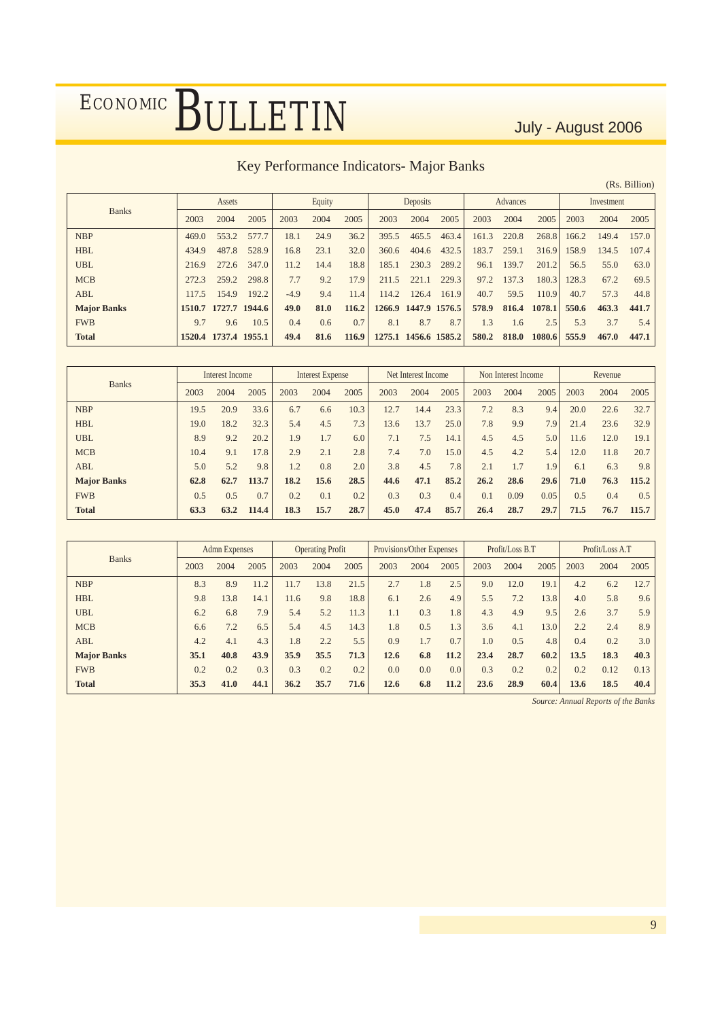### Key Performance Indicators- Major Banks

|                    |       |                      |       |        |        |       |       |          |                      |       |          |        |       |            | (Rs. Billion) |
|--------------------|-------|----------------------|-------|--------|--------|-------|-------|----------|----------------------|-------|----------|--------|-------|------------|---------------|
|                    |       | Assets               |       |        | Equity |       |       | Deposits |                      |       | Advances |        |       | Investment |               |
| <b>Banks</b>       | 2003  | 2004                 | 2005  | 2003   | 2004   | 2005  | 2003  | 2004     | 2005                 | 2003  | 2004     | 2005   | 2003  | 2004       | 2005          |
| <b>NBP</b>         | 469.0 | 553.2                | 577.7 | 18.1   | 24.9   | 36.2  | 395.5 | 465.5    | 463.4                | 161.3 | 220.8    | 268.8  | 166.2 | 149.4      | 157.0         |
| <b>HBL</b>         | 434.9 | 487.8                | 528.9 | 16.8   | 23.1   | 32.0  | 360.6 | 404.6    | 432.5                | 183.7 | 259.1    | 316.9  | 158.9 | 134.5      | 107.4         |
| <b>UBL</b>         | 216.9 | 272.6                | 347.0 | 11.2   | 14.4   | 18.8  | 185.1 | 230.3    | 289.2                | 96.1  | 139.7    | 201.2  | 56.5  | 55.0       | 63.0          |
| <b>MCB</b>         | 272.3 | 259.2                | 298.8 | 7.7    | 9.2    | 17.9  | 211.5 | 221.1    | 229.3                | 97.2  | 137.3    | 180.3  | 128.3 | 67.2       | 69.5          |
| ABL                | 117.5 | 154.9                | 192.2 | $-4.9$ | 9.4    | 11.4  | 114.2 | 126.4    | 161.9                | 40.7  | 59.5     | 110.9  | 40.7  | 57.3       | 44.8          |
| <b>Major Banks</b> |       | 1510.7 1727.7 1944.6 |       | 49.0   | 81.0   | 116.2 |       |          | 1266.9 1447.9 1576.5 | 578.9 | 816.4    | 1078.1 | 550.6 | 463.3      | 441.7         |
| <b>FWB</b>         | 9.7   | 9.6                  | 10.5  | 0.4    | 0.6    | 0.7   | 8.1   | 8.7      | 8.7                  | 1.3   | 1.6      | 2.5    | 5.3   | 3.7        | 5.4           |
| <b>Total</b>       |       | 1520.4 1737.4 1955.1 |       | 49.4   | 81.6   | 116.9 |       |          | 1275.1 1456.6 1585.2 | 580.2 | 818.0    | 1080.6 | 555.9 | 467.0      | 447.1         |

|                    |      | Interest Income |       |      | <b>Interest Expense</b> |      |      | Net Interest Income |      |      | Non Interest Income |      |      | Revenue |       |
|--------------------|------|-----------------|-------|------|-------------------------|------|------|---------------------|------|------|---------------------|------|------|---------|-------|
| <b>Banks</b>       | 2003 | 2004            | 2005  | 2003 | 2004                    | 2005 | 2003 | 2004                | 2005 | 2003 | 2004                | 2005 | 2003 | 2004    | 2005  |
| <b>NBP</b>         | 19.5 | 20.9            | 33.6  | 6.7  | 6.6                     | 10.3 | 12.7 | 14.4                | 23.3 | 7.2  | 8.3                 | 9.4  | 20.0 | 22.6    | 32.7  |
| <b>HBL</b>         | 19.0 | 18.2            | 32.3  | 5.4  | 4.5                     | 7.3  | 13.6 | 13.7                | 25.0 | 7.8  | 9.9                 | 7.9  | 21.4 | 23.6    | 32.9  |
| <b>UBL</b>         | 8.9  | 9.2             | 20.2  | 1.9  | 1.7                     | 6.0  | 7.1  | 7.5                 | 14.1 | 4.5  | 4.5                 | 5.0  | 11.6 | 12.0    | 19.1  |
| <b>MCB</b>         | 10.4 | 9.1             | 17.8  | 2.9  | 2.1                     | 2.8  | 7.4  | 7.0                 | 15.0 | 4.5  | 4.2                 | 5.4  | 12.0 | 11.8    | 20.7  |
| <b>ABL</b>         | 5.0  | 5.2             | 9.8   | 1.2  | 0.8                     | 2.0  | 3.8  | 4.5                 | 7.8  | 2.1  | 1.7                 | 1.9  | 6.1  | 6.3     | 9.8   |
| <b>Major Banks</b> | 62.8 | 62.7            | 113.7 | 18.2 | 15.6                    | 28.5 | 44.6 | 47.1                | 85.2 | 26.2 | 28.6                | 29.6 | 71.0 | 76.3    | 115.2 |
| <b>FWB</b>         | 0.5  | 0.5             | 0.7   | 0.2  | 0.1                     | 0.2  | 0.3  | 0.3                 | 0.4  | 0.1  | 0.09                | 0.05 | 0.5  | 0.4     | 0.5   |
| <b>Total</b>       | 63.3 | 63.2            | 114.4 | 18.3 | 15.7                    | 28.7 | 45.0 | 47.4                | 85.7 | 26.4 | 28.7                | 29.7 | 71.5 | 76.7    | 115.7 |

|                    |      | Admn Expenses |      |      | <b>Operating Profit</b> |      | Provisions/Other Expenses |      |      |      | Profit/Loss B.T |      |      | Profit/Loss A.T |      |
|--------------------|------|---------------|------|------|-------------------------|------|---------------------------|------|------|------|-----------------|------|------|-----------------|------|
| <b>Banks</b>       | 2003 | 2004          | 2005 | 2003 | 2004                    | 2005 | 2003                      | 2004 | 2005 | 2003 | 2004            | 2005 | 2003 | 2004            | 2005 |
| <b>NBP</b>         | 8.3  | 8.9           | 11.2 | 11.7 | 13.8                    | 21.5 | 2.7                       | 1.8  | 2.5  | 9.0  | 12.0            | 19.1 | 4.2  | 6.2             | 12.7 |
| <b>HBL</b>         | 9.8  | 13.8          | 14.1 | 11.6 | 9.8                     | 18.8 | 6.1                       | 2.6  | 4.9  | 5.5  | 7.2             | 13.8 | 4.0  | 5.8             | 9.6  |
| <b>UBL</b>         | 6.2  | 6.8           | 7.9  | 5.4  | 5.2                     | 11.3 | 1.1                       | 0.3  | 1.8  | 4.3  | 4.9             | 9.5  | 2.6  | 3.7             | 5.9  |
| <b>MCB</b>         | 6.6  | 7.2           | 6.5  | 5.4  | 4.5                     | 14.3 | 1.8                       | 0.5  | 1.3  | 3.6  | 4.1             | 13.0 | 2.2  | 2.4             | 8.9  |
| ABL                | 4.2  | 4.1           | 4.3  | 1.8  | 2.2                     | 5.5  | 0.9                       | 1.7  | 0.7  | 1.0  | 0.5             | 4.8  | 0.4  | 0.2             | 3.0  |
| <b>Major Banks</b> | 35.1 | 40.8          | 43.9 | 35.9 | 35.5                    | 71.3 | 12.6                      | 6.8  | 11.2 | 23.4 | 28.7            | 60.2 | 13.5 | 18.3            | 40.3 |
| <b>FWB</b>         | 0.2  | 0.2           | 0.3  | 0.3  | 0.2                     | 0.2  | 0.0                       | 0.0  | 0.0  | 0.3  | 0.2             | 0.2  | 0.2  | 0.12            | 0.13 |
| <b>Total</b>       | 35.3 | 41.0          | 44.1 | 36.2 | 35.7                    | 71.6 | 12.6                      | 6.8  | 11.2 | 23.6 | 28.9            | 60.4 | 13.6 | 18.5            | 40.4 |

*Source: Annual Reports of the Banks*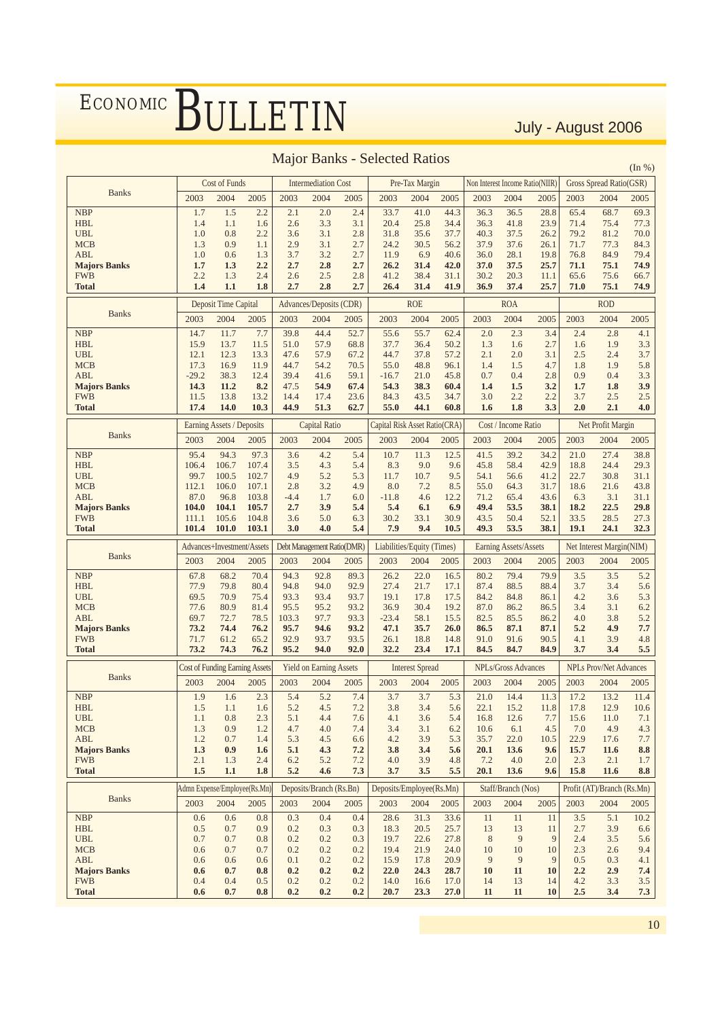|                                   |                              |                                       |                |              | $\mathbf{u}$ and $\mathbf{v}$ and $\mathbf{v}$ |              | <b>Deleted Tratico</b>        |                        |              |                                 |                       |              |              |                               | (In %)       |
|-----------------------------------|------------------------------|---------------------------------------|----------------|--------------|------------------------------------------------|--------------|-------------------------------|------------------------|--------------|---------------------------------|-----------------------|--------------|--------------|-------------------------------|--------------|
|                                   |                              | Cost of Funds                         |                |              | <b>Intermediation Cost</b>                     |              |                               | Pre-Tax Margin         |              | Non Interest Income Ratio(NIIR) |                       |              |              | Gross Spread Ratio(GSR)       |              |
| <b>Banks</b>                      | 2003                         | 2004                                  | 2005           | 2003         | 2004                                           | 2005         | 2003                          | 2004                   | 2005         | 2003                            | 2004                  | 2005         | 2003         | 2004                          | 2005         |
| <b>NBP</b>                        | 1.7                          | 1.5                                   | 2.2            | 2.1          | 2.0                                            | 2.4          | 33.7                          | 41.0                   | 44.3         | 36.3                            | 36.5                  | 28.8         | 65.4         | 68.7                          | 69.3         |
| <b>HBL</b>                        | 1.4                          | 1.1                                   | 1.6            | 2.6          | 3.3                                            | 3.1          | 20.4                          | 25.8                   | 34.4         | 36.3                            | 41.8                  | 23.9         | 71.4         | 75.4                          | 77.3         |
| <b>UBL</b>                        | 1.0                          | 0.8                                   | 2.2            | 3.6          | 3.1                                            | 2.8          | 31.8                          | 35.6                   | 37.7         | 40.3                            | 37.5                  | 26.2         | 79.2         | 81.2                          | 70.0         |
| <b>MCB</b>                        | 1.3                          | 0.9                                   | 1.1            | 2.9          | 3.1                                            | 2.7          | 24.2                          | 30.5                   | 56.2         | 37.9                            | 37.6                  | 26.1         | 71.7         | 77.3                          | 84.3         |
| <b>ABL</b>                        | 1.0                          | 0.6                                   | 1.3            | 3.7          | 3.2                                            | 2.7          | 11.9                          | 6.9                    | 40.6         | 36.0                            | 28.1                  | 19.8         | 76.8         | 84.9                          | 79.4         |
| <b>Majors Banks</b><br><b>FWB</b> | 1.7<br>2.2                   | 1.3<br>1.3                            | 2.2<br>2.4     | 2.7<br>2.6   | 2.8<br>2.5                                     | 2.7<br>2.8   | 26.2<br>41.2                  | 31.4<br>38.4           | 42.0<br>31.1 | 37.0<br>30.2                    | 37.5<br>20.3          | 25.7<br>11.1 | 71.1<br>65.6 | 75.1<br>75.6                  | 74.9<br>66.7 |
| <b>Total</b>                      | 1.4                          | 1.1                                   | 1.8            | 2.7          | 2.8                                            | 2.7          | 26.4                          | 31.4                   | 41.9         | 36.9                            | 37.4                  | 25.7         | 71.0         | 75.1                          | 74.9         |
|                                   |                              | <b>Deposit Time Capital</b>           |                |              |                                                |              |                               | <b>ROE</b>             |              |                                 | <b>ROA</b>            |              |              | <b>ROD</b>                    |              |
| <b>Banks</b>                      |                              |                                       |                |              | Advances/Deposits (CDR)                        |              |                               |                        |              |                                 |                       |              |              |                               |              |
|                                   | 2003                         | 2004                                  | 2005           | 2003         | 2004                                           | 2005         | 2003                          | 2004                   | 2005         | 2003                            | 2004                  | 2005         | 2003         | 2004                          | 2005         |
| <b>NBP</b>                        | 14.7                         | 11.7                                  | 7.7            | 39.8         | 44.4                                           | 52.7         | 55.6                          | 55.7                   | 62.4         | 2.0                             | 2.3                   | 3.4          | 2.4          | 2.8                           | 4.1          |
| <b>HBL</b><br>UBL                 | 15.9<br>12.1                 | 13.7<br>12.3                          | 11.5<br>13.3   | 51.0<br>47.6 | 57.9<br>57.9                                   | 68.8<br>67.2 | 37.7<br>44.7                  | 36.4<br>37.8           | 50.2<br>57.2 | 1.3<br>2.1                      | 1.6<br>2.0            | 2.7<br>3.1   | 1.6<br>2.5   | 1.9<br>2.4                    | 3.3<br>3.7   |
| <b>MCB</b>                        | 17.3                         | 16.9                                  | 11.9           | 44.7         | 54.2                                           | 70.5         | 55.0                          | 48.8                   | 96.1         | 1.4                             | 1.5                   | 4.7          | 1.8          | 1.9                           | 5.8          |
| ABL                               | $-29.2$                      | 38.3                                  | 12.4           | 39.4         | 41.6                                           | 59.1         | $-16.7$                       | 21.0                   | 45.8         | 0.7                             | 0.4                   | 2.8          | 0.9          | 0.4                           | 3.3          |
| <b>Majors Banks</b>               | 14.3                         | 11.2                                  | 8.2            | 47.5         | 54.9                                           | 67.4         | 54.3                          | 38.3                   | 60.4         | 1.4                             | 1.5                   | 3.2          | 1.7          | 1.8                           | 3.9          |
| <b>FWB</b>                        | 11.5                         | 13.8                                  | 13.2           | 14.4         | 17.4                                           | 23.6         | 84.3                          | 43.5                   | 34.7         | 3.0                             | 2.2                   | 2.2          | 3.7          | 2.5                           | 2.5          |
| <b>Total</b>                      | 17.4                         | 14.0                                  | 10.3           | 44.9         | 51.3                                           | 62.7         | 55.0                          | 44.1                   | 60.8         | 1.6                             | 1.8                   | 3.3          | 2.0          | 2.1                           | 4.0          |
|                                   |                              | Earning Assets / Deposits             |                |              | Capital Ratio                                  |              | Capital Risk Asset Ratio(CRA) |                        |              |                                 | Cost / Income Ratio   |              |              | Net Profit Margin             |              |
| <b>Banks</b>                      | 2003                         | 2004                                  | 2005           | 2003         | 2004                                           | 2005         | 2003                          | 2004                   | 2005         | 2003                            | 2004                  | 2005         | 2003         | 2004                          | 2005         |
| <b>NBP</b>                        | 95.4                         | 94.3                                  | 97.3           | 3.6          | 4.2                                            | 5.4          | 10.7                          | 11.3                   | 12.5         | 41.5                            | 39.2                  | 34.2         | 21.0         | 27.4                          | 38.8         |
| <b>HBL</b>                        | 106.4                        | 106.7                                 | 107.4          | 3.5          | 4.3                                            | 5.4          | 8.3                           | 9.0                    | 9.6          | 45.8                            | 58.4                  | 42.9         | 18.8         | 24.4                          | 29.3         |
| <b>UBL</b>                        | 99.7                         | 100.5                                 | 102.7          | 4.9          | 5.2                                            | 5.3          | 11.7                          | 10.7                   | 9.5          | 54.1                            | 56.6                  | 41.2         | 22.7         | 30.8                          | 31.1         |
| <b>MCB</b>                        | 112.1                        | 106.0                                 | 107.1          | 2.8          | 3.2                                            | 4.9          | 8.0                           | 7.2                    | 8.5          | 55.0                            | 64.3                  | 31.7         | 18.6         | 21.6                          | 43.8         |
| <b>ABL</b>                        | 87.0                         | 96.8                                  | 103.8          | $-4.4$       | 1.7                                            | 6.0          | $-11.8$                       | 4.6                    | 12.2         | 71.2                            | 65.4                  | 43.6         | 6.3          | 3.1                           | 31.1         |
| <b>Majors Banks</b><br><b>FWB</b> | 104.0                        | 104.1                                 | 105.7          | 2.7          | 3.9                                            | 5.4          | 5.4                           | 6.1                    | 6.9          | 49.4                            | 53.5                  | 38.1         | 18.2         | 22.5                          | 29.8         |
| <b>Total</b>                      | 111.1<br>101.4               | 105.6<br>101.0                        | 104.8<br>103.1 | 3.6<br>3.0   | 5.0<br>4.0                                     | 6.3<br>5.4   | 30.2<br>7.9                   | 33.1<br>9.4            | 30.9<br>10.5 | 43.5<br>49.3                    | 50.4<br>53.5          | 52.1<br>38.1 | 33.5<br>19.1 | 28.5<br>24.1                  | 27.3<br>32.3 |
|                                   |                              |                                       |                |              |                                                |              |                               |                        |              |                                 |                       |              |              |                               |              |
| <b>Banks</b>                      |                              | Advances+Investment/Assets            |                |              | Debt Management Ratio(DMR)                     |              | Liabilities/Equity (Times)    |                        |              |                                 | Earning Assets/Assets |              |              | Net Interest Margin(NIM)      |              |
|                                   | 2003                         | 2004                                  | 2005           | 2003         | 2004                                           | 2005         | 2003                          | 2004                   | 2005         | 2003                            | 2004                  | 2005         | 2003         | 2004                          | 2005         |
| <b>NBP</b>                        | 67.8                         | 68.2                                  | 70.4           | 94.3         | 92.8                                           | 89.3         | 26.2                          | 22.0                   | 16.5         | 80.2                            | 79.4                  | 79.9         | 3.5          | 3.5                           | 5.2          |
| <b>HBL</b><br><b>UBL</b>          | 77.9<br>69.5                 | 79.8<br>70.9                          | 80.4<br>75.4   | 94.8<br>93.3 | 94.0<br>93.4                                   | 92.9<br>93.7 | 27.4<br>19.1                  | 21.7<br>17.8           | 17.1<br>17.5 | 87.4<br>84.2                    | 88.5<br>84.8          | 88.4<br>86.1 | 3.7<br>4.2   | 3.4<br>3.6                    | 5.6<br>5.3   |
| <b>MCB</b>                        | 77.6                         | 80.9                                  | 81.4           | 95.5         | 95.2                                           | 93.2         | 36.9                          | 30.4                   | 19.2         | 87.0                            | 86.2                  | 86.5         | 3.4          | 3.1                           | 6.2          |
| <b>ABL</b>                        | 69.7                         | 72.7                                  | 78.5           | 103.3        | 97.7                                           | 93.3         | $-23.4$                       | 58.1                   | 15.5         | 82.5                            | 85.5                  | 86.2         | 4.0          | 3.8                           | 5.2          |
| <b>Majors Banks</b>               | 73.2                         | 74.4                                  | 76.2           | 95.7         | 94.6                                           | 93.2         | 47.1                          | 35.7                   | 26.0         | 86.5                            | 87.1                  | 87.1         | 5.2          | 4.9                           | 7.7          |
| <b>FWB</b>                        | 71.7                         | 61.2                                  | 65.2           | 92.9         | 93.7                                           | 93.5         | 26.1                          | 18.8                   | 14.8         | 91.0                            | 91.6                  | 90.5         | 4.1          | 3.9                           | 4.8          |
| <b>Total</b>                      | 73.2                         | 74.3                                  | 76.2           | 95.2         | 94.0                                           | 92.0         | 32.2                          | 23.4                   | 17.1         | 84.5                            | 84.7                  | 84.9         | 3.7          | 3.4                           | 5.5          |
|                                   |                              | <b>Cost of Funding Earning Assets</b> |                |              | <b>Yield on Earning Assets</b>                 |              |                               | <b>Interest Spread</b> |              |                                 | NPLs/Gross Advances   |              |              | <b>NPLs Prov/Net Advances</b> |              |
| <b>Banks</b>                      | 2003                         | 2004                                  | 2005           | 2003         | 2004                                           | 2005         | 2003                          | 2004                   | 2005         | 2003                            | 2004                  | 2005         | 2003         | 2004                          | 2005         |
| <b>NBP</b>                        | 1.9                          | 1.6                                   | 2.3            | 5.4          | 5.2                                            | 7.4          | 3.7                           | 3.7                    | 5.3          | 21.0                            | 14.4                  | 11.3         | 17.2         | 13.2                          | 11.4         |
| HBL                               | 1.5                          | 1.1                                   | 1.6            | 5.2          | 4.5                                            | $7.2\,$      | 3.8                           | 3.4                    | 5.6          | 22.1                            | 15.2                  | 11.8         | 17.8         | 12.9                          | $10.6\,$     |
| UBL                               | 1.1                          | 0.8                                   | 2.3            | 5.1          | 4.4                                            | 7.6          | 4.1                           | 3.6                    | 5.4          | 16.8                            | 12.6                  | 7.7          | 15.6         | 11.0                          | 7.1          |
| <b>MCB</b><br><b>ABL</b>          | 1.3<br>1.2                   | 0.9<br>0.7                            | 1.2<br>1.4     | 4.7<br>5.3   | 4.0<br>4.5                                     | 7.4<br>6.6   | 3.4<br>4.2                    | 3.1<br>3.9             | 6.2<br>5.3   | 10.6<br>35.7                    | 6.1<br>22.0           | 4.5          | 7.0<br>22.9  | 4.9<br>17.6                   | 4.3<br>7.7   |
| <b>Majors Banks</b>               | 1.3                          | 0.9                                   | 1.6            | 5.1          | 4.3                                            | 7.2          | 3.8                           | 3.4                    | 5.6          | 20.1                            | 13.6                  | 10.5<br>9.6  | 15.7         | 11.6                          | 8.8          |
| <b>FWB</b>                        | 2.1                          | 1.3                                   | 2.4            | 6.2          | 5.2                                            | 7.2          | 4.0                           | 3.9                    | 4.8          | 7.2                             | 4.0                   | 2.0          | 2.3          | 2.1                           | 1.7          |
| <b>Total</b>                      | 1.5                          | 1.1                                   | 1.8            | 5.2          | 4.6                                            | 7.3          | 3.7                           | 3.5                    | 5.5          | 20.1                            | 13.6                  | 9.6          | 15.8         | 11.6                          | 8.8          |
|                                   | Admn Expense/Employee(Rs.Mn) |                                       |                |              | Deposits/Branch (Rs.Bn)                        |              | Deposits/Employee(Rs.Mn)      |                        |              |                                 | Staff/Branch (Nos)    |              |              | Profit (AT)/Branch (Rs.Mn)    |              |
| <b>Banks</b>                      | 2003                         | 2004                                  | 2005           | 2003         | 2004                                           | 2005         | 2003                          | 2004                   | 2005         | 2003                            | 2004                  | 2005         | 2003         | 2004                          | 2005         |
| <b>NBP</b>                        | 0.6                          | 0.6                                   | 0.8            | 0.3          | 0.4                                            | 0.4          | 28.6                          | 31.3                   | 33.6         | 11                              | 11                    | 11           | 3.5          | 5.1                           | 10.2         |
| <b>HBL</b>                        | 0.5                          | 0.7                                   | 0.9            | 0.2          | 0.3                                            | 0.3          | 18.3                          | 20.5                   | 25.7         | 13                              | 13                    | 11           | 2.7          | 3.9                           | 6.6          |
| <b>UBL</b>                        | 0.7                          | 0.7                                   | 0.8            | 0.2          | 0.2                                            | 0.3          | 19.7                          | 22.6                   | 27.8         | 8                               | 9                     | 9            | 2.4          | 3.5                           | 5.6          |
| <b>MCB</b>                        | 0.6                          | 0.7                                   | 0.7            | 0.2          | 0.2                                            | 0.2          | 19.4                          | 21.9                   | 24.0         | 10                              | 10                    | 10           | 2.3          | 2.6                           | 9.4          |
| <b>ABL</b>                        | 0.6                          | 0.6                                   | 0.6            | 0.1          | 0.2                                            | 0.2          | 15.9                          | 17.8                   | 20.9         | 9                               | 9                     | 9            | 0.5          | 0.3                           | 4.1          |
| <b>Majors Banks</b>               | 0.6                          | 0.7                                   | 0.8            | 0.2          | 0.2                                            | 0.2          | 22.0                          | 24.3                   | 28.7         | <b>10</b>                       | 11                    | 10           | 2.2          | 2.9                           | 7.4          |
| <b>FWB</b><br><b>Total</b>        | 0.4<br>0.6                   | 0.4<br>0.7                            | 0.5<br>0.8     | 0.2<br>0.2   | 0.2<br>0.2                                     | 0.2<br>0.2   | 14.0<br>20.7                  | 16.6<br>23.3           | 17.0<br>27.0 | 14                              | 13<br>11              | 14           | 4.2          | 3.3<br>3.4                    | 3.5<br>7.3   |
|                                   |                              |                                       |                |              |                                                |              |                               |                        |              | 11                              |                       | <b>10</b>    | 2.5          |                               |              |

#### Major Banks - Selected Ratios

10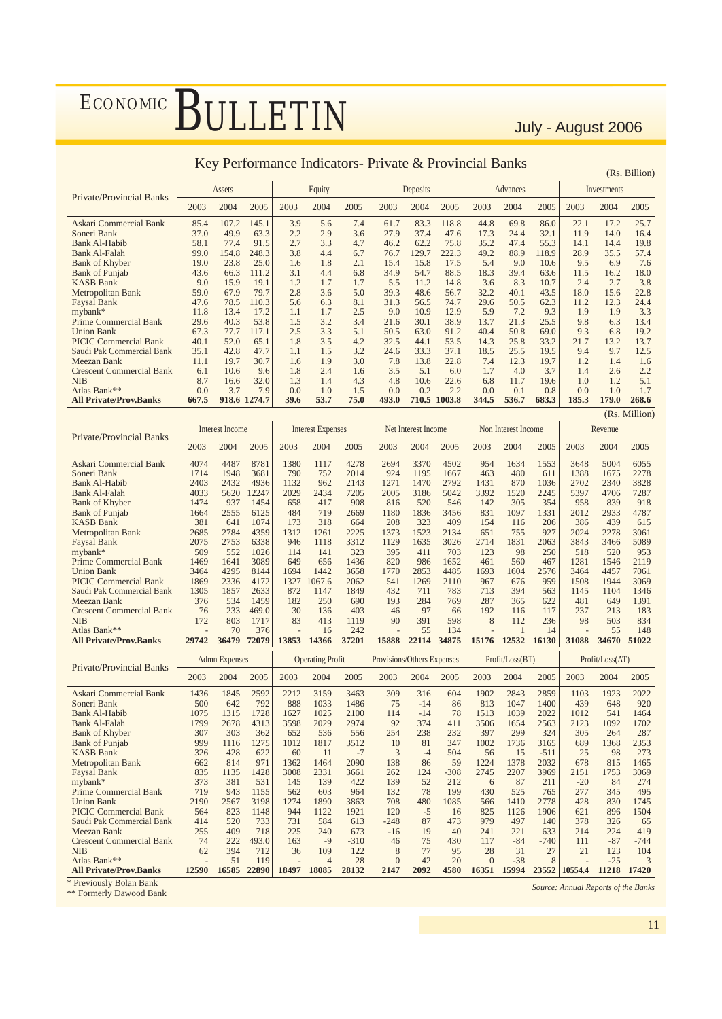#### Key Performance Indicators- Private & Provincial Banks

(Rs. Billion)

| <b>Private/Provincial Banks</b> |       | Assets |              |      | Equity |      |       | Deposits |              |       | Advances |       |       | Investments |               |
|---------------------------------|-------|--------|--------------|------|--------|------|-------|----------|--------------|-------|----------|-------|-------|-------------|---------------|
|                                 | 2003  | 2004   | 2005         | 2003 | 2004   | 2005 | 2003  | 2004     | 2005         | 2003  | 2004     | 2005  | 2003  | 2004        | 2005          |
| Askari Commercial Bank          | 85.4  | 107.2  | 145.1        | 3.9  | 5.6    | 7.4  | 61.7  | 83.3     | 118.8        | 44.8  | 69.8     | 86.0  | 22.1  | 17.2        | 25.7          |
| Soneri Bank                     | 37.0  | 49.9   | 63.3         | 2.2  | 2.9    | 3.6  | 27.9  | 37.4     | 47.6         | 17.3  | 24.4     | 32.1  | 11.9  | 14.0        | 16.4          |
| <b>Bank Al-Habib</b>            | 58.1  | 77.4   | 91.5         | 2.7  | 3.3    | 4.7  | 46.2  | 62.2     | 75.8         | 35.2  | 47.4     | 55.3  | 14.1  | 14.4        | 19.8          |
| <b>Bank Al-Falah</b>            | 99.0  | 154.8  | 248.3        | 3.8  | 4.4    | 6.7  | 76.7  | 129.7    | 222.3        | 49.2  | 88.9     | 118.9 | 28.9  | 35.5        | 57.4          |
| <b>Bank of Khyber</b>           | 19.0  | 23.8   | 25.0         | 1.6  | 1.8    | 2.1  | 15.4  | 15.8     | 17.5         | 5.4   | 9.0      | 10.6  | 9.5   | 6.9         | 7.6           |
| <b>Bank of Punjab</b>           | 43.6  | 66.3   | 111.2        | 3.1  | 4.4    | 6.8  | 34.9  | 54.7     | 88.5         | 18.3  | 39.4     | 63.6  | 11.5  | 16.2        | 18.0          |
| <b>KASB Bank</b>                | 9.0   | 15.9   | 19.1         | 1.2  | 1.7    | 1.7  | 5.5   | 11.2     | 14.8         | 3.6   | 8.3      | 10.7  | 2.4   | 2.7         | 3.8           |
| Metropolitan Bank               | 59.0  | 67.9   | 79.7         | 2.8  | 3.6    | 5.0  | 39.3  | 48.6     | 56.7         | 32.2  | 40.1     | 43.5  | 18.0  | 15.6        | 22.8          |
| <b>Faysal Bank</b>              | 47.6  | 78.5   | 110.3        | 5.6  | 6.3    | 8.1  | 31.3  | 56.5     | 74.7         | 29.6  | 50.5     | 62.3  | 11.2  | 12.3        | 24.4          |
| mybank*                         | 11.8  | 13.4   | 17.2         | 1.1  | 1.7    | 2.5  | 9.0   | 10.9     | 12.9         | 5.9   | 7.2      | 9.3   | 1.9   | 1.9         | 3.3           |
| <b>Prime Commercial Bank</b>    | 29.6  | 40.3   | 53.8         | 1.5  | 3.2    | 3.4  | 21.6  | 30.1     | 38.9         | 13.7  | 21.3     | 25.5  | 9.8   | 6.3         | 13.4          |
| <b>Union Bank</b>               | 67.3  | 77.7   | 117.1        | 2.5  | 3.3    | 5.1  | 50.5  | 63.0     | 91.2         | 40.4  | 50.8     | 69.0  | 9.3   | 6.8         | 19.2          |
| <b>PICIC Commercial Bank</b>    | 40.1  | 52.0   | 65.1         | 1.8  | 3.5    | 4.2  | 32.5  | 44.1     | 53.5         | 14.3  | 25.8     | 33.2  | 21.7  | 13.2        | 13.7          |
| Saudi Pak Commercial Bank       | 35.1  | 42.8   | 47.7         | 1.1  | 1.5    | 3.2  | 24.6  | 33.3     | 37.1         | 18.5  | 25.5     | 19.5  | 9.4   | 9.7         | 12.5          |
| Meezan Bank                     | 11.1  | 19.7   | 30.7         | 1.6  | 1.9    | 3.0  | 7.8   | 13.8     | 22.8         | 7.4   | 12.3     | 19.7  | 1.2   | 1.4         | 1.6           |
| <b>Crescent Commercial Bank</b> | 6.1   | 10.6   | 9.6          | 1.8  | 2.4    | 1.6  | 3.5   | 5.1      | 6.0          | 1.7   | 4.0      | 3.7   | 1.4   | 2.6         | 2.2           |
| <b>NIB</b>                      | 8.7   | 16.6   | 32.0         | 1.3  | 1.4    | 4.3  | 4.8   | 10.6     | 22.6         | 6.8   | 11.7     | 19.6  | 1.0   | 1.2         | 5.1           |
| Atlas Bank**                    | 0.0   | 3.7    | 7.9          | 0.0  | 1.0    | 1.5  | 0.0   | 0.2      | 2.2          | 0.0   | 0.1      | 0.8   | 0.0   | 1.0         | 1.7           |
| <b>All Private/Prov.Banks</b>   | 667.5 |        | 918.6 1274.7 | 39.6 | 53.7   | 75.0 | 493.0 |          | 710.5 1003.8 | 344.5 | 536.7    | 683.3 | 185.3 | 179.0       | 268.6         |
|                                 |       |        |              |      |        |      |       |          |              |       |          |       |       |             | (Rs. Million) |

| Private/Provincial Banks                      |             | Interest Income      |              |             | <b>Interest Expenses</b> |             |                            | Net Interest Income |            |                   | Non Interest Income |             |            | Revenue         |             |
|-----------------------------------------------|-------------|----------------------|--------------|-------------|--------------------------|-------------|----------------------------|---------------------|------------|-------------------|---------------------|-------------|------------|-----------------|-------------|
|                                               | 2003        | 2004                 | 2005         | 2003        | 2004                     | 2005        | 2003                       | 2004                | 2005       | 2003              | 2004                | 2005        | 2003       | 2004            | 2005        |
| Askari Commercial Bank                        | 4074        | 4487                 | 8781         | 1380        | 1117                     | 4278        | 2694                       | 3370                | 4502       | 954               | 1634                | 1553        | 3648       | 5004            | 6055        |
| Soneri Bank                                   | 1714        | 1948                 | 3681         | 790         | 752                      | 2014        | 924                        | 1195                | 1667       | 463               | 480                 | 611         | 1388       | 1675            | 2278        |
| <b>Bank Al-Habib</b>                          | 2403        | 2432                 | 4936         | 1132        | 962                      | 2143        | 1271                       | 1470                | 2792       | 1431              | 870                 | 1036        | 2702       | 2340            | 3828        |
| <b>Bank Al-Falah</b>                          | 4033        | 5620                 | 12247        | 2029        | 2434                     | 7205        | 2005                       | 3186                | 5042       | 3392              | 1520                | 2245        | 5397       | 4706            | 7287        |
| <b>Bank of Khyber</b>                         | 1474        | 937                  | 1454         | 658         | 417                      | 908         | 816                        | 520                 | 546        | 142               | 305                 | 354         | 958        | 839             | 918         |
| <b>Bank of Punjab</b>                         | 1664        | 2555                 | 6125         | 484         | 719                      | 2669        | 1180                       | 1836                | 3456       | 831               | 1097                | 1331        | 2012       | 2933            | 4787        |
| <b>KASB Bank</b>                              | 381         | 641                  | 1074         | 173         | 318                      | 664         | 208                        | 323                 | 409        | 154               | 116                 | 206         | 386        | 439             | 615         |
| Metropolitan Bank                             | 2685        | 2784                 | 4359         | 1312        | 1261                     | 2225        | 1373                       | 1523                | 2134       | 651               | 755                 | 927         | 2024       | 2278            | 3061        |
| <b>Faysal Bank</b>                            | 2075        | 2753                 | 6338         | 946         | 1118                     | 3312        | 1129                       | 1635                | 3026       | 2714              | 1831                | 2063        | 3843       | 3466            | 5089        |
| mybank*                                       | 509         | 552                  | 1026         | 114         | 141                      | 323         | 395                        | 411                 | 703        | 123               | 98                  | 250         | 518        | 520             | 953         |
| <b>Prime Commercial Bank</b>                  | 1469        | 1641                 | 3089         | 649         | 656                      | 1436        | 820                        | 986                 | 1652       | 461               | 560                 | 467         | 1281       | 1546            | 2119        |
| <b>Union Bank</b>                             | 3464        | 4295                 | 8144         | 1694        | 1442                     | 3658        | 1770                       | 2853                | 4485       | 1693              | 1604                | 2576        | 3464       | 4457            | 7061        |
| <b>PICIC Commercial Bank</b>                  | 1869        | 2336                 | 4172         | 1327        | 1067.6                   | 2062        | 541                        | 1269                | 2110       | 967               | 676                 | 959         | 1508       | 1944            | 3069        |
| Saudi Pak Commercial Bank                     | 1305        | 1857                 | 2633         | 872         | 1147                     | 1849        | 432                        | 711                 | 783        | 713               | 394                 | 563         | 1145       | 1104            | 1346        |
| Meezan Bank                                   | 376         | 534                  | 1459         | 182         | 250                      | 690         | 193                        | 284                 | 769        | 287               | 365                 | 622         | 481        | 649             | 1391        |
| <b>Crescent Commercial Bank</b>               | 76          | 233                  | 469.0        | 30          | 136                      | 403         | 46                         | 97                  | 66         | 192               | 116                 | 117         | 237        | 213             | 183         |
| <b>NIB</b>                                    | 172         | 803                  | 1717         | 83          | 413                      | 1119        | 90                         | 391                 | 598        | 8                 | 112                 | 236         | 98         | 503             | 834         |
| Atlas Bank**                                  |             | 70                   | 376          |             | 16                       | 242         |                            | 55                  | 134        |                   |                     | 14          |            | 55              | 148         |
| <b>All Private/Prov.Banks</b>                 | 29742       | 36479                | 72079        | 13853       | 14366                    | 37201       | 15888                      | 22114               | 34875      | 15176             | 12532               | 16130       | 31088      | 34670           | 51022       |
|                                               |             |                      |              |             |                          |             |                            |                     |            |                   |                     |             |            |                 |             |
|                                               |             | <b>Admn</b> Expenses |              |             | <b>Operating Profit</b>  |             | Provisions/Others Expenses |                     |            |                   | Profit/Loss(BT)     |             |            | Profit/Loss(AT) |             |
| Private/Provincial Banks                      | 2003        | 2004                 | 2005         | 2003        | 2004                     | 2005        | 2003                       | 2004                | 2005       | 2003              | 2004                | 2005        | 2003       | 2004            | 2005        |
|                                               |             |                      |              |             |                          |             |                            |                     |            |                   |                     |             |            |                 |             |
| Askari Commercial Bank                        | 1436        | 1845                 | 2592         | 2212        | 3159                     | 3463        | 309                        | 316                 | 604        | 1902              | 2843                | 2859        | 1103       | 1923            | 2022        |
| Soneri Bank                                   | 500         | 642                  | 792          | 888         | 1033                     | 1486        | 75                         | $-14$               | 86         | 813               | 1047                | 1400        | 439        | 648             | 920         |
| <b>Bank Al-Habib</b>                          | 1075        | 1315                 | 1728         | 1627        | 1025                     | 2100        | 114                        | $-14$               | 78         | 1513              | 1039                | 2022        | 1012       | 541             | 1464        |
| <b>Bank Al-Falah</b>                          | 1799<br>307 | 2678<br>303          | 4313<br>362  | 3598<br>652 | 2029                     | 2974        | 92<br>254                  | 374                 | 411        | 3506              | 1654                | 2563<br>324 | 2123       | 1092<br>264     | 1702        |
| <b>Bank of Khyber</b>                         | 999         | 1116                 | 1275         | 1012        | 536<br>1817              | 556<br>3512 | 10                         | 238<br>81           | 232<br>347 | 397<br>1002       | 299<br>1736         | 3165        | 305<br>689 | 1368            | 287<br>2353 |
| <b>Bank of Punjab</b><br><b>KASB Bank</b>     | 326         | 428                  | 622          | 60          | 11                       | $-7$        | 3                          | $-4$                | 504        | 56                | 15                  | $-511$      | 25         | 98              | 273         |
| <b>Metropolitan Bank</b>                      | 662         | 814                  | 971          | 1362        | 1464                     | 2090        | 138                        | 86                  | 59         | 1224              | 1378                | 2032        | 678        | 815             | 1465        |
| <b>Faysal Bank</b>                            | 835         | 1135                 | 1428         | 3008        | 2331                     | 3661        | 262                        | 124                 | $-308$     | 2745              | 2207                | 3969        | 2151       | 1753            | 3069        |
| mybank*                                       | 373         | 381                  | 531          | 145         | 139                      | 422         | 139                        | 52                  | 212        | 6                 | 87                  | 211         | $-20$      | 84              | 274         |
| <b>Prime Commercial Bank</b>                  | 719         | 943                  | 1155         | 562         | 603                      | 964         | 132                        | 78                  | 199        | 430               | 525                 | 765         | 277        | 345             | 495         |
| <b>Union Bank</b>                             | 2190        | 2567                 | 3198         | 1274        | 1890                     | 3863        | 708                        | 480                 | 1085       | 566               | 1410                | 2778        | 428        | 830             | 1745        |
| <b>PICIC Commercial Bank</b>                  | 564         | 823                  | 1148         | 944         | 1122                     | 1921        | 120                        | $-5$                | 16         | 825               | 1126                | 1906        | 621        | 896             | 1504        |
| Saudi Pak Commercial Bank                     | 414         | 520                  | 733          | 731         | 584                      | 613         | $-248$                     | 87                  | 473        | 979               | 497                 | 140         | 378        | 326             | 65          |
| Meezan Bank                                   | 255         | 409                  | 718          | 225         | 240                      | 673         | $-16$                      | 19                  | 40         | 241               | 221                 | 633         | 214        | 224             | 419         |
| <b>Crescent Commercial Bank</b>               | 74          | 222                  | 493.0        | 163         | $-9$                     | $-310$      | 46                         | 75                  | 430        | 117               | $-84$               | $-740$      | 111        | $-87$           | $-744$      |
| <b>NIB</b>                                    | 62          | 394                  | 712          | 36          | 109                      | 122         | 8                          | 77                  | 95         | 28                | 31                  | 27          | 21         | 123             | 104         |
| Atlas Bank**<br><b>All Private/Prov.Banks</b> | 12590       | 51<br>16585          | 119<br>22890 | 18497       | 4<br>18085               | 28<br>28132 | $\Omega$                   | 42<br>2092          | 20<br>4580 | $\Omega$<br>16351 | $-38$<br>15994      | 8<br>23552  | 10554.4    | $-2.5$<br>11218 | 3<br>17420  |

\* Previously Bolan Bank

\*\* Formerly Dawood Bank

*Source: Annual Reports of the Banks*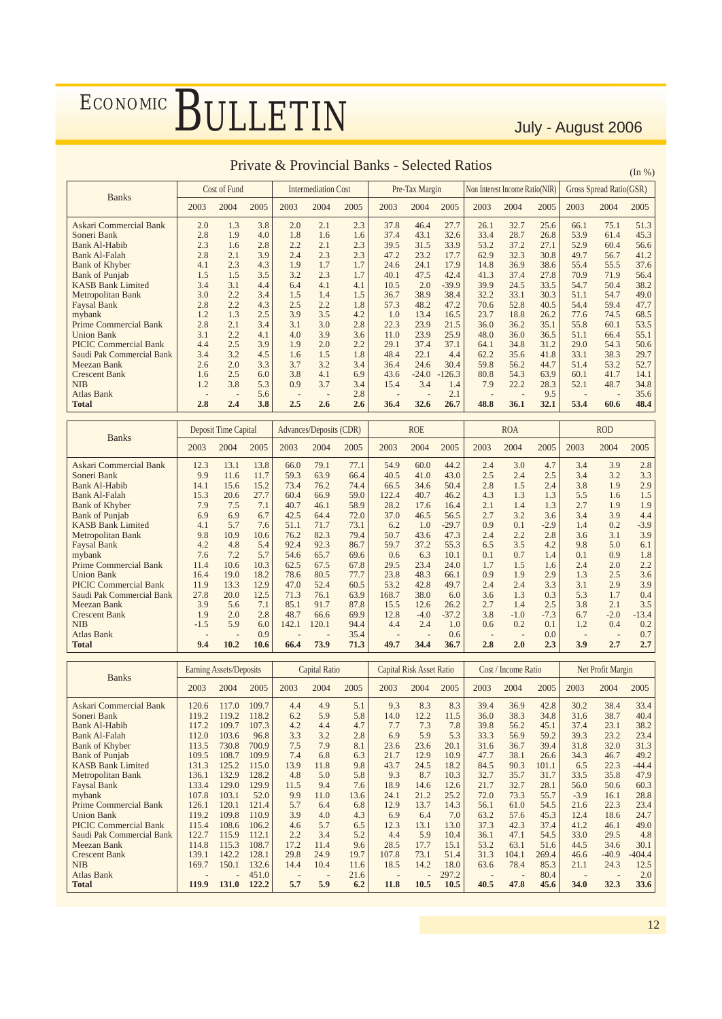| <b>Banks</b>                 |      | <b>Cost of Fund</b>      |      |      | <b>Intermediation Cost</b> |      |      | Pre-Tax Margin           |          | Non Interest Income Ratio(NIR) |      |      |      | Gross Spread Ratio(GSR)  |      |
|------------------------------|------|--------------------------|------|------|----------------------------|------|------|--------------------------|----------|--------------------------------|------|------|------|--------------------------|------|
|                              | 2003 | 2004                     | 2005 | 2003 | 2004                       | 2005 | 2003 | 2004                     | 2005     | 2003                           | 2004 | 2005 | 2003 | 2004                     | 2005 |
| Askari Commercial Bank       | 2.0  | 1.3                      | 3.8  | 2.0  | 2.1                        | 2.3  | 37.8 | 46.4                     | 27.7     | 26.1                           | 32.7 | 25.6 | 66.1 | 75.1                     | 51.3 |
| Soneri Bank                  | 2.8  | 1.9                      | 4.0  | 1.8  | 1.6                        | 1.6  | 37.4 | 43.1                     | 32.6     | 33.4                           | 28.7 | 26.8 | 53.9 | 61.4                     | 45.3 |
| <b>Bank Al-Habib</b>         | 2.3  | 1.6                      | 2.8  | 2.2  | 2.1                        | 2.3  | 39.5 | 31.5                     | 33.9     | 53.2                           | 37.2 | 27.1 | 52.9 | 60.4                     | 56.6 |
| <b>Bank Al-Falah</b>         | 2.8  | 2.1                      | 3.9  | 2.4  | 2.3                        | 2.3  | 47.2 | 23.2                     | 17.7     | 62.9                           | 32.3 | 30.8 | 49.7 | 56.7                     | 41.2 |
| <b>Bank of Khyber</b>        | 4.1  | 2.3                      | 4.3  | 1.9  | 1.7                        | 1.7  | 24.6 | 24.1                     | 17.9     | 14.8                           | 36.9 | 38.6 | 55.4 | 55.5                     | 37.6 |
| <b>Bank of Punjab</b>        | 1.5  | 1.5                      | 3.5  | 3.2  | 2.3                        | 1.7  | 40.1 | 47.5                     | 42.4     | 41.3                           | 37.4 | 27.8 | 70.9 | 71.9                     | 56.4 |
| <b>KASB Bank Limited</b>     | 3.4  | 3.1                      | 4.4  | 6.4  | 4.1                        | 4.1  | 10.5 | 2.0                      | $-39.9$  | 39.9                           | 24.5 | 33.5 | 54.7 | 50.4                     | 38.2 |
| Metropolitan Bank            | 3.0  | 2.2                      | 3.4  | 1.5  | 1.4                        | 1.5  | 36.7 | 38.9                     | 38.4     | 32.2                           | 33.1 | 30.3 | 51.1 | 54.7                     | 49.0 |
| <b>Faysal Bank</b>           | 2.8  | 2.2                      | 4.3  | 2.5  | 2.2                        | 1.8  | 57.3 | 48.2                     | 47.2     | 70.6                           | 52.8 | 40.5 | 54.4 | 59.4                     | 47.7 |
| mybank                       | 1.2  | 1.3                      | 2.5  | 3.9  | 3.5                        | 4.2  | 1.0  | 13.4                     | 16.5     | 23.7                           | 18.8 | 26.2 | 77.6 | 74.5                     | 68.5 |
| <b>Prime Commercial Bank</b> | 2.8  | 2.1                      | 3.4  | 3.1  | 3.0                        | 2.8  | 22.3 | 23.9                     | 21.5     | 36.0                           | 36.2 | 35.1 | 55.8 | 60.1                     | 53.5 |
| <b>Union Bank</b>            | 3.1  | 2.2                      | 4.1  | 4.0  | 3.9                        | 3.6  | 11.0 | 23.9                     | 25.9     | 48.0                           | 36.0 | 36.5 | 51.1 | 66.4                     | 55.1 |
| PICIC Commercial Bank        | 4.4  | 2.5                      | 3.9  | 1.9  | 2.0                        | 2.2  | 29.1 | 37.4                     | 37.1     | 64.1                           | 34.8 | 31.2 | 29.0 | 54.3                     | 50.6 |
| Saudi Pak Commercial Bank    | 3.4  | 3.2                      | 4.5  | 1.6  | 1.5                        | 1.8  | 48.4 | 22.1                     | 4.4      | 62.2                           | 35.6 | 41.8 | 33.1 | 38.3                     | 29.7 |
| Meezan Bank                  | 2.6  | 2.0                      | 3.3  | 3.7  | 3.2                        | 3.4  | 36.4 | 24.6                     | 30.4     | 59.8                           | 56.2 | 44.7 | 51.4 | 53.2                     | 52.7 |
| <b>Crescent Bank</b>         | 1.6  | 2.5                      | 6.0  | 3.8  | 4.1                        | 6.9  | 43.6 | $-24.0$                  | $-126.3$ | 80.8                           | 54.3 | 63.9 | 60.1 | 41.7                     | 14.1 |
| <b>NIB</b>                   | 1.2  | 3.8                      | 5.3  | 0.9  | 3.7                        | 3.4  | 15.4 | 3.4                      | 1.4      | 7.9                            | 22.2 | 28.3 | 52.1 | 48.7                     | 34.8 |
| Atlas Bank                   |      | $\overline{\phantom{a}}$ | 5.6  |      | $\overline{\phantom{0}}$   | 2.8  | ٠    | $\overline{\phantom{a}}$ | 2.1      |                                |      | 9.5  | -    | $\overline{\phantom{a}}$ | 35.6 |
| <b>Total</b>                 | 2.8  | 2.4                      | 3.8  | 2.5  | 2.6                        | 2.6  | 36.4 | 32.6                     | 26.7     | 48.8                           | 36.1 | 32.1 | 53.4 | 60.6                     | 48.4 |

### Private & Provincial Banks - Selected Ratios (In %)

| <b>Banks</b>                  |        | Deposit Time Capital |      |       | Advances/Deposits (CDR) |      |       | <b>ROE</b> |         |      | <b>ROA</b> |        |      | <b>ROD</b>               |         |
|-------------------------------|--------|----------------------|------|-------|-------------------------|------|-------|------------|---------|------|------------|--------|------|--------------------------|---------|
|                               | 2003   | 2004                 | 2005 | 2003  | 2004                    | 2005 | 2003  | 2004       | 2005    | 2003 | 2004       | 2005   | 2003 | 2004                     | 2005    |
| <b>Askari Commercial Bank</b> | 12.3   | 13.1                 | 13.8 | 66.0  | 79.1                    | 77.1 | 54.9  | 60.0       | 44.2    | 2.4  | 3.0        | 4.7    | 3.4  | 3.9                      | 2.8     |
| Soneri Bank                   | 9.9    | 11.6                 | 11.7 | 59.3  | 63.9                    | 66.4 | 40.5  | 41.0       | 43.0    | 2.5  | 2.4        | 2.5    | 3.4  | 3.2                      | 3.3     |
| <b>Bank Al-Habib</b>          | 14.1   | 15.6                 | 15.2 | 73.4  | 76.2                    | 74.4 | 66.5  | 34.6       | 50.4    | 2.8  | 1.5        | 2.4    | 3.8  | 1.9                      | 2.9     |
| <b>Bank Al-Falah</b>          | 15.3   | 20.6                 | 27.7 | 60.4  | 66.9                    | 59.0 | 122.4 | 40.7       | 46.2    | 4.3  | 1.3        | 1.3    | 5.5  | 1.6                      | 1.5     |
| <b>Bank of Khyber</b>         | 7.9    | 7.5                  | 7.1  | 40.7  | 46.1                    | 58.9 | 28.2  | 17.6       | 16.4    | 2.1  | 1.4        | 1.3    | 2.7  | 1.9                      | 1.9     |
| <b>Bank of Punjab</b>         | 6.9    | 6.9                  | 6.7  | 42.5  | 64.4                    | 72.0 | 37.0  | 46.5       | 56.5    | 2.7  | 3.2        | 3.6    | 3.4  | 3.9                      | 4.4     |
| <b>KASB Bank Limited</b>      | 4.1    | 5.7                  | 7.6  | 51.1  | 71.7                    | 73.1 | 6.2   | 1.0        | $-29.7$ | 0.9  | 0.1        | $-2.9$ | 1.4  | 0.2                      | $-3.9$  |
| <b>Metropolitan Bank</b>      | 9.8    | 10.9                 | 10.6 | 76.2  | 82.3                    | 79.4 | 50.7  | 43.6       | 47.3    | 2.4  | 2.2        | 2.8    | 3.6  | 3.1                      | 3.9     |
| <b>Faysal Bank</b>            | 4.2    | 4.8                  | 5.4  | 92.4  | 92.3                    | 86.7 | 59.7  | 37.2       | 55.3    | 6.5  | 3.5        | 4.2    | 9.8  | 5.0                      | 6.1     |
| mybank                        | 7.6    | 7.2                  | 5.7  | 54.6  | 65.7                    | 69.6 | 0.6   | 6.3        | 10.1    | 0.1  | 0.7        | 1.4    | 0.1  | 0.9                      | 1.8     |
| <b>Prime Commercial Bank</b>  | 11.4   | 10.6                 | 10.3 | 62.5  | 67.5                    | 67.8 | 29.5  | 23.4       | 24.0    | 1.7  | 1.5        | 1.6    | 2.4  | 2.0                      | 2.2     |
| <b>Union Bank</b>             | 16.4   | 19.0                 | 18.2 | 78.6  | 80.5                    | 77.7 | 23.8  | 48.3       | 66.1    | 0.9  | 1.9        | 2.9    | 1.3  | 2.5                      | 3.6     |
| <b>PICIC Commercial Bank</b>  | 11.9   | 13.3                 | 12.9 | 47.0  | 52.4                    | 60.5 | 53.2  | 42.8       | 49.7    | 2.4  | 2.4        | 3.3    | 3.1  | 2.9                      | 3.9     |
| Saudi Pak Commercial Bank     | 27.8   | 20.0                 | 12.5 | 71.3  | 76.1                    | 63.9 | 168.7 | 38.0       | 6.0     | 3.6  | 1.3        | 0.3    | 5.3  | 1.7                      | 0.4     |
| Meezan Bank                   | 3.9    | 5.6                  | 7.1  | 85.1  | 91.7                    | 87.8 | 15.5  | 12.6       | 26.2    | 2.7  | 1.4        | 2.5    | 3.8  | 2.1                      | 3.5     |
| <b>Crescent Bank</b>          | 1.9    | 2.0                  | 2.8  | 48.7  | 66.6                    | 69.9 | 12.8  | $-4.0$     | $-37.2$ | 3.8  | $-1.0$     | $-7.3$ | 6.7  | $-2.0$                   | $-13.4$ |
| <b>NIB</b>                    | $-1.5$ | 5.9                  | 6.0  | 142.1 | 120.1                   | 94.4 | 4.4   | 2.4        | 1.0     | 0.6  | 0.2        | 0.1    | 1.2  | 0.4                      | 0.2     |
| <b>Atlas Bank</b>             |        |                      | 0.9  |       |                         | 35.4 |       |            | 0.6     |      |            | 0.0    |      | $\overline{\phantom{a}}$ | 0.7     |
| <b>Total</b>                  | 9.4    | 10.2                 | 10.6 | 66.4  | 73.9                    | 71.3 | 49.7  | 34.4       | 36.7    | 2.8  | 2.0        | 2.3    | 3.9  | 2.7                      | 2.7     |

| <b>Banks</b>                 |       | <b>Earning Assets/Deposits</b> |       |      | Capital Ratio |      |       | <b>Capital Risk Asset Ratio</b> |       |      | Cost / Income Ratio |       |        | Net Profit Margin |          |
|------------------------------|-------|--------------------------------|-------|------|---------------|------|-------|---------------------------------|-------|------|---------------------|-------|--------|-------------------|----------|
|                              | 2003  | 2004                           | 2005  | 2003 | 2004          | 2005 | 2003  | 2004                            | 2005  | 2003 | 2004                | 2005  | 2003   | 2004              | 2005     |
| Askari Commercial Bank       | 120.6 | 117.0                          | 109.7 | 4.4  | 4.9           | 5.1  | 9.3   | 8.3                             | 8.3   | 39.4 | 36.9                | 42.8  | 30.2   | 38.4              | 33.4     |
| Soneri Bank                  | 119.2 | 119.2                          | 118.2 | 6.2  | 5.9           | 5.8  | 14.0  | 12.2                            | 11.5  | 36.0 | 38.3                | 34.8  | 31.6   | 38.7              | 40.4     |
| <b>Bank Al-Habib</b>         | 117.2 | 109.7                          | 107.3 | 4.2  | 4.4           | 4.7  | 7.7   | 7.3                             | 7.8   | 39.8 | 56.2                | 45.1  | 37.4   | 23.1              | 38.2     |
| <b>Bank Al-Falah</b>         | 112.0 | 103.6                          | 96.8  | 3.3  | 3.2           | 2.8  | 6.9   | 5.9                             | 5.3   | 33.3 | 56.9                | 59.2  | 39.3   | 23.2              | 23.4     |
| <b>Bank of Khyber</b>        | 113.5 | 730.8                          | 700.9 | 7.5  | 7.9           | 8.1  | 23.6  | 23.6                            | 20.1  | 31.6 | 36.7                | 39.4  | 31.8   | 32.0              | 31.3     |
| <b>Bank of Punjab</b>        | 109.5 | 108.7                          | 109.9 | 7.4  | 6.8           | 6.3  | 21.7  | 12.9                            | 10.9  | 47.7 | 38.1                | 26.6  | 34.3   | 46.7              | 49.2     |
| <b>KASB Bank Limited</b>     | 131.3 | 125.2                          | 115.0 | 13.9 | 11.8          | 9.8  | 43.7  | 24.5                            | 18.2  | 84.5 | 90.3                | 101.1 | 6.5    | 22.3              | $-44.4$  |
| <b>Metropolitan Bank</b>     | 136.1 | 132.9                          | 128.2 | 4.8  | 5.0           | 5.8  | 9.3   | 8.7                             | 10.3  | 32.7 | 35.7                | 31.7  | 33.5   | 35.8              | 47.9     |
| <b>Faysal Bank</b>           | 133.4 | 129.0                          | 129.9 | 11.5 | 9.4           | 7.6  | 18.9  | 14.6                            | 12.6  | 21.7 | 32.7                | 28.1  | 56.0   | 50.6              | 60.3     |
| mybank                       | 107.8 | 103.1                          | 52.0  | 9.9  | 11.0          | 13.6 | 24.1  | 21.2                            | 25.2  | 72.0 | 73.3                | 55.7  | $-3.9$ | 16.1              | 28.8     |
| <b>Prime Commercial Bank</b> | 126.1 | 120.1                          | 121.4 | 5.7  | 6.4           | 6.8  | 12.9  | 13.7                            | 14.3  | 56.1 | 61.0                | 54.5  | 21.6   | 22.3              | 23.4     |
| <b>Union Bank</b>            | 119.2 | 109.8                          | 110.9 | 3.9  | 4.0           | 4.3  | 6.9   | 6.4                             | 7.0   | 63.2 | 57.6                | 45.3  | 12.4   | 18.6              | 24.7     |
| <b>PICIC Commercial Bank</b> | 115.4 | 108.6                          | 106.2 | 4.6  | 5.7           | 6.5  | 12.3  | 13.1                            | 13.0  | 37.3 | 42.3                | 37.4  | 41.2   | 46.1              | 49.0     |
| Saudi Pak Commercial Bank    | 122.7 | 115.9                          | 112.1 | 2.2  | 3.4           | 5.2  | 4.4   | 5.9                             | 10.4  | 36.1 | 47.1                | 54.5  | 33.0   | 29.5              | 4.8      |
| Meezan Bank                  | 114.8 | 115.3                          | 108.7 | 17.2 | 11.4          | 9.6  | 28.5  | 17.7                            | 15.1  | 53.2 | 63.1                | 51.6  | 44.5   | 34.6              | 30.1     |
| <b>Crescent Bank</b>         | 139.1 | 142.2                          | 128.1 | 29.8 | 24.9          | 19.7 | 107.8 | 73.1                            | 51.4  | 31.3 | 104.1               | 269.4 | 46.6   | $-40.9$           | $-404.4$ |
| <b>NIB</b>                   | 169.7 | 150.1                          | 132.6 | 14.4 | 10.4          | 11.6 | 18.5  | 14.2                            | 18.0  | 63.6 | 78.4                | 85.3  | 21.1   | 24.3              | 12.5     |
| <b>Atlas Bank</b>            |       |                                | 451.0 |      |               | 21.6 |       |                                 | 297.2 |      |                     | 80.4  |        |                   | 2.0      |
| <b>Total</b>                 | 119.9 | 131.0                          | 122.2 | 5.7  | 5.9           | 6.2  | 11.8  | 10.5                            | 10.5  | 40.5 | 47.8                | 45.6  | 34.0   | 32.3              | 33.6     |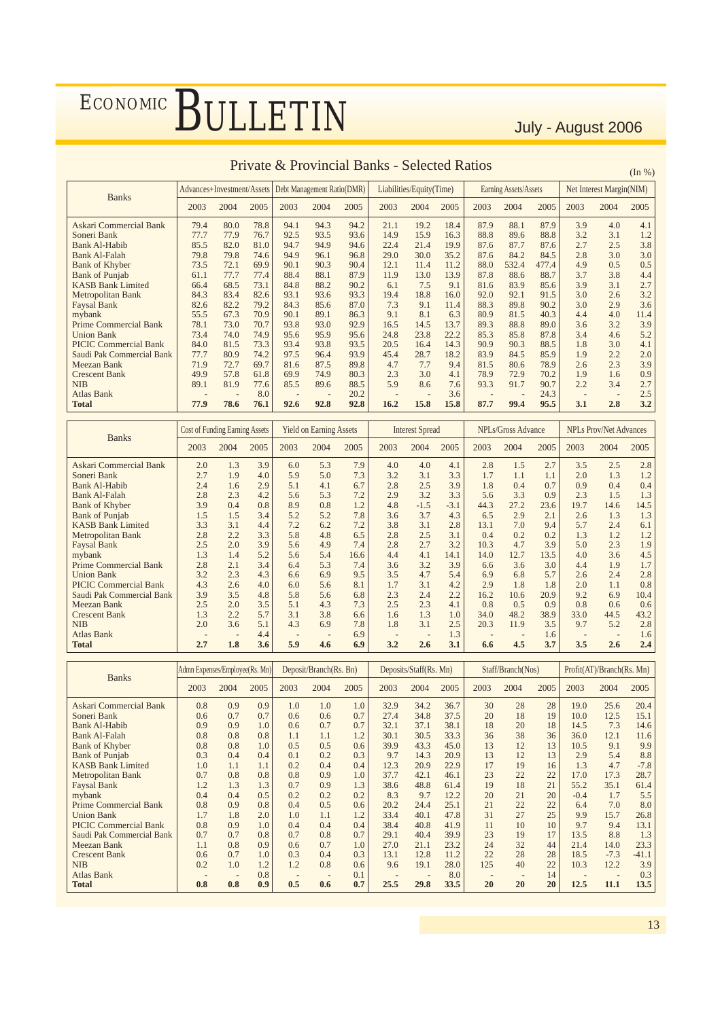| <b>Banks</b>              | Advances+Investment/Assets |      |      |      | Debt Management Ratio(DMR) |      |      | Liabilities/Equity(Time) |      |      | Earning Assets/Assets |       |      | Net Interest Margin(NIM) |      |
|---------------------------|----------------------------|------|------|------|----------------------------|------|------|--------------------------|------|------|-----------------------|-------|------|--------------------------|------|
|                           | 2003                       | 2004 | 2005 | 2003 | 2004                       | 2005 | 2003 | 2004                     | 2005 | 2003 | 2004                  | 2005  | 2003 | 2004                     | 2005 |
| Askari Commercial Bank    | 79.4                       | 80.0 | 78.8 | 94.1 | 94.3                       | 94.2 | 21.1 | 19.2                     | 18.4 | 87.9 | 88.1                  | 87.9  | 3.9  | 4.0                      | 4.1  |
| Soneri Bank               | 77.7                       | 77.9 | 76.7 | 92.5 | 93.5                       | 93.6 | 14.9 | 15.9                     | 16.3 | 88.8 | 89.6                  | 88.8  | 3.2  | 3.1                      | 1.2  |
| Bank Al-Habib             | 85.5                       | 82.0 | 81.0 | 94.7 | 94.9                       | 94.6 | 22.4 | 21.4                     | 19.9 | 87.6 | 87.7                  | 87.6  | 2.7  | 2.5                      | 3.8  |
| <b>Bank Al-Falah</b>      | 79.8                       | 79.8 | 74.6 | 94.9 | 96.1                       | 96.8 | 29.0 | 30.0                     | 35.2 | 87.6 | 84.2                  | 84.5  | 2.8  | 3.0                      | 3.0  |
| <b>Bank of Khyber</b>     | 73.5                       | 72.1 | 69.9 | 90.1 | 90.3                       | 90.4 | 12.1 | 11.4                     | 11.2 | 88.0 | 532.4                 | 477.4 | 4.9  | 0.5                      | 0.5  |
| <b>Bank of Punjab</b>     | 61.1                       | 77.7 | 77.4 | 88.4 | 88.1                       | 87.9 | 11.9 | 13.0                     | 13.9 | 87.8 | 88.6                  | 88.7  | 3.7  | 3.8                      | 4.4  |
| <b>KASB Bank Limited</b>  | 66.4                       | 68.5 | 73.1 | 84.8 | 88.2                       | 90.2 | 6.1  | 7.5                      | 9.1  | 81.6 | 83.9                  | 85.6  | 3.9  | 3.1                      | 2.7  |
| <b>Metropolitan Bank</b>  | 84.3                       | 83.4 | 82.6 | 93.1 | 93.6                       | 93.3 | 19.4 | 18.8                     | 16.0 | 92.0 | 92.1                  | 91.5  | 3.0  | 2.6                      | 3.2  |
| <b>Faysal Bank</b>        | 82.6                       | 82.2 | 79.2 | 84.3 | 85.6                       | 87.0 | 7.3  | 9.1                      | 11.4 | 88.3 | 89.8                  | 90.2  | 3.0  | 2.9                      | 3.6  |
| mybank                    | 55.5                       | 67.3 | 70.9 | 90.1 | 89.1                       | 86.3 | 9.1  | 8.1                      | 6.3  | 80.9 | 81.5                  | 40.3  | 4.4  | 4.0                      | 11.4 |
| Prime Commercial Bank     | 78.1                       | 73.0 | 70.7 | 93.8 | 93.0                       | 92.9 | 16.5 | 14.5                     | 13.7 | 89.3 | 88.8                  | 89.0  | 3.6  | 3.2                      | 3.9  |
| <b>Union Bank</b>         | 73.4                       | 74.0 | 74.9 | 95.6 | 95.9                       | 95.6 | 24.8 | 23.8                     | 22.2 | 85.3 | 85.8                  | 87.8  | 3.4  | 4.6                      | 5.2  |
| PICIC Commercial Bank     | 84.0                       | 81.5 | 73.3 | 93.4 | 93.8                       | 93.5 | 20.5 | 16.4                     | 14.3 | 90.9 | 90.3                  | 88.5  | 1.8  | 3.0                      | 4.1  |
| Saudi Pak Commercial Bank | 77.7                       | 80.9 | 74.2 | 97.5 | 96.4                       | 93.9 | 45.4 | 28.7                     | 18.2 | 83.9 | 84.5                  | 85.9  | 1.9  | 2.2                      | 2.0  |
| Meezan Bank               | 71.9                       | 72.7 | 69.7 | 81.6 | 87.5                       | 89.8 | 4.7  | 7.7                      | 9.4  | 81.5 | 80.6                  | 78.9  | 2.6  | 2.3                      | 3.9  |
| <b>Crescent Bank</b>      | 49.9                       | 57.8 | 61.8 | 69.9 | 74.9                       | 80.3 | 2.3  | 3.0                      | 4.1  | 78.9 | 72.9                  | 70.2  | 1.9  | 1.6                      | 0.9  |
| <b>NIB</b>                | 89.1                       | 81.9 | 77.6 | 85.5 | 89.6                       | 88.5 | 5.9  | 8.6                      | 7.6  | 93.3 | 91.7                  | 90.7  | 2.2  | 3.4                      | 2.7  |
| <b>Atlas Bank</b>         |                            |      | 8.0  |      |                            | 20.2 |      |                          | 3.6  |      |                       | 24.3  |      | $\overline{\phantom{m}}$ | 2.5  |
| <b>Total</b>              | 77.9                       | 78.6 | 76.1 | 92.6 | 92.8                       | 92.8 | 16.2 | 15.8                     | 15.8 | 87.7 | 99.4                  | 95.5  | 3.1  | 2.8                      | 3.2  |

### Private & Provincial Banks - Selected Ratios (In %)

| <b>Banks</b>                  | <b>Cost of Funding Earning Assets</b> |      |      |      | <b>Yield on Earning Assets</b> |      |      | <b>Interest Spread</b>   |        |                          | NPLs/Gross Advance       |      |      | <b>NPLs Prov/Net Advances</b> |      |
|-------------------------------|---------------------------------------|------|------|------|--------------------------------|------|------|--------------------------|--------|--------------------------|--------------------------|------|------|-------------------------------|------|
|                               | 2003                                  | 2004 | 2005 | 2003 | 2004                           | 2005 | 2003 | 2004                     | 2005   | 2003                     | 2004                     | 2005 | 2003 | 2004                          | 2005 |
| <b>Askari Commercial Bank</b> | 2.0                                   | 1.3  | 3.9  | 6.0  | 5.3                            | 7.9  | 4.0  | 4.0                      | 4.1    | 2.8                      | 1.5                      | 2.7  | 3.5  | 2.5                           | 2.8  |
| Soneri Bank                   | 2.7                                   | 1.9  | 4.0  | 5.9  | 5.0                            | 7.3  | 3.2  | 3.1                      | 3.3    | 1.7                      | 1.1                      | 1.1  | 2.0  | 1.3                           | 1.2  |
| Bank Al-Habib                 | 2.4                                   | 1.6  | 2.9  | 5.1  | 4.1                            | 6.7  | 2.8  | 2.5                      | 3.9    | 1.8                      | 0.4                      | 0.7  | 0.9  | 0.4                           | 0.4  |
| <b>Bank Al-Falah</b>          | 2.8                                   | 2.3  | 4.2  | 5.6  | 5.3                            | 7.2  | 2.9  | 3.2                      | 3.3    | 5.6                      | 3.3                      | 0.9  | 2.3  | 1.5                           | 1.3  |
| <b>Bank of Khyber</b>         | 3.9                                   | 0.4  | 0.8  | 8.9  | 0.8                            | 1.2  | 4.8  | $-1.5$                   | $-3.1$ | 44.3                     | 27.2                     | 23.6 | 19.7 | 14.6                          | 14.5 |
| <b>Bank of Punjab</b>         | 1.5                                   | 1.5  | 3.4  | 5.2  | 5.2                            | 7.8  | 3.6  | 3.7                      | 4.3    | 6.5                      | 2.9                      | 2.1  | 2.6  | 1.3                           | 1.3  |
| <b>KASB Bank Limited</b>      | 3.3                                   | 3.1  | 4.4  | 7.2  | 6.2                            | 7.2  | 3.8  | 3.1                      | 2.8    | 13.1                     | 7.0                      | 9.4  | 5.7  | 2.4                           | 6.1  |
| <b>Metropolitan Bank</b>      | 2.8                                   | 2.2  | 3.3  | 5.8  | 4.8                            | 6.5  | 2.8  | 2.5                      | 3.1    | 0.4                      | 0.2                      | 0.2  | 1.3  | 1.2                           | 1.2  |
| <b>Faysal Bank</b>            | 2.5                                   | 2.0  | 3.9  | 5.6  | 4.9                            | 7.4  | 2.8  | 2.7                      | 3.2    | 10.3                     | 4.7                      | 3.9  | 5.0  | 2.3                           | 1.9  |
| mybank                        | 1.3                                   | 1.4  | 5.2  | 5.6  | 5.4                            | 16.6 | 4.4  | 4.1                      | 14.1   | 14.0                     | 12.7                     | 13.5 | 4.0  | 3.6                           | 4.5  |
| <b>Prime Commercial Bank</b>  | 2.8                                   | 2.1  | 3.4  | 6.4  | 5.3                            | 7.4  | 3.6  | 3.2                      | 3.9    | 6.6                      | 3.6                      | 3.0  | 4.4  | 1.9                           | 1.7  |
| <b>Union Bank</b>             | 3.2                                   | 2.3  | 4.3  | 6.6  | 6.9                            | 9.5  | 3.5  | 4.7                      | 5.4    | 6.9                      | 6.8                      | 5.7  | 2.6  | 2.4                           | 2.8  |
| PICIC Commercial Bank         | 4.3                                   | 2.6  | 4.0  | 6.0  | 5.6                            | 8.1  | 1.7  | 3.1                      | 4.2    | 2.9                      | 1.8                      | 1.8  | 2.0  | 1.1                           | 0.8  |
| Saudi Pak Commercial Bank     | 3.9                                   | 3.5  | 4.8  | 5.8  | 5.6                            | 6.8  | 2.3  | 2.4                      | 2.2    | 16.2                     | 10.6                     | 20.9 | 9.2  | 6.9                           | 10.4 |
| Meezan Bank                   | 2.5                                   | 2.0  | 3.5  | 5.1  | 4.3                            | 7.3  | 2.5  | 2.3                      | 4.1    | 0.8                      | 0.5                      | 0.9  | 0.8  | 0.6                           | 0.6  |
| <b>Crescent Bank</b>          | 1.3                                   | 2.2  | 5.7  | 3.1  | 3.8                            | 6.6  | 1.6  | 1.3                      | 1.0    | 34.0                     | 48.2                     | 38.9 | 33.0 | 44.5                          | 43.2 |
| <b>NIB</b>                    | 2.0                                   | 3.6  | 5.1  | 4.3  | 6.9                            | 7.8  | 1.8  | 3.1                      | 2.5    | 20.3                     | 11.9                     | 3.5  | 9.7  | 5.2                           | 2.8  |
| Atlas Bank                    |                                       |      | 4.4  |      |                                | 6.9  | ٠    | $\overline{\phantom{a}}$ | 1.3    | $\overline{\phantom{a}}$ | $\overline{\phantom{a}}$ | 1.6  |      | $\overline{\phantom{a}}$      | 1.6  |
| Total                         | 2.7                                   | 1.8  | 3.6  | 5.9  | 4.6                            | 6.9  | 3.2  | 2.6                      | 3.1    | 6.6                      | 4.5                      | 3.7  | 3.5  | 2.6                           | 2.4  |

| <b>Banks</b>                 | Admn Expenses/Employee(Rs. Mn) |      |      |      | Deposit/Branch(Rs. Bn) |      |      | Deposits/Staff(Rs. Mn) |      |      | Staff/Branch(Nos) |      |        | Profit(AT)/Branch(Rs, Mn) |         |
|------------------------------|--------------------------------|------|------|------|------------------------|------|------|------------------------|------|------|-------------------|------|--------|---------------------------|---------|
|                              | 2003                           | 2004 | 2005 | 2003 | 2004                   | 2005 | 2003 | 2004                   | 2005 | 2003 | 2004              | 2005 | 2003   | 2004                      | 2005    |
| Askari Commercial Bank       | 0.8                            | 0.9  | 0.9  | 1.0  | 1.0                    | 1.0  | 32.9 | 34.2                   | 36.7 | 30   | 28                | 28   | 19.0   | 25.6                      | 20.4    |
| Soneri Bank                  | 0.6                            | 0.7  | 0.7  | 0.6  | 0.6                    | 0.7  | 27.4 | 34.8                   | 37.5 | 20   | 18                | 19   | 10.0   | 12.5                      | 15.1    |
| <b>Bank Al-Habib</b>         | 0.9                            | 0.9  | 1.0  | 0.6  | 0.7                    | 0.7  | 32.1 | 37.1                   | 38.1 | 18   | 20                | 18   | 14.5   | 7.3                       | 14.6    |
| <b>Bank Al-Falah</b>         | 0.8                            | 0.8  | 0.8  | 1.1  | 1.1                    | 1.2  | 30.1 | 30.5                   | 33.3 | 36   | 38                | 36   | 36.0   | 12.1                      | 11.6    |
| <b>Bank of Khyber</b>        | 0.8                            | 0.8  | 1.0  | 0.5  | 0.5                    | 0.6  | 39.9 | 43.3                   | 45.0 | 13   | 12                | 13   | 10.5   | 9.1                       | 9.9     |
| <b>Bank of Punjab</b>        | 0.3                            | 0.4  | 0.4  | 0.1  | 0.2                    | 0.3  | 9.7  | 14.3                   | 20.9 | 13   | 12                | 13   | 2.9    | 5.4                       | 8.8     |
| <b>KASB Bank Limited</b>     | 1.0                            | 1.1  | 1.1  | 0.2  | 0.4                    | 0.4  | 12.3 | 20.9                   | 22.9 | 17   | 19                | 16   | 1.3    | 4.7                       | $-7.8$  |
| <b>Metropolitan Bank</b>     | 0.7                            | 0.8  | 0.8  | 0.8  | 0.9                    | 1.0  | 37.7 | 42.1                   | 46.1 | 23   | 22                | 22   | 17.0   | 17.3                      | 28.7    |
| <b>Faysal Bank</b>           | 1.2                            | 1.3  | 1.3  | 0.7  | 0.9                    | 1.3  | 38.6 | 48.8                   | 61.4 | 19   | 18                | 21   | 55.2   | 35.1                      | 61.4    |
| mybank                       | 0.4                            | 0.4  | 0.5  | 0.2  | 0.2                    | 0.2  | 8.3  | 9.7                    | 12.2 | 20   | 21                | 20   | $-0.4$ | 1.7                       | 5.5     |
| <b>Prime Commercial Bank</b> | 0.8                            | 0.9  | 0.8  | 0.4  | 0.5                    | 0.6  | 20.2 | 24.4                   | 25.1 | 21   | 22                | 22   | 6.4    | 7.0                       | 8.0     |
| <b>Union Bank</b>            | 1.7                            | 1.8  | 2.0  | 1.0  | 1.1                    | 1.2  | 33.4 | 40.1                   | 47.8 | 31   | 27                | 25   | 9.9    | 15.7                      | 26.8    |
| PICIC Commercial Bank        | 0.8                            | 0.9  | 1.0  | 0.4  | 0.4                    | 0.4  | 38.4 | 40.8                   | 41.9 | 11   | 10                | 10   | 9.7    | 9.4                       | 13.1    |
| Saudi Pak Commercial Bank    | 0.7                            | 0.7  | 0.8  | 0.7  | 0.8                    | 0.7  | 29.1 | 40.4                   | 39.9 | 23   | 19                | 17   | 13.5   | 8.8                       | 1.3     |
| Meezan Bank                  | 1.1                            | 0.8  | 0.9  | 0.6  | 0.7                    | 1.0  | 27.0 | 21.1                   | 23.2 | 24   | 32                | 44   | 21.4   | 14.0                      | 23.3    |
| <b>Crescent Bank</b>         | 0.6                            | 0.7  | 1.0  | 0.3  | 0.4                    | 0.3  | 13.1 | 12.8                   | 11.2 | 22   | 28                | 28   | 18.5   | $-7.3$                    | $-41.1$ |
| <b>NIB</b>                   | 0.2                            | 1.0  | 1.2  | 1.2  | 0.8                    | 0.6  | 9.6  | 19.1                   | 28.0 | 125  | 40                | 22   | 10.3   | 12.2                      | 3.9     |
| <b>Atlas Bank</b>            |                                |      | 0.8  |      |                        | 0.1  |      |                        | 8.0  |      |                   | 14   |        |                           | 0.3     |
| Total                        | 0.8                            | 0.8  | 0.9  | 0.5  | 0.6                    | 0.7  | 25.5 | 29.8                   | 33.5 | 20   | 20                | 20   | 12.5   | 11.1                      | 13.5    |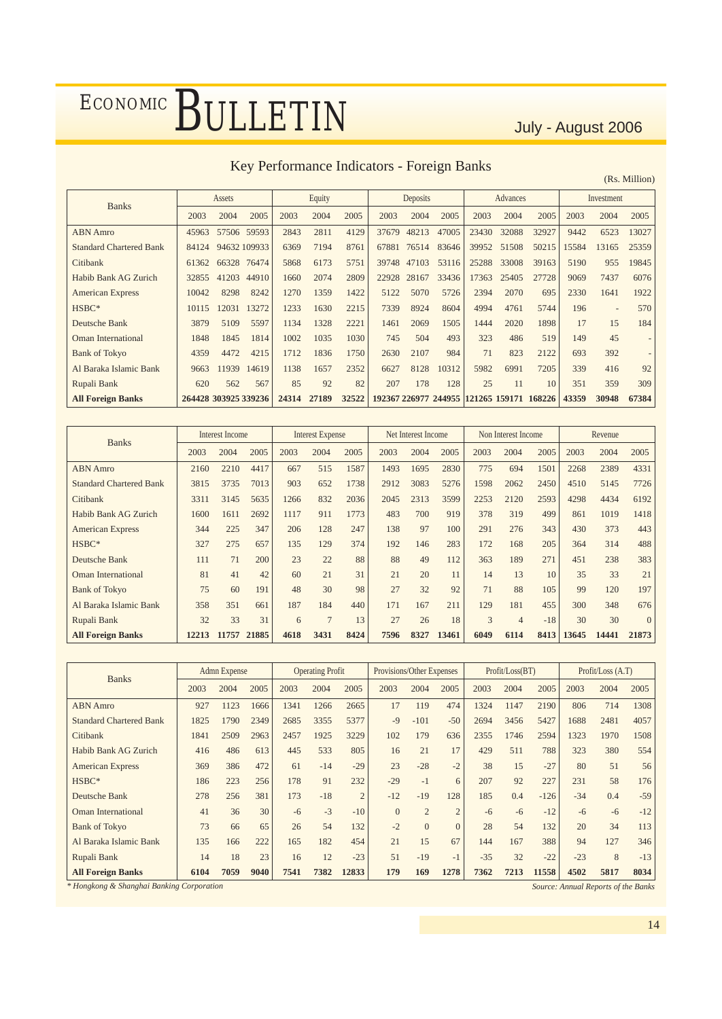(Rs. Million)

### Key Performance Indicators - Foreign Banks

| <b>Banks</b>                   |                      | Assets |              |       | Equity |       |                      | Deposits |       |                      | <b>Advances</b> |       |       | Investment               |                          |
|--------------------------------|----------------------|--------|--------------|-------|--------|-------|----------------------|----------|-------|----------------------|-----------------|-------|-------|--------------------------|--------------------------|
|                                | 2003                 | 2004   | 2005         | 2003  | 2004   | 2005  | 2003                 | 2004     | 2005  | 2003                 | 2004            | 2005  | 2003  | 2004                     | 2005                     |
| <b>ABN</b> Amro                | 45963                |        | 57506 59593  | 2843  | 2811   | 4129  | 37679                | 48213    | 47005 | 23430                | 32088           | 32927 | 9442  | 6523                     | 13027                    |
| <b>Standard Chartered Bank</b> | 84124                |        | 94632 109933 | 6369  | 7194   | 8761  | 67881                | 76514    | 83646 | 39952                | 51508           | 50215 | 15584 | 13165                    | 25359                    |
| Citibank                       | 61362                | 66328  | 76474        | 5868  | 6173   | 5751  | 39748                | 47103    | 53116 | 25288                | 33008           | 39163 | 5190  | 955                      | 19845                    |
| Habib Bank AG Zurich           | 32855                | 41203  | 44910        | 1660  | 2074   | 2809  | 22928                | 28167    | 33436 | 17363                | 25405           | 27728 | 9069  | 7437                     | 6076                     |
| <b>American Express</b>        | 10042                | 8298   | 8242         | 1270  | 1359   | 1422  | 5122                 | 5070     | 5726  | 2394                 | 2070            | 695   | 2330  | 1641                     | 1922                     |
| HSBC*                          | 10115                | 12031  | 13272        | 1233  | 1630   | 2215  | 7339                 | 8924     | 8604  | 4994                 | 4761            | 5744  | 196   | $\overline{\phantom{a}}$ | 570                      |
| Deutsche Bank                  | 3879                 | 5109   | 5597         | 1134  | 1328   | 2221  | 1461                 | 2069     | 1505  | 1444                 | 2020            | 1898  | 17    | 15                       | 184                      |
| Oman International             | 1848                 | 1845   | 1814         | 1002  | 1035   | 1030  | 745                  | 504      | 493   | 323                  | 486             | 519   | 149   | 45                       | $\sim$                   |
| <b>Bank of Tokyo</b>           | 4359                 | 4472   | 4215         | 1712  | 1836   | 1750  | 2630                 | 2107     | 984   | 71                   | 823             | 2122  | 693   | 392                      | $\overline{\phantom{a}}$ |
| Al Baraka Islamic Bank         | 9663                 | 11939  | 14619        | 1138  | 1657   | 2352  | 6627                 | 8128     | 10312 | 5982                 | 6991            | 7205  | 339   | 416                      | 92                       |
| Rupali Bank                    | 620                  | 562    | 567          | 85    | 92     | 82    | 207                  | 178      | 128   | 25                   | 11              | 10    | 351   | 359                      | 309                      |
| <b>All Foreign Banks</b>       | 264428 303925 339236 |        |              | 24314 | 27189  | 32522 | 192367 226977 244955 |          |       | 121265 159171 168226 |                 |       | 43359 | 30948                    | 67384                    |

| <b>Banks</b>                   |       | Interest Income |       |      | <b>Interest Expense</b> |      |      | Net Interest Income |       |                          | Non Interest Income |       |       | Revenue |          |
|--------------------------------|-------|-----------------|-------|------|-------------------------|------|------|---------------------|-------|--------------------------|---------------------|-------|-------|---------|----------|
|                                | 2003  | 2004            | 2005  | 2003 | 2004                    | 2005 | 2003 | 2004                | 2005  | 2003                     | 2004                | 2005  | 2003  | 2004    | 2005     |
| <b>ABN</b> Amro                | 2160  | 2210            | 4417  | 667  | 515                     | 1587 | 1493 | 1695                | 2830  | 775                      | 694                 | 1501  | 2268  | 2389    | 4331     |
| <b>Standard Chartered Bank</b> | 3815  | 3735            | 7013  | 903  | 652                     | 1738 | 2912 | 3083                | 5276  | 1598                     | 2062                | 2450  | 4510  | 5145    | 7726     |
| Citibank                       | 3311  | 3145            | 5635  | 1266 | 832                     | 2036 | 2045 | 2313                | 3599  | 2253                     | 2120                | 2593  | 4298  | 4434    | 6192     |
| Habib Bank AG Zurich           | 1600  | 1611            | 2692  | 1117 | 911                     | 1773 | 483  | 700                 | 919   | 378                      | 319                 | 499   | 861   | 1019    | 1418     |
| <b>American Express</b>        | 344   | 225             | 347   | 206  | 128                     | 247  | 138  | 97                  | 100   | 291                      | 276                 | 343   | 430   | 373     | 443      |
| $HSBC*$                        | 327   | 275             | 657   | 135  | 129                     | 374  | 192  | 146                 | 283   | 172                      | 168                 | 205   | 364   | 314     | 488      |
| Deutsche Bank                  | 111   | 71              | 200   | 23   | 22                      | 88   | 88   | 49                  | 112   | 363                      | 189                 | 271   | 451   | 238     | 383      |
| Oman International             | 81    | 41              | 42    | 60   | 21                      | 31   | 21   | 20                  | 11    | 14                       | 13                  | 10    | 35    | 33      | 21       |
| <b>Bank of Tokyo</b>           | 75    | 60              | 191   | 48   | 30                      | 98   | 27   | 32                  | 92    | 71                       | 88                  | 105   | 99    | 120     | 197      |
| Al Baraka Islamic Bank         | 358   | 351             | 661   | 187  | 184                     | 440  | 171  | 167                 | 211   | 129                      | 181                 | 455   | 300   | 348     | 676      |
| Rupali Bank                    | 32    | 33              | 31    | 6    | $\overline{7}$          | 13   | 27   | 26                  | 18    | $\overline{\mathcal{L}}$ | $\overline{4}$      | $-18$ | 30    | 30      | $\Omega$ |
| <b>All Foreign Banks</b>       | 12213 | 11757           | 21885 | 4618 | 3431                    | 8424 | 7596 | 8327                | 13461 | 6049                     | 6114                | 8413  | 13645 | 14441   | 21873    |

| <b>Banks</b>                   |      | Admn Expense |      |      | <b>Operating Profit</b> |                | Provisions/Other Expenses |                |                |       | Profit / Loss (BT) |        |       | Profit/Loss (A.T) |       |
|--------------------------------|------|--------------|------|------|-------------------------|----------------|---------------------------|----------------|----------------|-------|--------------------|--------|-------|-------------------|-------|
|                                | 2003 | 2004         | 2005 | 2003 | 2004                    | 2005           | 2003                      | 2004           | 2005           | 2003  | 2004               | 2005   | 2003  | 2004              | 2005  |
| <b>ABN</b> Amro                | 927  | 1123         | 1666 | 1341 | 1266                    | 2665           | 17                        | 119            | 474            | 1324  | 1147               | 2190   | 806   | 714               | 1308  |
| <b>Standard Chartered Bank</b> | 1825 | 1790         | 2349 | 2685 | 3355                    | 5377           | $-9$                      | $-101$         | $-50$          | 2694  | 3456               | 5427   | 1688  | 2481              | 4057  |
| Citibank                       | 1841 | 2509         | 2963 | 2457 | 1925                    | 3229           | 102                       | 179            | 636            | 2355  | 1746               | 2594   | 1323  | 1970              | 1508  |
| <b>Habib Bank AG Zurich</b>    | 416  | 486          | 613  | 445  | 533                     | 805            | 16                        | 21             | 17             | 429   | 511                | 788    | 323   | 380               | 554   |
| <b>American Express</b>        | 369  | 386          | 472  | 61   | $-14$                   | $-29$          | 23                        | $-28$          | $-2$           | 38    | 15                 | $-27$  | 80    | 51                | 56    |
| $HSBC*$                        | 186  | 223          | 256  | 178  | 91                      | 232            | $-29$                     | $-1$           | 6              | 207   | 92                 | 227    | 231   | 58                | 176   |
| Deutsche Bank                  | 278  | 256          | 381  | 173  | $-18$                   | $\overline{2}$ | $-12$                     | $-19$          | 128            | 185   | 0.4                | $-126$ | $-34$ | 0.4               | $-59$ |
| Oman International             | 41   | 36           | 30   | $-6$ | $-3$                    | $-10$          | $\overline{0}$            | $\overline{2}$ | $\overline{2}$ | $-6$  | $-6$               | $-12$  | $-6$  | $-6$              | $-12$ |
| <b>Bank of Tokyo</b>           | 73   | 66           | 65   | 26   | 54                      | 132            | $-2$                      | $\overline{0}$ | $\theta$       | 28    | 54                 | 132    | 20    | 34                | 113   |
| Al Baraka Islamic Bank         | 135  | 166          | 222  | 165  | 182                     | 454            | 21                        | 15             | 67             | 144   | 167                | 388    | 94    | 127               | 346   |
| Rupali Bank                    | 14   | 18           | 23   | 16   | 12                      | $-23$          | 51                        | $-19$          | $-1$           | $-35$ | 32                 | $-22$  | $-23$ | 8                 | $-13$ |
| <b>All Foreign Banks</b>       | 6104 | 7059         | 9040 | 7541 | 7382                    | 12833          | 179                       | 169            | 1278           | 7362  | 7213               | 11558  | 4502  | 5817              | 8034  |

*\* Hongkong & Shanghai Banking Corporation Source: Annual Reports of the Banks*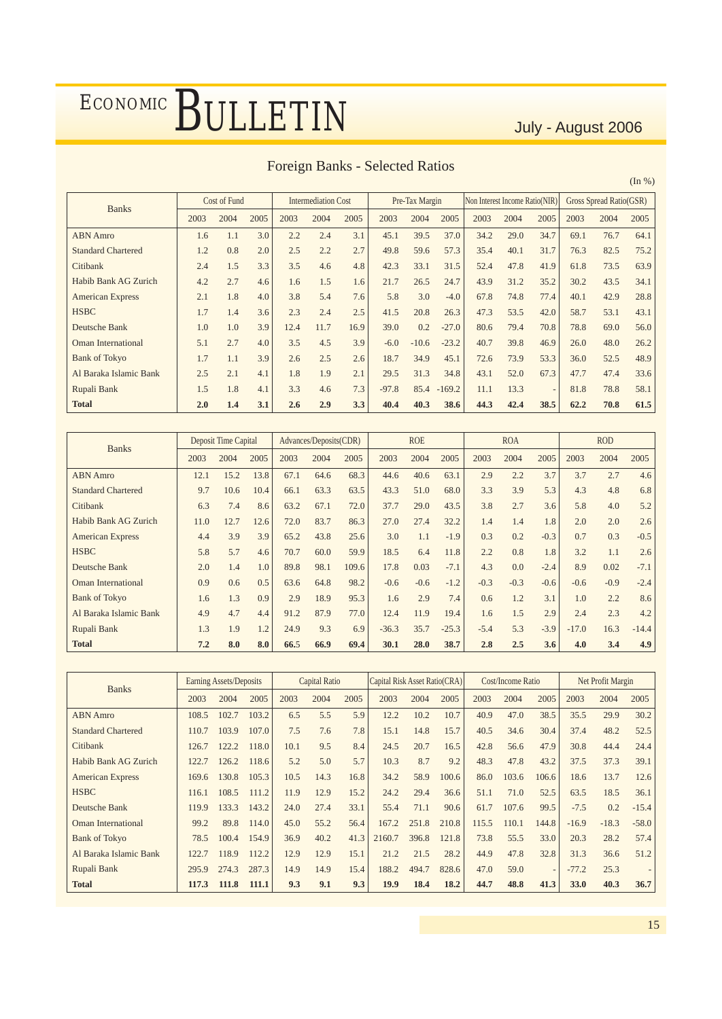(In %)

### Foreign Banks - Selected Ratios

|                           |      | <b>Cost of Fund</b> |      |      | <b>Intermediation Cost</b> |      |         | Pre-Tax Margin |          | Non Interest Income Ratio(NIR) |      |      |      | Gross Spread Ratio(GSR) |      |
|---------------------------|------|---------------------|------|------|----------------------------|------|---------|----------------|----------|--------------------------------|------|------|------|-------------------------|------|
| <b>Banks</b>              |      |                     |      |      |                            |      |         |                |          |                                |      |      |      |                         |      |
|                           | 2003 | 2004                | 2005 | 2003 | 2004                       | 2005 | 2003    | 2004           | 2005     | 2003                           | 2004 | 2005 | 2003 | 2004                    | 2005 |
| <b>ABN</b> Amro           | 1.6  | 1.1                 | 3.0  | 2.2  | 2.4                        | 3.1  | 45.1    | 39.5           | 37.0     | 34.2                           | 29.0 | 34.7 | 69.1 | 76.7                    | 64.1 |
| <b>Standard Chartered</b> | 1.2  | 0.8                 | 2.0  | 2.5  | 2.2                        | 2.7  | 49.8    | 59.6           | 57.3     | 35.4                           | 40.1 | 31.7 | 76.3 | 82.5                    | 75.2 |
| Citibank                  | 2.4  | 1.5                 | 3.3  | 3.5  | 4.6                        | 4.8  | 42.3    | 33.1           | 31.5     | 52.4                           | 47.8 | 41.9 | 61.8 | 73.5                    | 63.9 |
| Habib Bank AG Zurich      | 4.2  | 2.7                 | 4.6  | 1.6  | 1.5                        | 1.6  | 21.7    | 26.5           | 24.7     | 43.9                           | 31.2 | 35.2 | 30.2 | 43.5                    | 34.1 |
| <b>American Express</b>   | 2.1  | 1.8                 | 4.0  | 3.8  | 5.4                        | 7.6  | 5.8     | 3.0            | $-4.0$   | 67.8                           | 74.8 | 77.4 | 40.1 | 42.9                    | 28.8 |
| <b>HSBC</b>               | 1.7  | 1.4                 | 3.6  | 2.3  | 2.4                        | 2.5  | 41.5    | 20.8           | 26.3     | 47.3                           | 53.5 | 42.0 | 58.7 | 53.1                    | 43.1 |
| Deutsche Bank             | 1.0  | 1.0                 | 3.9  | 12.4 | 11.7                       | 16.9 | 39.0    | 0.2            | $-27.0$  | 80.6                           | 79.4 | 70.8 | 78.8 | 69.0                    | 56.0 |
| Oman International        | 5.1  | 2.7                 | 4.0  | 3.5  | 4.5                        | 3.9  | $-6.0$  | $-10.6$        | $-23.2$  | 40.7                           | 39.8 | 46.9 | 26.0 | 48.0                    | 26.2 |
| <b>Bank of Tokyo</b>      | 1.7  | 1.1                 | 3.9  | 2.6  | 2.5                        | 2.6  | 18.7    | 34.9           | 45.1     | 72.6                           | 73.9 | 53.3 | 36.0 | 52.5                    | 48.9 |
| Al Baraka Islamic Bank    | 2.5  | 2.1                 | 4.1  | 1.8  | 1.9                        | 2.1  | 29.5    | 31.3           | 34.8     | 43.1                           | 52.0 | 67.3 | 47.7 | 47.4                    | 33.6 |
| Rupali Bank               | 1.5  | 1.8                 | 4.1  | 3.3  | 4.6                        | 7.3  | $-97.8$ | 85.4           | $-169.2$ | 11.1                           | 13.3 |      | 81.8 | 78.8                    | 58.1 |
| <b>Total</b>              | 2.0  | 1.4                 | 3.1  | 2.6  | 2.9                        | 3.3  | 40.4    | 40.3           | 38.6     | 44.3                           | 42.4 | 38.5 | 62.2 | 70.8                    | 61.5 |

| <b>Banks</b>              |      | Deposit Time Capital |      |      | Advances/Deposits(CDR) |       |         | <b>ROE</b> |         |        | <b>ROA</b> |        |         | <b>ROD</b> |         |
|---------------------------|------|----------------------|------|------|------------------------|-------|---------|------------|---------|--------|------------|--------|---------|------------|---------|
|                           | 2003 | 2004                 | 2005 | 2003 | 2004                   | 2005  | 2003    | 2004       | 2005    | 2003   | 2004       | 2005   | 2003    | 2004       | 2005    |
| <b>ABN</b> Amro           | 12.1 | 15.2                 | 13.8 | 67.1 | 64.6                   | 68.3  | 44.6    | 40.6       | 63.1    | 2.9    | 2.2        | 3.7    | 3.7     | 2.7        | 4.6     |
| <b>Standard Chartered</b> | 9.7  | 10.6                 | 10.4 | 66.1 | 63.3                   | 63.5  | 43.3    | 51.0       | 68.0    | 3.3    | 3.9        | 5.3    | 4.3     | 4.8        | 6.8     |
| Citibank                  | 6.3  | 7.4                  | 8.6  | 63.2 | 67.1                   | 72.0  | 37.7    | 29.0       | 43.5    | 3.8    | 2.7        | 3.6    | 5.8     | 4.0        | 5.2     |
| Habib Bank AG Zurich      | 11.0 | 12.7                 | 12.6 | 72.0 | 83.7                   | 86.3  | 27.0    | 27.4       | 32.2    | 1.4    | 1.4        | 1.8    | 2.0     | 2.0        | 2.6     |
| <b>American Express</b>   | 4.4  | 3.9                  | 3.9  | 65.2 | 43.8                   | 25.6  | 3.0     | 1.1        | $-1.9$  | 0.3    | 0.2        | $-0.3$ | 0.7     | 0.3        | $-0.5$  |
| <b>HSBC</b>               | 5.8  | 5.7                  | 4.6  | 70.7 | 60.0                   | 59.9  | 18.5    | 6.4        | 11.8    | 2.2    | 0.8        | 1.8    | 3.2     | 1.1        | 2.6     |
| Deutsche Bank             | 2.0  | 1.4                  | 1.0  | 89.8 | 98.1                   | 109.6 | 17.8    | 0.03       | $-7.1$  | 4.3    | 0.0        | $-2.4$ | 8.9     | 0.02       | $-7.1$  |
| <b>Oman International</b> | 0.9  | 0.6                  | 0.5  | 63.6 | 64.8                   | 98.2  | $-0.6$  | $-0.6$     | $-1.2$  | $-0.3$ | $-0.3$     | $-0.6$ | $-0.6$  | $-0.9$     | $-2.4$  |
| <b>Bank of Tokyo</b>      | 1.6  | 1.3                  | 0.9  | 2.9  | 18.9                   | 95.3  | 1.6     | 2.9        | 7.4     | 0.6    | 1.2        | 3.1    | 1.0     | 2.2        | 8.6     |
| Al Baraka Islamic Bank    | 4.9  | 4.7                  | 4.4  | 91.2 | 87.9                   | 77.0  | 12.4    | 11.9       | 19.4    | 1.6    | 1.5        | 2.9    | 2.4     | 2.3        | 4.2     |
| Rupali Bank               | 1.3  | 1.9                  | 1.2  | 24.9 | 9.3                    | 6.9   | $-36.3$ | 35.7       | $-25.3$ | $-5.4$ | 5.3        | $-3.9$ | $-17.0$ | 16.3       | $-14.4$ |
| <b>Total</b>              | 7.2  | 8.0                  | 8.0  | 66.5 | 66.9                   | 69.4  | 30.1    | 28.0       | 38.7    | 2.8    | 2.5        | 3.6    | 4.0     | 3.4        | 4.9     |

|                           |       | Earning Assets/Deposits |       |      | Capital Ratio |      | Capital Risk Asset Ratio(CRA) |       |       |       | Cost/Income Ratio |       |         | Net Profit Margin |         |
|---------------------------|-------|-------------------------|-------|------|---------------|------|-------------------------------|-------|-------|-------|-------------------|-------|---------|-------------------|---------|
| <b>Banks</b>              | 2003  | 2004                    | 2005  | 2003 | 2004          | 2005 | 2003                          | 2004  | 2005  | 2003  | 2004              | 2005  | 2003    | 2004              | 2005    |
| <b>ABN</b> Amro           | 108.5 | 102.7                   | 103.2 | 6.5  | 5.5           | 5.9  | 12.2                          | 10.2  | 10.7  | 40.9  | 47.0              | 38.5  | 35.5    | 29.9              | 30.2    |
| <b>Standard Chartered</b> | 110.7 | 103.9                   | 107.0 | 7.5  | 7.6           | 7.8  | 15.1                          | 14.8  | 15.7  | 40.5  | 34.6              | 30.4  | 37.4    | 48.2              | 52.5    |
| Citibank                  | 126.7 | 122.2                   | 118.0 | 10.1 | 9.5           | 8.4  | 24.5                          | 20.7  | 16.5  | 42.8  | 56.6              | 47.9  | 30.8    | 44.4              | 24.4    |
| Habib Bank AG Zurich      | 122.7 | 126.2                   | 118.6 | 5.2  | 5.0           | 5.7  | 10.3                          | 8.7   | 9.2   | 48.3  | 47.8              | 43.2  | 37.5    | 37.3              | 39.1    |
| <b>American Express</b>   | 169.6 | 130.8                   | 105.3 | 10.5 | 14.3          | 16.8 | 34.2                          | 58.9  | 100.6 | 86.0  | 103.6             | 106.6 | 18.6    | 13.7              | 12.6    |
| <b>HSBC</b>               | 116.1 | 108.5                   | 111.2 | 11.9 | 12.9          | 15.2 | 24.2                          | 29.4  | 36.6  | 51.1  | 71.0              | 52.5  | 63.5    | 18.5              | 36.1    |
| Deutsche Bank             | 119.9 | 133.3                   | 143.2 | 24.0 | 27.4          | 33.1 | 55.4                          | 71.1  | 90.6  | 61.7  | 107.6             | 99.5  | $-7.5$  | 0.2               | $-15.4$ |
| Oman International        | 99.2  | 89.8                    | 114.0 | 45.0 | 55.2          | 56.4 | 167.2                         | 251.8 | 210.8 | 115.5 | 110.1             | 144.8 | $-16.9$ | $-18.3$           | $-58.0$ |
| <b>Bank of Tokyo</b>      | 78.5  | 100.4                   | 154.9 | 36.9 | 40.2          | 41.3 | 2160.7                        | 396.8 | 121.8 | 73.8  | 55.5              | 33.0  | 20.3    | 28.2              | 57.4    |
| Al Baraka Islamic Bank    | 122.7 | 118.9                   | 112.2 | 12.9 | 12.9          | 15.1 | 21.2                          | 21.5  | 28.2  | 44.9  | 47.8              | 32.8  | 31.3    | 36.6              | 51.2    |
| Rupali Bank               | 295.9 | 274.3                   | 287.3 | 14.9 | 14.9          | 15.4 | 188.2                         | 494.7 | 828.6 | 47.0  | 59.0              |       | $-77.2$ | 25.3              |         |
| <b>Total</b>              | 117.3 | 111.8                   | 111.1 | 9.3  | 9.1           | 9.3  | 19.9                          | 18.4  | 18.2  | 44.7  | 48.8              | 41.3  | 33.0    | 40.3              | 36.7    |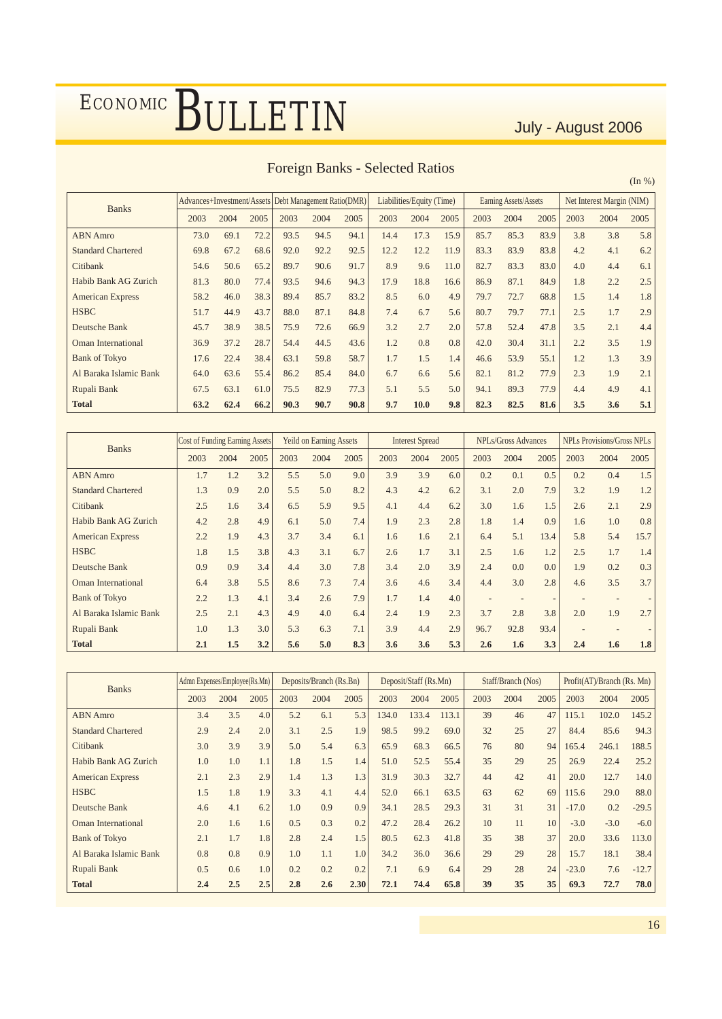(In %)

### Foreign Banks - Selected Ratios

|                           | Advances+Investment/Assets Debt Management Ratio(DMR) |      |      |      |      |      |      | Liabilities/Equity (Time) |      |      | Earning Assets/Assets |      |      | Net Interest Margin (NIM) |      |
|---------------------------|-------------------------------------------------------|------|------|------|------|------|------|---------------------------|------|------|-----------------------|------|------|---------------------------|------|
| <b>Banks</b>              | 2003                                                  | 2004 | 2005 | 2003 | 2004 | 2005 | 2003 | 2004                      | 2005 | 2003 | 2004                  | 2005 | 2003 | 2004                      | 2005 |
| <b>ABN</b> Amro           | 73.0                                                  | 69.1 | 72.2 | 93.5 | 94.5 | 94.1 | 14.4 | 17.3                      | 15.9 | 85.7 | 85.3                  | 83.9 | 3.8  | 3.8                       | 5.8  |
| <b>Standard Chartered</b> | 69.8                                                  | 67.2 | 68.6 | 92.0 | 92.2 | 92.5 | 12.2 | 12.2                      | 11.9 | 83.3 | 83.9                  | 83.8 | 4.2  | 4.1                       | 6.2  |
| Citibank                  | 54.6                                                  | 50.6 | 65.2 | 89.7 | 90.6 | 91.7 | 8.9  | 9.6                       | 11.0 | 82.7 | 83.3                  | 83.0 | 4.0  | 4.4                       | 6.1  |
| Habib Bank AG Zurich      | 81.3                                                  | 80.0 | 77.4 | 93.5 | 94.6 | 94.3 | 17.9 | 18.8                      | 16.6 | 86.9 | 87.1                  | 84.9 | 1.8  | 2.2                       | 2.5  |
| <b>American Express</b>   | 58.2                                                  | 46.0 | 38.3 | 89.4 | 85.7 | 83.2 | 8.5  | 6.0                       | 4.9  | 79.7 | 72.7                  | 68.8 | 1.5  | 1.4                       | 1.8  |
| <b>HSBC</b>               | 51.7                                                  | 44.9 | 43.7 | 88.0 | 87.1 | 84.8 | 7.4  | 6.7                       | 5.6  | 80.7 | 79.7                  | 77.1 | 2.5  | 1.7                       | 2.9  |
| Deutsche Bank             | 45.7                                                  | 38.9 | 38.5 | 75.9 | 72.6 | 66.9 | 3.2  | 2.7                       | 2.0  | 57.8 | 52.4                  | 47.8 | 3.5  | 2.1                       | 4.4  |
| Oman International        | 36.9                                                  | 37.2 | 28.7 | 54.4 | 44.5 | 43.6 | 1.2  | 0.8                       | 0.8  | 42.0 | 30.4                  | 31.1 | 2.2  | 3.5                       | 1.9  |
| <b>Bank of Tokyo</b>      | 17.6                                                  | 22.4 | 38.4 | 63.1 | 59.8 | 58.7 | 1.7  | 1.5                       | 1.4  | 46.6 | 53.9                  | 55.1 | 1.2  | 1.3                       | 3.9  |
| Al Baraka Islamic Bank    | 64.0                                                  | 63.6 | 55.4 | 86.2 | 85.4 | 84.0 | 6.7  | 6.6                       | 5.6  | 82.1 | 81.2                  | 77.9 | 2.3  | 1.9                       | 2.1  |
| Rupali Bank               | 67.5                                                  | 63.1 | 61.0 | 75.5 | 82.9 | 77.3 | 5.1  | 5.5                       | 5.0  | 94.1 | 89.3                  | 77.9 | 4.4  | 4.9                       | 4.1  |
| <b>Total</b>              | 63.2                                                  | 62.4 | 66.2 | 90.3 | 90.7 | 90.8 | 9.7  | 10.0                      | 9.8  | 82.3 | 82.5                  | 81.6 | 3.5  | 3.6                       | 5.1  |

| <b>Banks</b>              | <b>Cost of Funding Earning Assets</b> |      |      | <b>Yeild on Earning Assets</b> |      |      | <b>Interest Spread</b> |      |      | <b>NPLs/Gross Advances</b> |      | <b>NPLs Provisions/Gross NPLs</b> |      |      |      |
|---------------------------|---------------------------------------|------|------|--------------------------------|------|------|------------------------|------|------|----------------------------|------|-----------------------------------|------|------|------|
|                           | 2003                                  | 2004 | 2005 | 2003                           | 2004 | 2005 | 2003                   | 2004 | 2005 | 2003                       | 2004 | 2005                              | 2003 | 2004 | 2005 |
| <b>ABN</b> Amro           | 1.7                                   | 1.2  | 3.2  | 5.5                            | 5.0  | 9.0  | 3.9                    | 3.9  | 6.0  | 0.2                        | 0.1  | 0.5                               | 0.2  | 0.4  | 1.5  |
| <b>Standard Chartered</b> | 1.3                                   | 0.9  | 2.0  | 5.5                            | 5.0  | 8.2  | 4.3                    | 4.2  | 6.2  | 3.1                        | 2.0  | 7.9                               | 3.2  | 1.9  | 1.2  |
| Citibank                  | 2.5                                   | 1.6  | 3.4  | 6.5                            | 5.9  | 9.5  | 4.1                    | 4.4  | 6.2  | 3.0                        | 1.6  | 1.5                               | 2.6  | 2.1  | 2.9  |
| Habib Bank AG Zurich      | 4.2                                   | 2.8  | 4.9  | 6.1                            | 5.0  | 7.4  | 1.9                    | 2.3  | 2.8  | 1.8                        | 1.4  | 0.9                               | 1.6  | 1.0  | 0.8  |
| <b>American Express</b>   | 2.2                                   | 1.9  | 4.3  | 3.7                            | 3.4  | 6.1  | 1.6                    | 1.6  | 2.1  | 6.4                        | 5.1  | 13.4                              | 5.8  | 5.4  | 15.7 |
| <b>HSBC</b>               | 1.8                                   | 1.5  | 3.8  | 4.3                            | 3.1  | 6.7  | 2.6                    | 1.7  | 3.1  | 2.5                        | 1.6  | 1.2                               | 2.5  | 1.7  | 1.4  |
| Deutsche Bank             | 0.9                                   | 0.9  | 3.4  | 4.4                            | 3.0  | 7.8  | 3.4                    | 2.0  | 3.9  | 2.4                        | 0.0  | 0.0                               | 1.9  | 0.2  | 0.3  |
| <b>Oman International</b> | 6.4                                   | 3.8  | 5.5  | 8.6                            | 7.3  | 7.4  | 3.6                    | 4.6  | 3.4  | 4.4                        | 3.0  | 2.8                               | 4.6  | 3.5  | 3.7  |
| <b>Bank of Tokyo</b>      | 2.2                                   | 1.3  | 4.1  | 3.4                            | 2.6  | 7.9  | 1.7                    | 1.4  | 4.0  |                            |      |                                   |      |      |      |
| Al Baraka Islamic Bank    | 2.5                                   | 2.1  | 4.3  | 4.9                            | 4.0  | 6.4  | 2.4                    | 1.9  | 2.3  | 3.7                        | 2.8  | 3.8                               | 2.0  | 1.9  | 2.7  |
| Rupali Bank               | 1.0                                   | 1.3  | 3.0  | 5.3                            | 6.3  | 7.1  | 3.9                    | 4.4  | 2.9  | 96.7                       | 92.8 | 93.4                              |      |      |      |
| <b>Total</b>              | 2.1                                   | 1.5  | 3.2  | 5.6                            | 5.0  | 8.3  | 3.6                    | 3.6  | 5.3  | 2.6                        | 1.6  | 3.3                               | 2.4  | 1.6  | 1.8  |

|                           | Admn Expenses/Employee(Rs.Mn) |      |      |      | Deposits/Branch (Rs.Bn) |      |       | Deposit/Staff (Rs.Mn) |       |      | Staff/Branch (Nos) |      |         | Profit(AT)/Branch (Rs. Mn) |         |
|---------------------------|-------------------------------|------|------|------|-------------------------|------|-------|-----------------------|-------|------|--------------------|------|---------|----------------------------|---------|
| <b>Banks</b>              | 2003                          | 2004 | 2005 | 2003 | 2004                    | 2005 | 2003  | 2004                  | 2005  | 2003 | 2004               | 2005 | 2003    | 2004                       | 2005    |
| <b>ABN</b> Amro           | 3.4                           | 3.5  | 4.0  | 5.2  | 6.1                     | 5.3  | 134.0 | 133.4                 | 113.1 | 39   | 46                 | 47   | 115.1   | 102.0                      | 145.2   |
| <b>Standard Chartered</b> | 2.9                           | 2.4  | 2.0  | 3.1  | 2.5                     | 1.9  | 98.5  | 99.2                  | 69.0  | 32   | 25                 | 27   | 84.4    | 85.6                       | 94.3    |
| Citibank                  | 3.0                           | 3.9  | 3.9  | 5.0  | 5.4                     | 6.3  | 65.9  | 68.3                  | 66.5  | 76   | 80                 | 94   | 165.4   | 246.1                      | 188.5   |
| Habib Bank AG Zurich      | 1.0                           | 1.0  | 1.1  | 1.8  | 1.5                     | 1.4  | 51.0  | 52.5                  | 55.4  | 35   | 29                 | 25   | 26.9    | 22.4                       | 25.2    |
| <b>American Express</b>   | 2.1                           | 2.3  | 2.9  | 1.4  | 1.3                     | 1.3  | 31.9  | 30.3                  | 32.7  | 44   | 42                 | 41   | 20.0    | 12.7                       | 14.0    |
| <b>HSBC</b>               | 1.5                           | 1.8  | 1.9  | 3.3  | 4.1                     | 4.4  | 52.0  | 66.1                  | 63.5  | 63   | 62                 | 69   | 115.6   | 29.0                       | 88.0    |
| Deutsche Bank             | 4.6                           | 4.1  | 6.2  | 1.0  | 0.9                     | 0.9  | 34.1  | 28.5                  | 29.3  | 31   | 31                 | 31   | $-17.0$ | 0.2                        | $-29.5$ |
| Oman International        | 2.0                           | 1.6  | 1.6  | 0.5  | 0.3                     | 0.2  | 47.2  | 28.4                  | 26.2  | 10   | 11                 | 10   | $-3.0$  | $-3.0$                     | $-6.0$  |
| <b>Bank of Tokyo</b>      | 2.1                           | 1.7  | 1.8  | 2.8  | 2.4                     | 1.5  | 80.5  | 62.3                  | 41.8  | 35   | 38                 | 37   | 20.0    | 33.6                       | 113.0   |
| Al Baraka Islamic Bank    | 0.8                           | 0.8  | 0.9  | 1.0  | 1.1                     | 1.0  | 34.2  | 36.0                  | 36.6  | 29   | 29                 | 28   | 15.7    | 18.1                       | 38.4    |
| Rupali Bank               | 0.5                           | 0.6  | 1.0  | 0.2  | 0.2                     | 0.2  | 7.1   | 6.9                   | 6.4   | 29   | 28                 | 24   | $-23.0$ | 7.6                        | $-12.7$ |
| <b>Total</b>              | 2.4                           | 2.5  | 2.5  | 2.8  | 2.6                     | 2.30 | 72.1  | 74.4                  | 65.8  | 39   | 35                 | 35   | 69.3    | 72.7                       | 78.0    |

16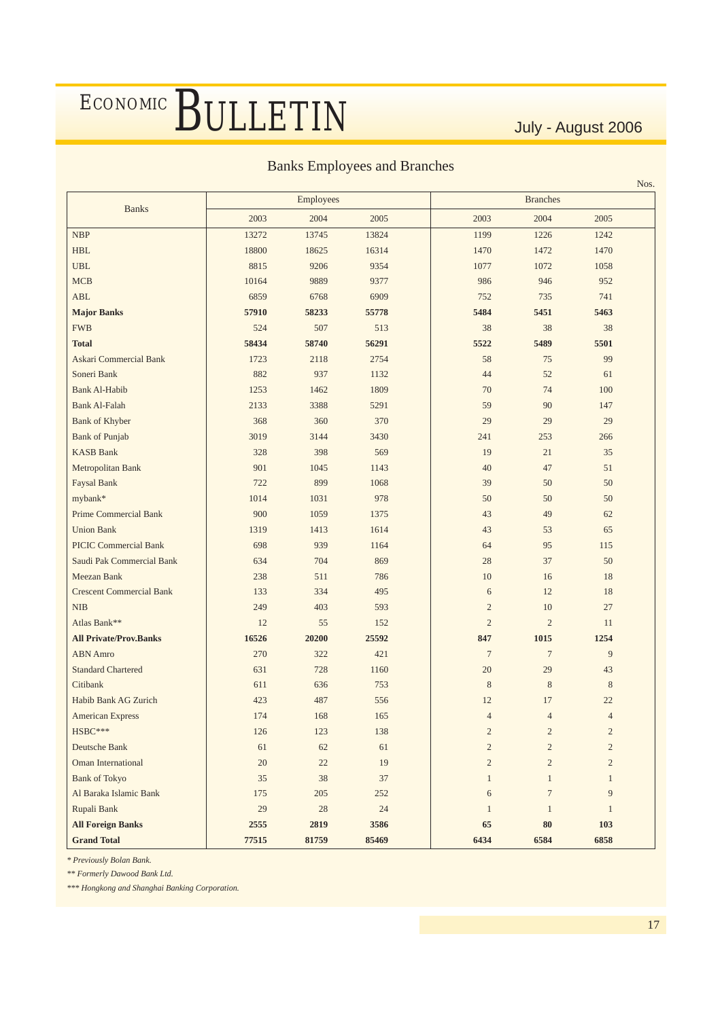### Banks Employees and Branches

|                                 |        |           |        |                |                 |                | Nos. |
|---------------------------------|--------|-----------|--------|----------------|-----------------|----------------|------|
| <b>Banks</b>                    |        | Employees |        |                | <b>Branches</b> |                |      |
|                                 | 2003   | 2004      | 2005   | 2003           | 2004            | 2005           |      |
| <b>NBP</b>                      | 13272  | 13745     | 13824  | 1199           | 1226            | 1242           |      |
| <b>HBL</b>                      | 18800  | 18625     | 16314  | 1470           | 1472            | 1470           |      |
| <b>UBL</b>                      | 8815   | 9206      | 9354   | 1077           | 1072            | 1058           |      |
| <b>MCB</b>                      | 10164  | 9889      | 9377   | 986            | 946             | 952            |      |
| <b>ABL</b>                      | 6859   | 6768      | 6909   | 752            | 735             | 741            |      |
| <b>Major Banks</b>              | 57910  | 58233     | 55778  | 5484           | 5451            | 5463           |      |
| <b>FWB</b>                      | 524    | 507       | 513    | 38             | 38              | 38             |      |
| <b>Total</b>                    | 58434  | 58740     | 56291  | 5522           | 5489            | 5501           |      |
| <b>Askari Commercial Bank</b>   | 1723   | 2118      | 2754   | 58             | 75              | 99             |      |
| Soneri Bank                     | 882    | 937       | 1132   | 44             | 52              | 61             |      |
| <b>Bank Al-Habib</b>            | 1253   | 1462      | 1809   | 70             | 74              | 100            |      |
| <b>Bank Al-Falah</b>            | 2133   | 3388      | 5291   | 59             | 90              | 147            |      |
| <b>Bank of Khyber</b>           | 368    | 360       | 370    | 29             | 29              | 29             |      |
| <b>Bank of Punjab</b>           | 3019   | 3144      | 3430   | 241            | 253             | 266            |      |
| <b>KASB Bank</b>                | 328    | 398       | 569    | 19             | 21              | 35             |      |
| Metropolitan Bank               | 901    | 1045      | 1143   | 40             | 47              | 51             |      |
| Faysal Bank                     | 722    | 899       | 1068   | 39             | 50              | 50             |      |
| mybank*                         | 1014   | 1031      | 978    | 50             | 50              | 50             |      |
| <b>Prime Commercial Bank</b>    | 900    | 1059      | 1375   | 43             | 49              | 62             |      |
| <b>Union Bank</b>               | 1319   | 1413      | 1614   | 43             | 53              | 65             |      |
| <b>PICIC Commercial Bank</b>    | 698    | 939       | 1164   | 64             | 95              | 115            |      |
| Saudi Pak Commercial Bank       | 634    | 704       | 869    | 28             | 37              | 50             |      |
| Meezan Bank                     | 238    | 511       | 786    | 10             | 16              | 18             |      |
| <b>Crescent Commercial Bank</b> | 133    | 334       | 495    | 6              | 12              | 18             |      |
| <b>NIB</b>                      | 249    | 403       | 593    | $\mathbf{2}$   | 10              | 27             |      |
| Atlas Bank**                    | 12     | 55        | 152    | $\overline{c}$ | $\overline{c}$  | 11             |      |
| <b>All Private/Prov.Banks</b>   | 16526  | 20200     | 25592  | 847            | 1015            | 1254           |      |
| <b>ABN</b> Amro                 | 270    | 322       | 421    | $\overline{7}$ | $7\overline{ }$ | 9              |      |
| <b>Standard Chartered</b>       | 631    | 728       | 1160   | 20             | 29              | 43             |      |
| Citibank                        | 611    | 636       | 753    | $\,$ 8 $\,$    | $\,$ 8 $\,$     | $\,8\,$        |      |
| Habib Bank AG Zurich            | 423    | 487       | 556    | 12             | 17              | 22             |      |
| <b>American Express</b>         | 174    | 168       | 165    | $\overline{4}$ | $\overline{4}$  | $\overline{4}$ |      |
| $\operatorname{HSBC^{***}}$     | 126    | 123       | 138    | $\overline{c}$ | $\overline{c}$  | $\overline{2}$ |      |
| Deutsche Bank                   | 61     | 62        | 61     | $\overline{c}$ | $\overline{c}$  | $\sqrt{2}$     |      |
| Oman International              | $20\,$ | $22\,$    | $19\,$ | $\overline{c}$ | $\overline{c}$  | $\overline{2}$ |      |
| <b>Bank of Tokyo</b>            | 35     | 38        | 37     | $\mathbf{1}$   | $\mathbf{1}$    | $\mathbf{1}$   |      |
| Al Baraka Islamic Bank          | 175    | $205\,$   | 252    | 6              | $\overline{7}$  | 9              |      |
| Rupali Bank                     | 29     | $28\,$    | $24\,$ | $\mathbf{1}$   | $\mathbf{1}$    | 1              |      |
| <b>All Foreign Banks</b>        | 2555   | 2819      | 3586   | 65             | ${\bf 80}$      | 103            |      |
| <b>Grand Total</b>              | 77515  | 81759     | 85469  | 6434           | 6584            | 6858           |      |

*\* Previously Bolan Bank.*

*\*\* Formerly Dawood Bank Ltd.*

*\*\*\* Hongkong and Shanghai Banking Corporation.*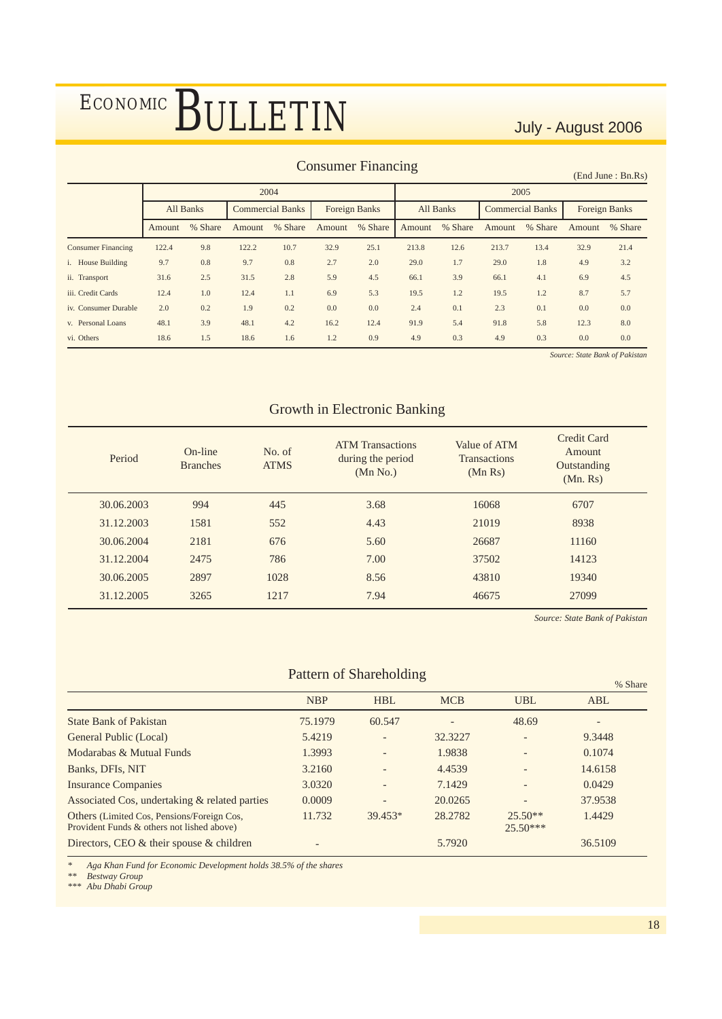|                           |                                             |         |        |         |                      |                  | $\tilde{\phantom{a}}$ |         |                         |         |               | (End June: Bn.Rs) |
|---------------------------|---------------------------------------------|---------|--------|---------|----------------------|------------------|-----------------------|---------|-------------------------|---------|---------------|-------------------|
|                           |                                             |         |        | 2004    |                      |                  | 2005                  |         |                         |         |               |                   |
|                           | <b>All Banks</b><br><b>Commercial Banks</b> |         |        |         | <b>Foreign Banks</b> |                  | All Banks             |         | <b>Commercial Banks</b> |         | Foreign Banks |                   |
|                           | Amount                                      | % Share | Amount | % Share | Amount               | % Share          | Amount                | % Share | Amount                  | % Share | Amount        | % Share           |
| <b>Consumer Financing</b> | 122.4                                       | 9.8     | 122.2  | 10.7    | 32.9                 | 25.1             | 213.8                 | 12.6    | 213.7                   | 13.4    | 32.9          | 21.4              |
| <i>i.</i> House Building  | 9.7                                         | 0.8     | 9.7    | 0.8     | 2.7                  | 2.0              | 29.0                  | 1.7     | 29.0                    | 1.8     | 4.9           | 3.2               |
| ii. Transport             | 31.6                                        | 2.5     | 31.5   | 2.8     | 5.9                  | 4.5              | 66.1                  | 3.9     | 66.1                    | 4.1     | 6.9           | 4.5               |
| iii. Credit Cards         | 12.4                                        | 1.0     | 12.4   | 1.1     | 6.9                  | 5.3              | 19.5                  | 1.2     | 19.5                    | 1.2     | 8.7           | 5.7               |
| iv. Consumer Durable      | 2.0                                         | 0.2     | 1.9    | 0.2     | 0.0                  | 0.0 <sub>1</sub> | 2.4                   | 0.1     | 2.3                     | 0.1     | 0.0           | $0.0\,$           |
| v. Personal Loans         | 48.1                                        | 3.9     | 48.1   | 4.2     | 16.2                 | 12.4             | 91.9                  | 5.4     | 91.8                    | 5.8     | 12.3          | 8.0               |
| vi. Others                | 18.6                                        | 1.5     | 18.6   | 1.6     | 1.2                  | 0.9              | 4.9                   | 0.3     | 4.9                     | 0.3     | 0.0           | $0.0\,$           |

Consumer Financing

*Source: State Bank of Pakistan*

#### Growth in Electronic Banking

| Period     | On-line<br><b>Branches</b> | No. of<br><b>ATMS</b> | <b>ATM Transactions</b><br>during the period<br>(Mn No.) | Value of ATM<br><b>Transactions</b><br>$(Mn \nRs)$ | Credit Card<br>Amount<br>Outstanding<br>(Mn. Rs) |
|------------|----------------------------|-----------------------|----------------------------------------------------------|----------------------------------------------------|--------------------------------------------------|
| 30.06.2003 | 994                        | 445                   | 3.68                                                     | 16068                                              | 6707                                             |
| 31.12.2003 | 1581                       | 552                   | 4.43                                                     | 21019                                              | 8938                                             |
| 30.06.2004 | 2181                       | 676                   | 5.60                                                     | 26687                                              | 11160                                            |
| 31.12.2004 | 2475                       | 786                   | 7.00                                                     | 37502                                              | 14123                                            |
| 30.06.2005 | 2897                       | 1028                  | 8.56                                                     | 43810                                              | 19340                                            |
| 31.12.2005 | 3265                       | 1217                  | 7.94                                                     | 46675                                              | 27099                                            |
|            |                            |                       |                                                          |                                                    |                                                  |

*Source: State Bank of Pakistan*

#### Pattern of Shareholding

% Share

|                                                                                          | <b>NBP</b>               | HBL       | <b>MCB</b> | UBL                     | ABL                      |
|------------------------------------------------------------------------------------------|--------------------------|-----------|------------|-------------------------|--------------------------|
| <b>State Bank of Pakistan</b>                                                            | 75.1979                  | 60.547    |            | 48.69                   | $\overline{\phantom{0}}$ |
| General Public (Local)                                                                   | 5.4219                   |           | 32.3227    |                         | 9.3448                   |
| Modarabas & Mutual Funds                                                                 | 1.3993                   |           | 1.9838     |                         | 0.1074                   |
| Banks, DFIs, NIT                                                                         | 3.2160                   |           | 4.4539     |                         | 14.6158                  |
| <b>Insurance Companies</b>                                                               | 3.0320                   |           | 7.1429     |                         | 0.0429                   |
| Associated Cos, undertaking & related parties                                            | 0.0009                   |           | 20.0265    |                         | 37.9538                  |
| Others (Limited Cos, Pensions/Foreign Cos,<br>Provident Funds & others not lished above) | 11.732                   | $39.453*$ | 28.2782    | $25.50**$<br>$25.50***$ | 1.4429                   |
| Directors, CEO $&$ their spouse $&$ children                                             | $\overline{\phantom{0}}$ |           | 5.7920     |                         | 36.5109                  |

*\* Aga Khan Fund for Economic Development holds 38.5% of the shares*

*\*\* Bestway Group*

*\*\*\* Abu Dhabi Group*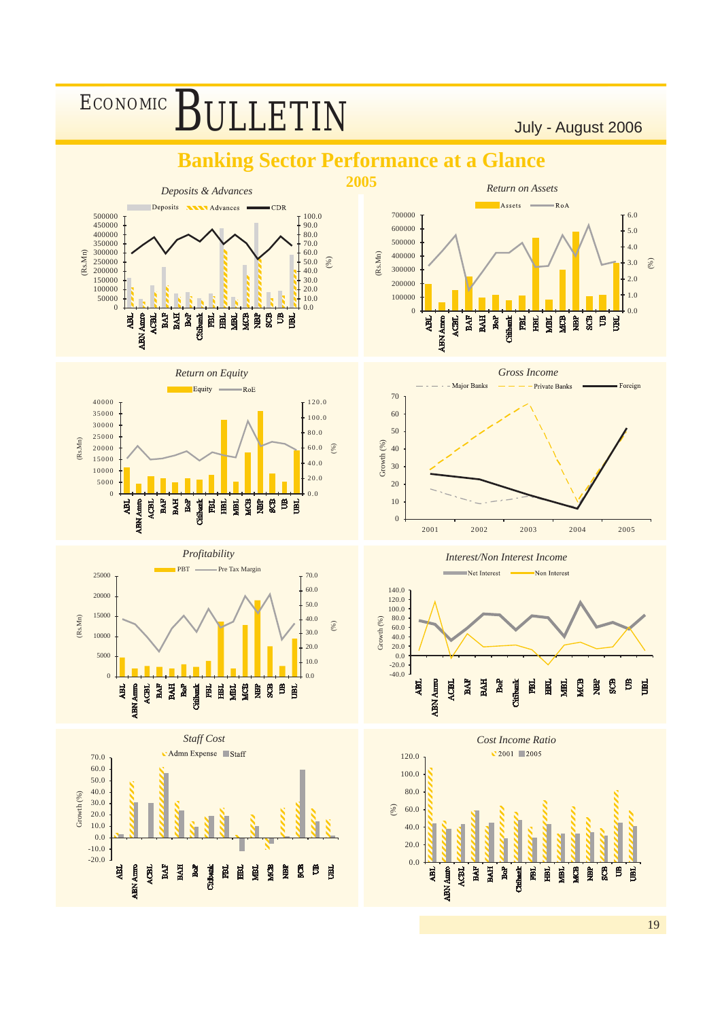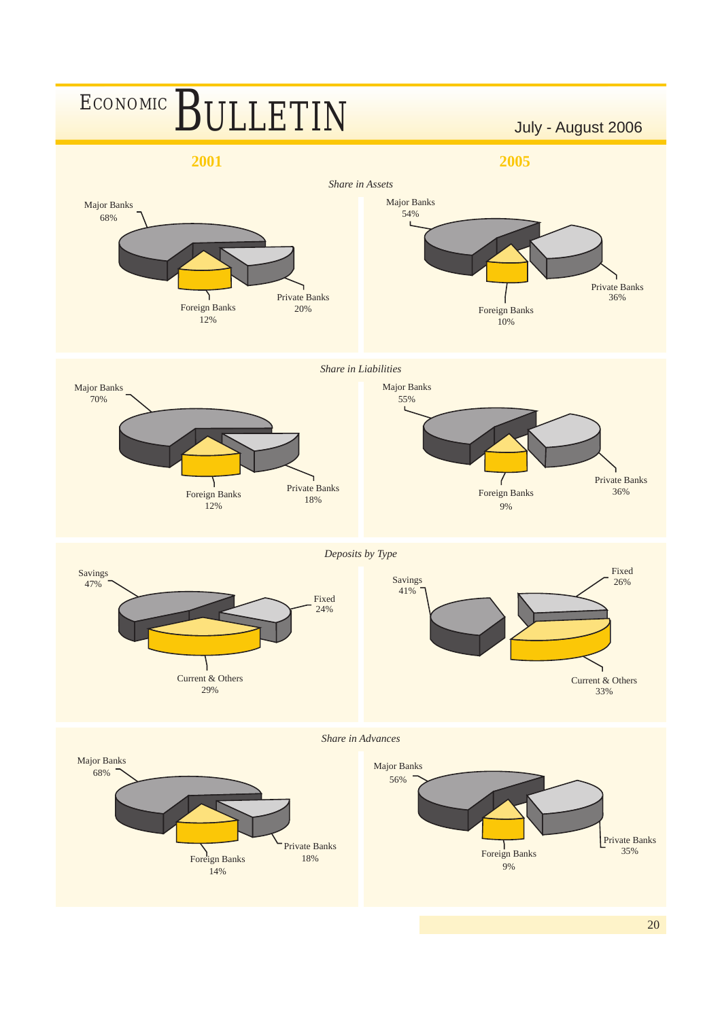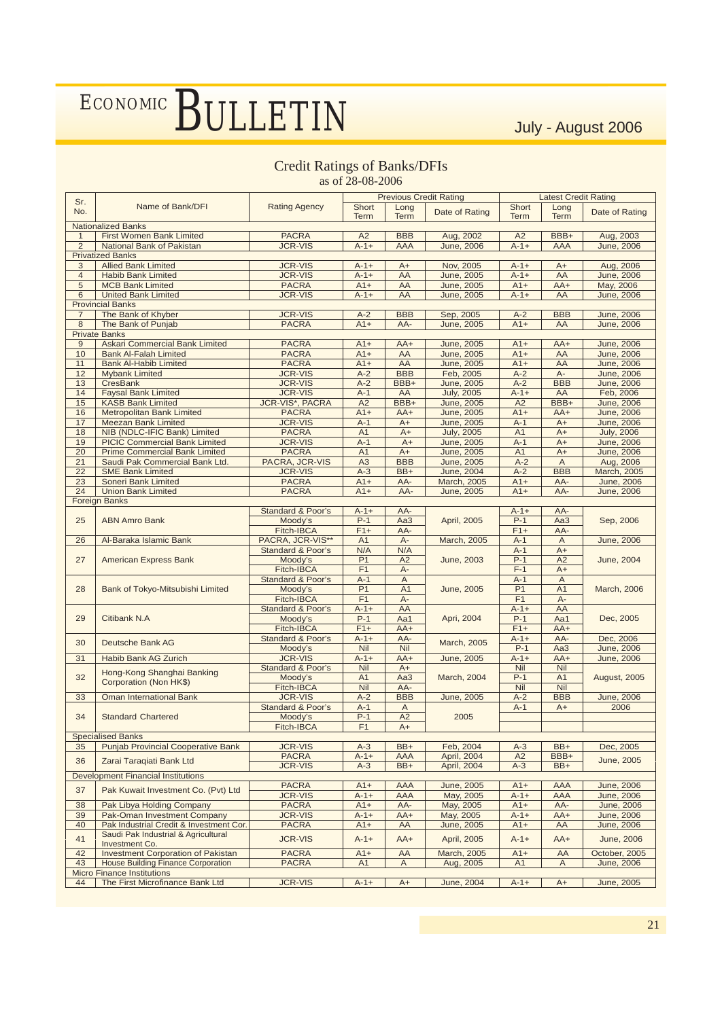#### Credit Ratings of Banks/DFIs

as of 28-08-2006

| Sr.            |                                           |                      |                |                 | <b>Previous Credit Rating</b> | <b>Latest Credit Rating</b> |            |                   |  |
|----------------|-------------------------------------------|----------------------|----------------|-----------------|-------------------------------|-----------------------------|------------|-------------------|--|
|                | Name of Bank/DFI                          | <b>Rating Agency</b> | Short          | Long            |                               | Short                       | Long       |                   |  |
| No.            |                                           |                      | <b>Term</b>    | <b>Term</b>     | Date of Rating                | Term                        | Term       | Date of Rating    |  |
|                | <b>Nationalized Banks</b>                 |                      |                |                 |                               |                             |            |                   |  |
| 1              | <b>First Women Bank Limited</b>           | <b>PACRA</b>         | A2             | <b>BBB</b>      | Aug, 2002                     | A2                          | BBB+       | Aug, 2003         |  |
| $\overline{2}$ | National Bank of Pakistan                 | <b>JCR-VIS</b>       | $A-1+$         | <b>AAA</b>      | June, 2006                    | $A-1+$                      | AAA        | June, 2006        |  |
|                | <b>Privatized Banks</b>                   |                      |                |                 |                               |                             |            |                   |  |
| 3              | <b>Allied Bank Limited</b>                | <b>JCR-VIS</b>       |                |                 | Nov, 2005                     |                             |            | Aug, 2006         |  |
|                |                                           |                      | $A - 1 +$      | $A+$            |                               | $A-1+$                      | $A+$       |                   |  |
| $\overline{4}$ | <b>Habib Bank Limited</b>                 | <b>JCR-VIS</b>       | $A-1+$         | AA              | June, 2005                    | $A-1+$                      | AA         | June, 2006        |  |
| 5              | <b>MCB Bank Limited</b>                   | <b>PACRA</b>         | $A1+$          | AA              | June, 2005                    | $A1+$                       | $AA+$      | May, 2006         |  |
| 6              | <b>United Bank Limited</b>                | <b>JCR-VIS</b>       | $A-1+$         | AA              | June, 2005                    | $A - 1 +$                   | AA         | <b>June, 2006</b> |  |
|                | <b>Provincial Banks</b>                   |                      |                |                 |                               |                             |            |                   |  |
| $\overline{7}$ | The Bank of Khyber                        | <b>JCR-VIS</b>       | $A-2$          | <b>BBB</b>      | Sep, 2005                     | $A-2$                       | <b>BBB</b> | June, 2006        |  |
| 8              | The Bank of Punjab                        | <b>PACRA</b>         | $A1+$          | AA-             | June, 2005                    | $A1+$                       | AA         | June, 2006        |  |
|                | <b>Private Banks</b>                      |                      |                |                 |                               |                             |            |                   |  |
| 9              | <b>Askari Commercial Bank Limited</b>     | <b>PACRA</b>         | $A1+$          | $AA+$           | June, 2005                    | $A1+$                       | $AA+$      | June, 2006        |  |
| 10             | <b>Bank Al-Falah Limited</b>              | <b>PACRA</b>         | $A1+$          | AA              | June, 2005                    | $A1+$                       | AA         | June, 2006        |  |
| 11             | <b>Bank Al-Habib Limited</b>              | <b>PACRA</b>         | $A1+$          | AA              | June, 2005                    | $A1+$                       | AA         | June, 2006        |  |
|                |                                           |                      |                |                 |                               |                             |            |                   |  |
| 12             | <b>Mybank Limited</b>                     | <b>JCR-VIS</b>       | $A-2$          | <b>BBB</b>      | Feb, 2005                     | $A-2$                       | $A -$      | June, 2006        |  |
| 13             | CresBank                                  | <b>JCR-VIS</b>       | $A-2$          | BBB+            | June, 2005                    | $A-2$                       | <b>BBB</b> | June, 2006        |  |
| 14             | <b>Faysal Bank Limited</b>                | <b>JCR-VIS</b>       | $A-1$          | AA              | <b>July, 2005</b>             | $A-1+$                      | AA         | Feb, 2006         |  |
| 15             | <b>KASB Bank Limited</b>                  | JCR-VIS*, PACRA      | A2             | BBB+            | June, 2005                    | A2                          | BBB+       | June, 2006        |  |
| 16             | <b>Metropolitan Bank Limited</b>          | <b>PACRA</b>         | $A1+$          | $AA+$           | June, 2005                    | $A1+$                       | $AA+$      | June, 2006        |  |
| 17             | <b>Meezan Bank Limited</b>                | <b>JCR-VIS</b>       | $A-1$          | $A+$            | June, 2005                    | $A-1$                       | $A+$       | June, 2006        |  |
| 18             | NIB (NDLC-IFIC Bank) Limited              | <b>PACRA</b>         | A <sub>1</sub> | $A+$            | <b>July, 2005</b>             | A1                          | A+         | <b>July, 2006</b> |  |
| 19             | <b>PICIC Commercial Bank Limited</b>      | <b>JCR-VIS</b>       | $A-1$          | $A+$            | June, 2005                    | $A-1$                       | $A+$       | June, 2006        |  |
| 20             | <b>Prime Commercial Bank Limited</b>      | <b>PACRA</b>         | A <sub>1</sub> | $A+$            | June, 2005                    | A1                          | $A+$       | June, 2006        |  |
|                |                                           |                      |                |                 |                               |                             |            |                   |  |
| 21             | Saudi Pak Commercial Bank Ltd.            | PACRA, JCR-VIS       | A <sub>3</sub> | <b>BBB</b>      | June, 2005                    | $A-2$                       | A          | Aug, 2006         |  |
| 22             | <b>SME Bank Limited</b>                   | <b>JCR-VIS</b>       | $A-3$          | BB+             | June, 2004                    | $A-2$                       | <b>BBB</b> | March, 2005       |  |
| 23             | Soneri Bank Limited                       | <b>PACRA</b>         | $A1+$          | AA-             | March, 2005                   | $A1+$                       | AA-        | June, 2006        |  |
| 24             | <b>Union Bank Limited</b>                 | <b>PACRA</b>         | $A1+$          | AA-             | June, 2005                    | $A1+$                       | AA-        | June, 2006        |  |
|                | <b>Foreign Banks</b>                      |                      |                |                 |                               |                             |            |                   |  |
|                |                                           | Standard & Poor's    | $A-1+$         | AA-             |                               | $A-1+$                      | AA-        |                   |  |
| 25             | <b>ABN Amro Bank</b>                      | Moody's              | $P-1$          | Aa3             | April, 2005                   | $P-1$                       | Aa3        | Sep, 2006         |  |
|                |                                           | Fitch-IBCA           | $F1+$          | AA-             |                               | $F1+$                       | AA-        |                   |  |
| 26             | Al-Baraka Islamic Bank                    | PACRA, JCR-VIS**     | A <sub>1</sub> | A-              | March, 2005                   | $A-1$                       | Α          | June, 2006        |  |
|                |                                           | Standard & Poor's    | N/A            | N/A             |                               | $A-1$                       | $A+$       |                   |  |
|                |                                           |                      |                |                 |                               |                             |            |                   |  |
| 27             | American Express Bank                     | Moody's              | P <sub>1</sub> | A2              | June, 2003                    | $P-1$                       | A2         | June, 2004        |  |
|                |                                           | Fitch-IBCA           | F <sub>1</sub> | $A -$           |                               | $F-1$                       | $A+$       |                   |  |
|                |                                           | Standard & Poor's    | $A-1$          | A               |                               | $A-1$                       | A          |                   |  |
| 28             | Bank of Tokyo-Mitsubishi Limited          | Moody's              | P <sub>1</sub> | A <sub>1</sub>  | June, 2005                    | P <sub>1</sub>              | A1         | March, 2006       |  |
|                |                                           | Fitch-IBCA           | F <sub>1</sub> | $A -$           |                               | F <sub>1</sub>              | $A -$      |                   |  |
|                |                                           | Standard & Poor's    | $A-1+$         | AA              |                               | $A-1+$                      | AA         |                   |  |
| 29             | Citibank N.A                              | Moody's              | $P-1$          | Aa1             | Apri, 2004                    | $P-1$                       | Aa1        | Dec, 2005         |  |
|                |                                           | Fitch-IBCA           | $F1+$          | $AA+$           |                               | $F1+$                       | $AA+$      |                   |  |
|                |                                           | Standard & Poor's    | $A-1+$         | AA-             |                               | $A-1+$                      | AA-        | Dec, 2006         |  |
| 30             | <b>Deutsche Bank AG</b>                   |                      |                |                 | March, 2005                   |                             |            |                   |  |
|                |                                           | Moody's              | Nil            | Nil             |                               | $P-1$                       | Aa3        | June, 2006        |  |
| 31             | Habib Bank AG Zurich                      | <b>JCR-VIS</b>       | $A-1+$         | $AA+$           | June, 2005                    | $A-1+$                      | AA+        | June, 2006        |  |
|                | Hong-Kong Shanghai Banking                | Standard & Poor's    | Nil            | $A+$            |                               | Nil                         | Nil        |                   |  |
| 32             | Corporation (Non HK\$)                    | Moody's              | A <sub>1</sub> | Aa <sub>3</sub> | March, 2004                   | $P-1$                       | A1         | August, 2005      |  |
|                |                                           | Fitch-IBCA           | Nil            | AA-             |                               | Nil                         | Nil        |                   |  |
| 33             | <b>Oman International Bank</b>            | <b>JCR-VIS</b>       | $A-2$          | <b>BBB</b>      | June, 2005                    | $A-2$                       | <b>BBB</b> | June, 2006        |  |
|                |                                           | Standard & Poor's    | $A-1$          | Α               |                               | $A-1$                       | $A+$       | 2006              |  |
| 34             | <b>Standard Chartered</b>                 | Moody's              | $P-1$          | A2              | 2005                          |                             |            |                   |  |
|                |                                           | Fitch-IBCA           | F1             | $A+$            |                               |                             |            |                   |  |
|                |                                           |                      |                |                 |                               |                             |            |                   |  |
|                | <b>Specialised Banks</b>                  |                      |                |                 |                               |                             |            |                   |  |
| 35             | <b>Punjab Provincial Cooperative Bank</b> | <b>JCR-VIS</b>       | $A-3$          | BB+             | Feb, 2004                     | $A-3$                       | BB+        | Dec, 2005         |  |
| 36             | Zarai Taraqiati Bank Ltd                  | <b>PACRA</b>         | $A - 1 +$      | AAA             | April, 2004                   | A2                          | BBB+       | June, 2005        |  |
|                |                                           | <b>JCR-VIS</b>       | $A-3$          | BB+             | April, 2004                   | $A-3$                       | BB+        |                   |  |
|                | <b>Development Financial Institutions</b> |                      |                |                 |                               |                             |            |                   |  |
|                |                                           | <b>PACRA</b>         | $A1+$          | AAA             | June, 2005                    | $A1+$                       | AAA        | <b>June. 2006</b> |  |
| 37             | Pak Kuwait Investment Co. (Pvt) Ltd       | <b>JCR-VIS</b>       | $A-1+$         | AAA             | May, 2005                     | $A - 1 +$                   | AAA        | June, 2006        |  |
| 38             | Pak Libya Holding Company                 | <b>PACRA</b>         | $A1+$          | AA-             | May, 2005                     | $A1+$                       | AA-        | June, 2006        |  |
| 39             | Pak-Oman Investment Company               | <b>JCR-VIS</b>       | $A - 1 +$      | $AA+$           | May, 2005                     | $A - 1 +$                   | $AA+$      | June, 2006        |  |
| 40             | Pak Industrial Credit & Investment Cor.   | <b>PACRA</b>         |                |                 | June, 2005                    |                             |            |                   |  |
|                |                                           |                      | $A1+$          | AA              |                               | $A1+$                       | AA         | June, 2006        |  |
| 41             | Saudi Pak Industrial & Agricultural       | <b>JCR-VIS</b>       | $A - 1 +$      | $AA+$           | April, 2005                   | $A-1+$                      | $AA+$      | June, 2006        |  |
|                | Investment Co.                            |                      |                |                 |                               |                             |            |                   |  |
| 42             | <b>Investment Corporation of Pakistan</b> | <b>PACRA</b>         | $A1+$          | AA              | March, 2005                   | $A1+$                       | AA         | October, 2005     |  |
| 43             | House Building Finance Corporation        | <b>PACRA</b>         | A1             | A               | Aug, 2005                     | A1                          | A          | June, 2006        |  |
|                | <b>Micro Finance Institutions</b>         |                      |                |                 |                               |                             |            |                   |  |
| 44             | The First Microfinance Bank Ltd           | <b>JCR-VIS</b>       | $A - 1 +$      | A+              | June, 2004                    | $A-1+$                      | A+         | June, 2005        |  |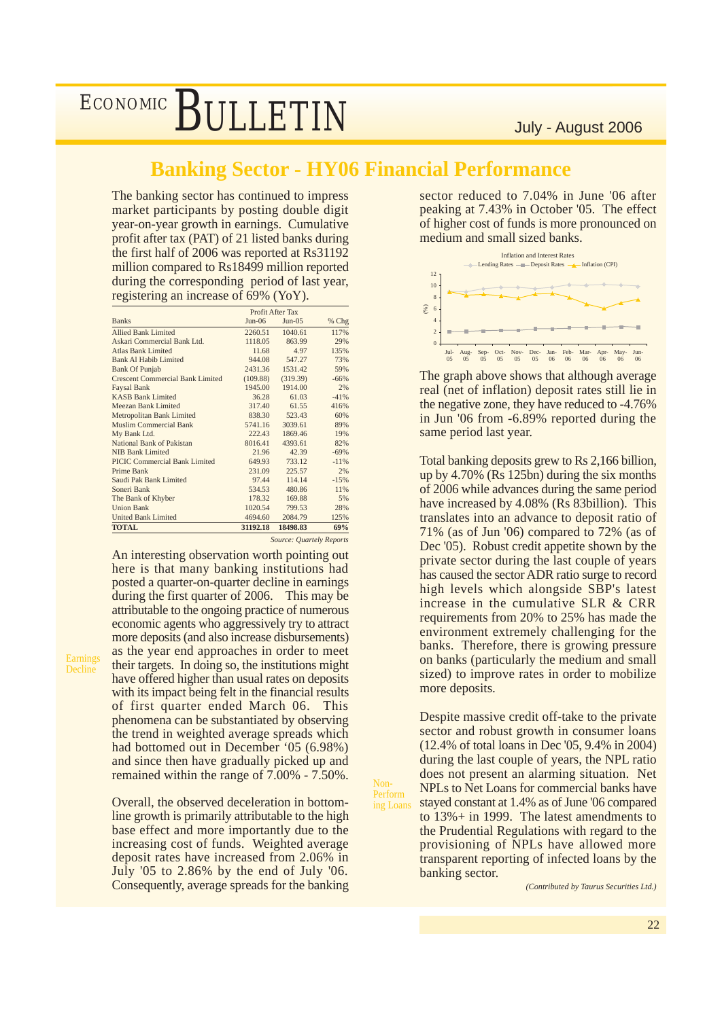### BULLETIN July - August 2006 **ECONOMIC**

### **Banking Sector - HY06 Financial Performance**

The banking sector has continued to impress market participants by posting double digit year-on-year growth in earnings. Cumulative profit after tax (PAT) of 21 listed banks during the first half of 2006 was reported at Rs31192 million compared to Rs18499 million reported during the corresponding period of last year, registering an increase of 69% (YoY).

|                                         |          | Profit After Tax |        |
|-----------------------------------------|----------|------------------|--------|
| <b>Banks</b>                            | $Jun-06$ | $Jun-05$         | % Chg  |
| <b>Allied Bank Limited</b>              | 2260.51  | 1040.61          | 117%   |
| Askari Commercial Bank Ltd.             | 1118.05  | 863.99           | 29%    |
| <b>Atlas Bank Limited</b>               | 11.68    | 4.97             | 135%   |
| <b>Bank Al Habib Limited</b>            | 944.08   | 547.27           | 73%    |
| <b>Bank Of Punjab</b>                   | 2431.36  | 1531.42          | 59%    |
| <b>Crescent Commercial Bank Limited</b> | (109.88) | (319.39)         | $-66%$ |
| <b>Faysal Bank</b>                      | 1945.00  | 1914.00          | 2%     |
| <b>KASB Bank Limited</b>                | 36.28    | 61.03            | $-41%$ |
| Meezan Bank Limited                     | 317.40   | 61.55            | 416%   |
| Metropolitan Bank Limited               | 838.30   | 523.43           | 60%    |
| <b>Muslim Commercial Bank</b>           | 5741.16  | 3039.61          | 89%    |
| My Bank Ltd.                            | 222.43   | 1869.46          | 19%    |
| National Bank of Pakistan               | 8016.41  | 4393.61          | 82%    |
| <b>NIB Bank Limited</b>                 | 21.96    | 42.39            | $-69%$ |
| <b>PICIC Commercial Bank Limited</b>    | 649.93   | 733.12           | $-11%$ |
| Prime Bank                              | 231.09   | 225.57           | 2%     |
| Saudi Pak Bank Limited                  | 97.44    | 114.14           | $-15%$ |
| Soneri Bank                             | 534.53   | 480.86           | 11%    |
| The Bank of Khyber                      | 178.32   | 169.88           | 5%     |
| <b>Union Bank</b>                       | 1020.54  | 799.53           | 28%    |
| <b>United Bank Limited</b>              | 4694.60  | 2084.79          | 125%   |
| <b>TOTAL</b>                            | 31192.18 | 18498.83         | 69%    |

*Source: Quartely Reports*

Non-Perform ing Loans

An interesting observation worth pointing out here is that many banking institutions had posted a quarter-on-quarter decline in earnings during the first quarter of 2006. This may be attributable to the ongoing practice of numerous economic agents who aggressively try to attract more deposits (and also increase disbursements) as the year end approaches in order to meet their targets. In doing so, the institutions might have offered higher than usual rates on deposits with its impact being felt in the financial results of first quarter ended March 06. This phenomena can be substantiated by observing the trend in weighted average spreads which had bottomed out in December '05 (6.98%) and since then have gradually picked up and remained within the range of 7.00% - 7.50%.

Earnings Decline

> Overall, the observed deceleration in bottomline growth is primarily attributable to the high base effect and more importantly due to the increasing cost of funds. Weighted average deposit rates have increased from 2.06% in July '05 to 2.86% by the end of July '06. Consequently, average spreads for the banking

sector reduced to 7.04% in June '06 after peaking at 7.43% in October '05. The effect of higher cost of funds is more pronounced on medium and small sized banks.



The graph above shows that although average real (net of inflation) deposit rates still lie in the negative zone, they have reduced to -4.76% in Jun '06 from -6.89% reported during the same period last year.

Total banking deposits grew to Rs 2,166 billion, up by 4.70% (Rs 125bn) during the six months of 2006 while advances during the same period have increased by 4.08% (Rs 83billion). This translates into an advance to deposit ratio of 71% (as of Jun '06) compared to 72% (as of Dec '05). Robust credit appetite shown by the private sector during the last couple of years has caused the sector ADR ratio surge to record high levels which alongside SBP's latest increase in the cumulative SLR & CRR requirements from 20% to 25% has made the environment extremely challenging for the banks. Therefore, there is growing pressure on banks (particularly the medium and small sized) to improve rates in order to mobilize more deposits.

Despite massive credit off-take to the private sector and robust growth in consumer loans (12.4% of total loans in Dec '05, 9.4% in 2004) during the last couple of years, the NPL ratio does not present an alarming situation. Net NPLs to Net Loans for commercial banks have stayed constant at 1.4% as of June '06 compared to 13%+ in 1999. The latest amendments to the Prudential Regulations with regard to the provisioning of NPLs have allowed more transparent reporting of infected loans by the banking sector.

*(Contributed by Taurus Securities Ltd.)*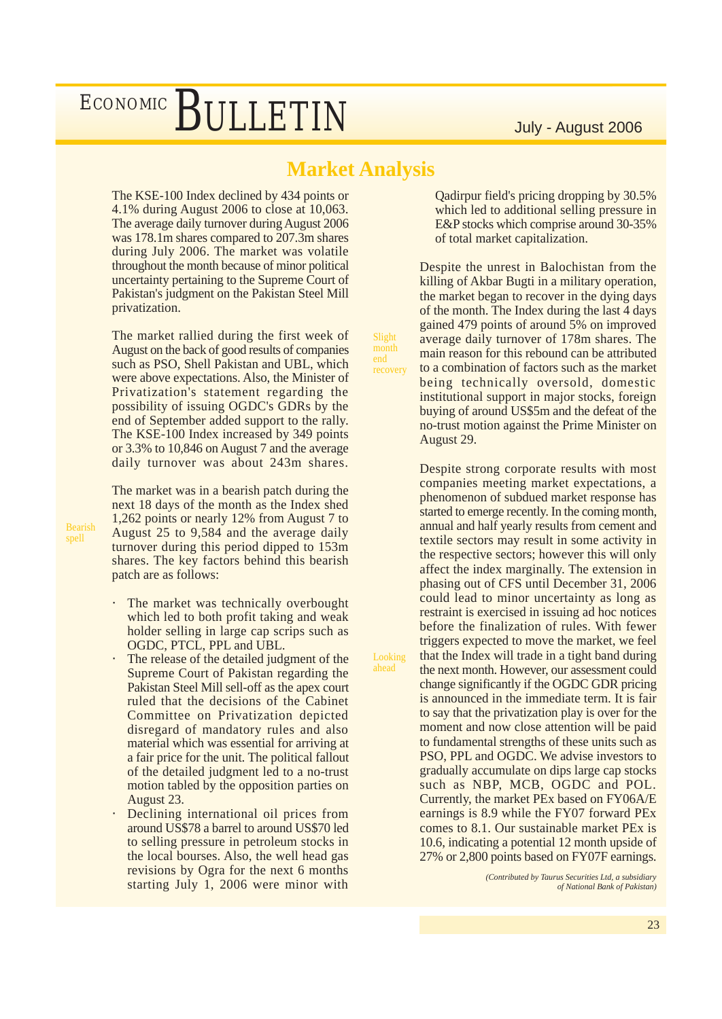### **Market Analysis**

Slight month end recovery

Looking ahead

The KSE-100 Index declined by 434 points or 4.1% during August 2006 to close at 10,063. The average daily turnover during August 2006 was 178.1m shares compared to 207.3m shares during July 2006. The market was volatile throughout the month because of minor political uncertainty pertaining to the Supreme Court of Pakistan's judgment on the Pakistan Steel Mill privatization.

The market rallied during the first week of August on the back of good results of companies such as PSO, Shell Pakistan and UBL, which were above expectations. Also, the Minister of Privatization's statement regarding the possibility of issuing OGDC's GDRs by the end of September added support to the rally. The KSE-100 Index increased by 349 points or 3.3% to 10,846 on August 7 and the average daily turnover was about 243m shares.

The market was in a bearish patch during the next 18 days of the month as the Index shed 1,262 points or nearly 12% from August 7 to August 25 to 9,584 and the average daily turnover during this period dipped to 153m shares. The key factors behind this bearish patch are as follows:

- The market was technically overbought which led to both profit taking and weak holder selling in large cap scrips such as OGDC, PTCL, PPL and UBL.
- The release of the detailed judgment of the Supreme Court of Pakistan regarding the Pakistan Steel Mill sell-off as the apex court ruled that the decisions of the Cabinet Committee on Privatization depicted disregard of mandatory rules and also material which was essential for arriving at a fair price for the unit. The political fallout of the detailed judgment led to a no-trust motion tabled by the opposition parties on August 23.
- Declining international oil prices from around US\$78 a barrel to around US\$70 led to selling pressure in petroleum stocks in the local bourses. Also, the well head gas revisions by Ogra for the next 6 months starting July 1, 2006 were minor with

Qadirpur field's pricing dropping by 30.5% which led to additional selling pressure in E&P stocks which comprise around 30-35% of total market capitalization.

Despite the unrest in Balochistan from the killing of Akbar Bugti in a military operation, the market began to recover in the dying days of the month. The Index during the last 4 days gained 479 points of around 5% on improved average daily turnover of 178m shares. The main reason for this rebound can be attributed to a combination of factors such as the market being technically oversold, domestic institutional support in major stocks, foreign buying of around US\$5m and the defeat of the no-trust motion against the Prime Minister on August 29.

Despite strong corporate results with most companies meeting market expectations, a phenomenon of subdued market response has started to emerge recently. In the coming month, annual and half yearly results from cement and textile sectors may result in some activity in the respective sectors; however this will only affect the index marginally. The extension in phasing out of CFS until December 31, 2006 could lead to minor uncertainty as long as restraint is exercised in issuing ad hoc notices before the finalization of rules. With fewer triggers expected to move the market, we feel that the Index will trade in a tight band during the next month. However, our assessment could change significantly if the OGDC GDR pricing is announced in the immediate term. It is fair to say that the privatization play is over for the moment and now close attention will be paid to fundamental strengths of these units such as PSO, PPL and OGDC. We advise investors to gradually accumulate on dips large cap stocks such as NBP, MCB, OGDC and POL. Currently, the market PEx based on FY06A/E earnings is 8.9 while the FY07 forward PEx comes to 8.1. Our sustainable market PEx is 10.6, indicating a potential 12 month upside of 27% or 2,800 points based on FY07F earnings.

> *(Contributed by Taurus Securities Ltd, a subsidiary of National Bank of Pakistan)*

Bearish spell